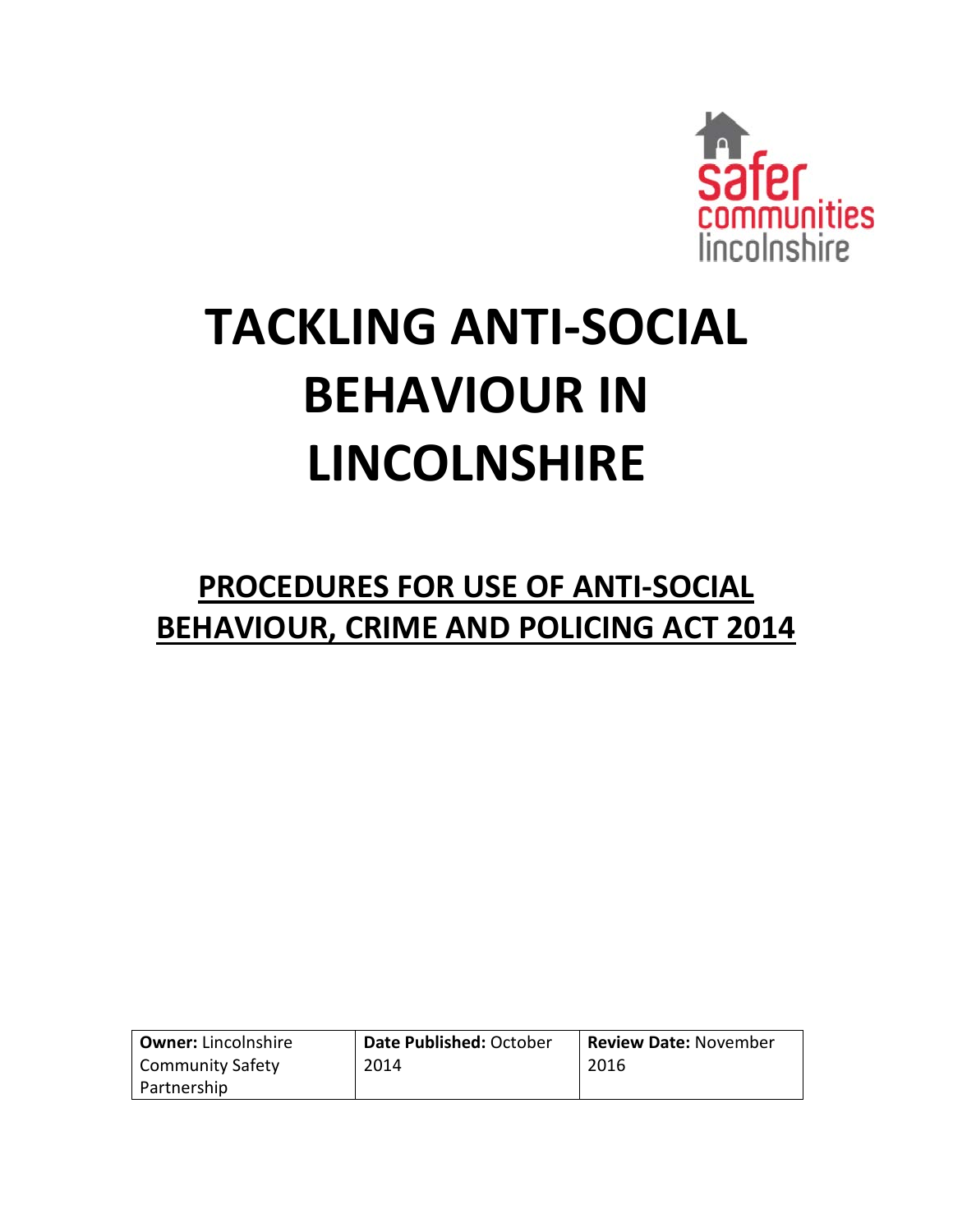

# **TACKLING ANTI-SOCIAL BEHAVIOUR IN LINCOLNSHIRE**

# **PROCEDURES FOR USE OF ANTI-SOCIAL BEHAVIOUR, CRIME AND POLICING ACT 2014**

| <b>Owner: Lincolnshire</b> | Date Published: October | <b>Review Date: November</b> |
|----------------------------|-------------------------|------------------------------|
| Community Safety           | 2014                    | 2016                         |
| Partnership                |                         |                              |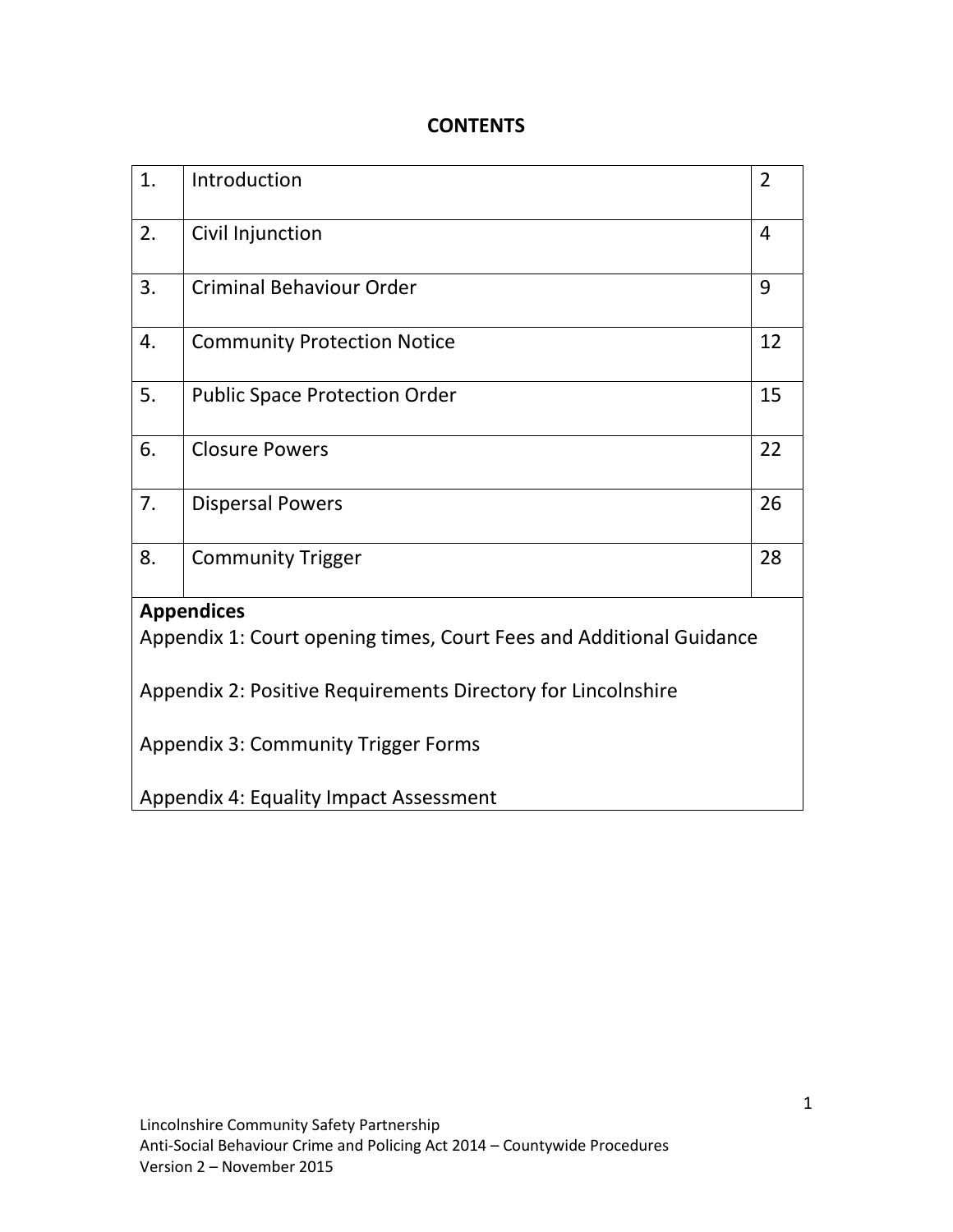# **CONTENTS**

| 1.                                                                  | Introduction                           | $\overline{2}$ |  |  |
|---------------------------------------------------------------------|----------------------------------------|----------------|--|--|
| 2.                                                                  | Civil Injunction                       | 4              |  |  |
| 3.                                                                  | <b>Criminal Behaviour Order</b>        | 9              |  |  |
| 4.                                                                  | <b>Community Protection Notice</b>     | 12             |  |  |
| 5.                                                                  | <b>Public Space Protection Order</b>   | 15             |  |  |
| 6.                                                                  | <b>Closure Powers</b>                  | 22             |  |  |
| 7.                                                                  | <b>Dispersal Powers</b>                | 26             |  |  |
| 8.                                                                  | <b>Community Trigger</b>               | 28             |  |  |
|                                                                     | <b>Appendices</b>                      |                |  |  |
| Appendix 1: Court opening times, Court Fees and Additional Guidance |                                        |                |  |  |
| Appendix 2: Positive Requirements Directory for Lincolnshire        |                                        |                |  |  |
| <b>Appendix 3: Community Trigger Forms</b>                          |                                        |                |  |  |
|                                                                     | Appendix 4: Equality Impact Assessment |                |  |  |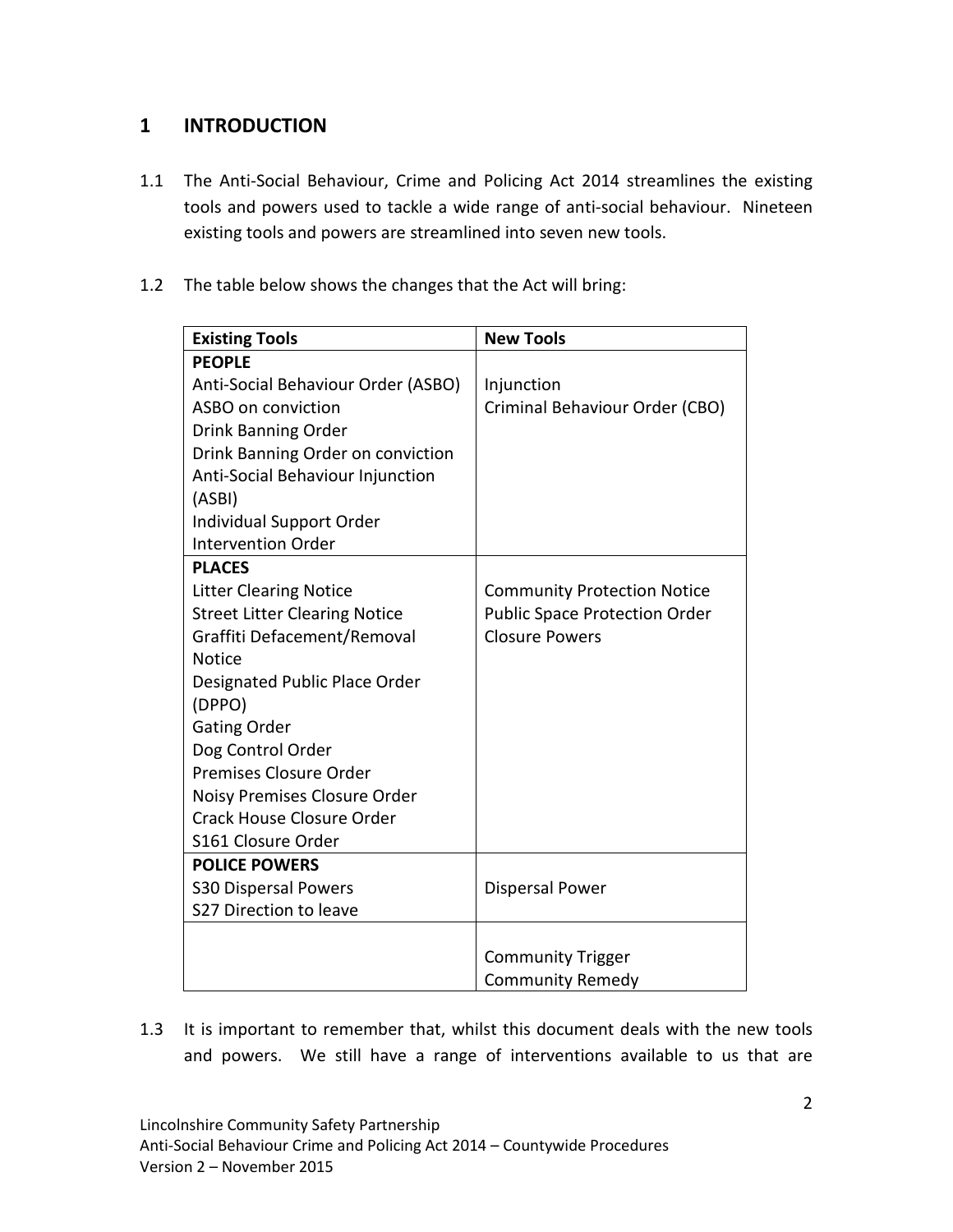# **1 INTRODUCTION**

- 1.1 The Anti-Social Behaviour, Crime and Policing Act 2014 streamlines the existing tools and powers used to tackle a wide range of anti-social behaviour. Nineteen existing tools and powers are streamlined into seven new tools.
- 1.2 The table below shows the changes that the Act will bring:

| <b>Existing Tools</b>                | <b>New Tools</b>                     |
|--------------------------------------|--------------------------------------|
| <b>PEOPLE</b>                        |                                      |
| Anti-Social Behaviour Order (ASBO)   | Injunction                           |
| ASBO on conviction                   | Criminal Behaviour Order (CBO)       |
| Drink Banning Order                  |                                      |
| Drink Banning Order on conviction    |                                      |
| Anti-Social Behaviour Injunction     |                                      |
| (ASBI)                               |                                      |
| Individual Support Order             |                                      |
| <b>Intervention Order</b>            |                                      |
| <b>PLACES</b>                        |                                      |
| <b>Litter Clearing Notice</b>        | <b>Community Protection Notice</b>   |
| <b>Street Litter Clearing Notice</b> | <b>Public Space Protection Order</b> |
| Graffiti Defacement/Removal          | <b>Closure Powers</b>                |
| <b>Notice</b>                        |                                      |
| Designated Public Place Order        |                                      |
| (DPPO)                               |                                      |
| <b>Gating Order</b>                  |                                      |
| Dog Control Order                    |                                      |
| Premises Closure Order               |                                      |
| Noisy Premises Closure Order         |                                      |
| <b>Crack House Closure Order</b>     |                                      |
| S161 Closure Order                   |                                      |
| <b>POLICE POWERS</b>                 |                                      |
| <b>S30 Dispersal Powers</b>          | <b>Dispersal Power</b>               |
| S27 Direction to leave               |                                      |
|                                      |                                      |
|                                      | <b>Community Trigger</b>             |
|                                      | <b>Community Remedy</b>              |

1.3 It is important to remember that, whilst this document deals with the new tools and powers. We still have a range of interventions available to us that are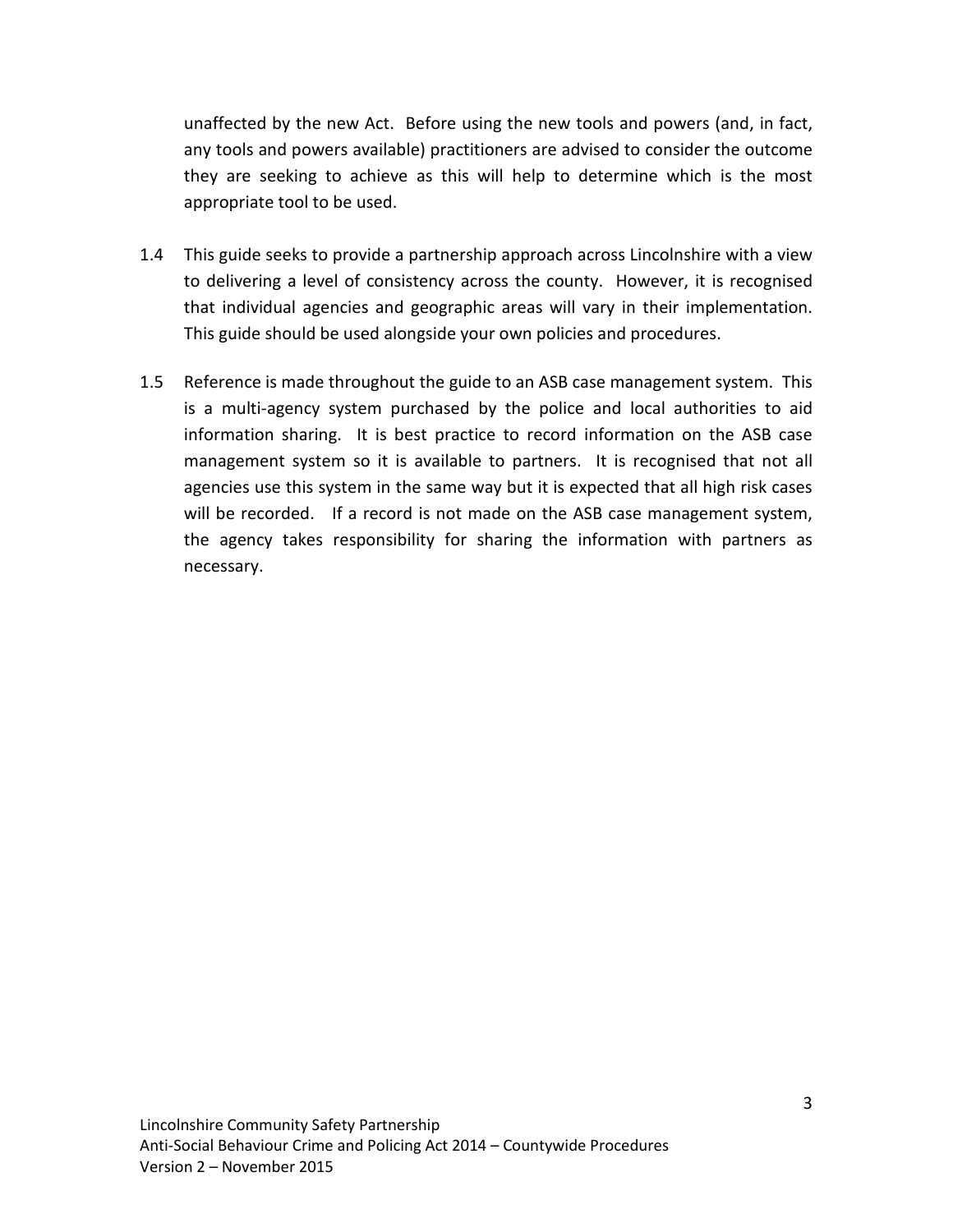unaffected by the new Act. Before using the new tools and powers (and, in fact, any tools and powers available) practitioners are advised to consider the outcome they are seeking to achieve as this will help to determine which is the most appropriate tool to be used.

- 1.4 This guide seeks to provide a partnership approach across Lincolnshire with a view to delivering a level of consistency across the county. However, it is recognised that individual agencies and geographic areas will vary in their implementation. This guide should be used alongside your own policies and procedures.
- 1.5 Reference is made throughout the guide to an ASB case management system. This is a multi-agency system purchased by the police and local authorities to aid information sharing. It is best practice to record information on the ASB case management system so it is available to partners. It is recognised that not all agencies use this system in the same way but it is expected that all high risk cases will be recorded. If a record is not made on the ASB case management system, the agency takes responsibility for sharing the information with partners as necessary.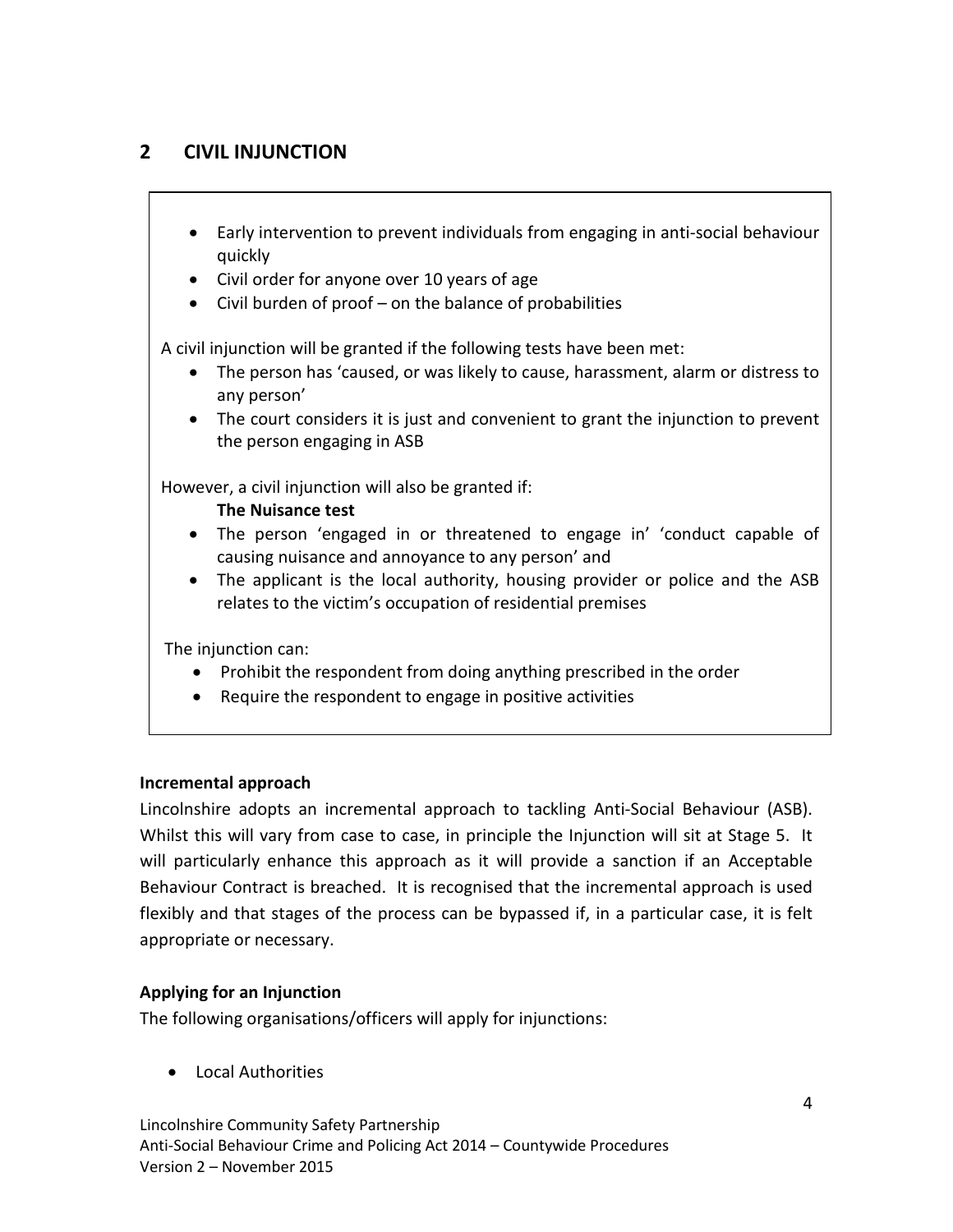# **2 CIVIL INJUNCTION**

- Early intervention to prevent individuals from engaging in anti-social behaviour quickly
- Civil order for anyone over 10 years of age
- Civil burden of proof on the balance of probabilities

A civil injunction will be granted if the following tests have been met:

- The person has 'caused, or was likely to cause, harassment, alarm or distress to any person'
- The court considers it is just and convenient to grant the injunction to prevent the person engaging in ASB

However, a civil injunction will also be granted if:

#### **The Nuisance test**

- The person 'engaged in or threatened to engage in' 'conduct capable of causing nuisance and annoyance to any person' and
- The applicant is the local authority, housing provider or police and the ASB relates to the victim's occupation of residential premises

The injunction can:

- Prohibit the respondent from doing anything prescribed in the order
- Require the respondent to engage in positive activities

# **Incremental approach**

Lincolnshire adopts an incremental approach to tackling Anti-Social Behaviour (ASB). Whilst this will vary from case to case, in principle the Injunction will sit at Stage 5. It will particularly enhance this approach as it will provide a sanction if an Acceptable Behaviour Contract is breached. It is recognised that the incremental approach is used flexibly and that stages of the process can be bypassed if, in a particular case, it is felt appropriate or necessary.

# **Applying for an Injunction**

The following organisations/officers will apply for injunctions:

• Local Authorities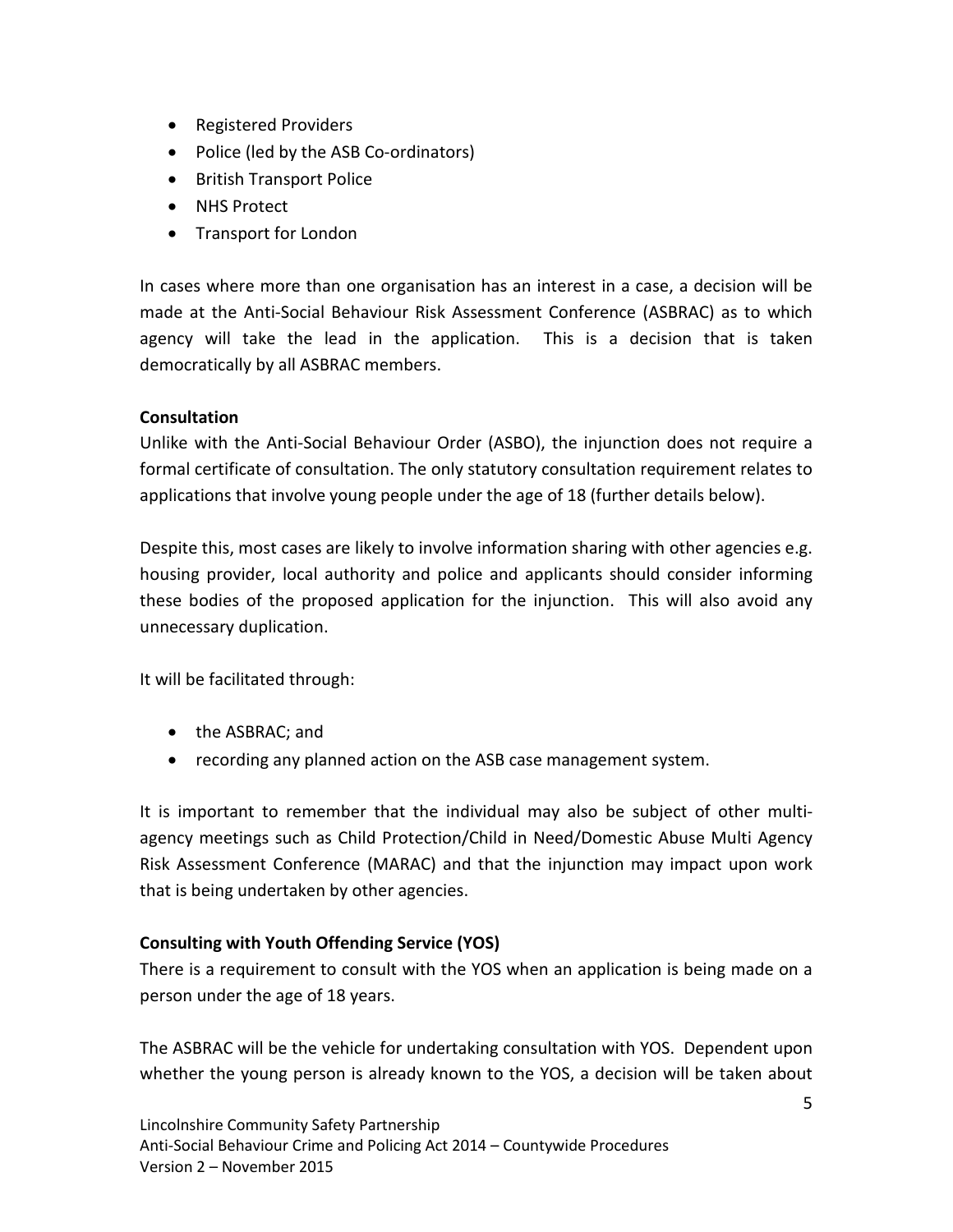- Registered Providers
- Police (led by the ASB Co-ordinators)
- British Transport Police
- NHS Protect
- Transport for London

In cases where more than one organisation has an interest in a case, a decision will be made at the Anti-Social Behaviour Risk Assessment Conference (ASBRAC) as to which agency will take the lead in the application. This is a decision that is taken democratically by all ASBRAC members.

# **Consultation**

Unlike with the Anti-Social Behaviour Order (ASBO), the injunction does not require a formal certificate of consultation. The only statutory consultation requirement relates to applications that involve young people under the age of 18 (further details below).

Despite this, most cases are likely to involve information sharing with other agencies e.g. housing provider, local authority and police and applicants should consider informing these bodies of the proposed application for the injunction. This will also avoid any unnecessary duplication.

It will be facilitated through:

- the ASBRAC; and
- recording any planned action on the ASB case management system.

It is important to remember that the individual may also be subject of other multiagency meetings such as Child Protection/Child in Need/Domestic Abuse Multi Agency Risk Assessment Conference (MARAC) and that the injunction may impact upon work that is being undertaken by other agencies.

# **Consulting with Youth Offending Service (YOS)**

There is a requirement to consult with the YOS when an application is being made on a person under the age of 18 years.

The ASBRAC will be the vehicle for undertaking consultation with YOS. Dependent upon whether the young person is already known to the YOS, a decision will be taken about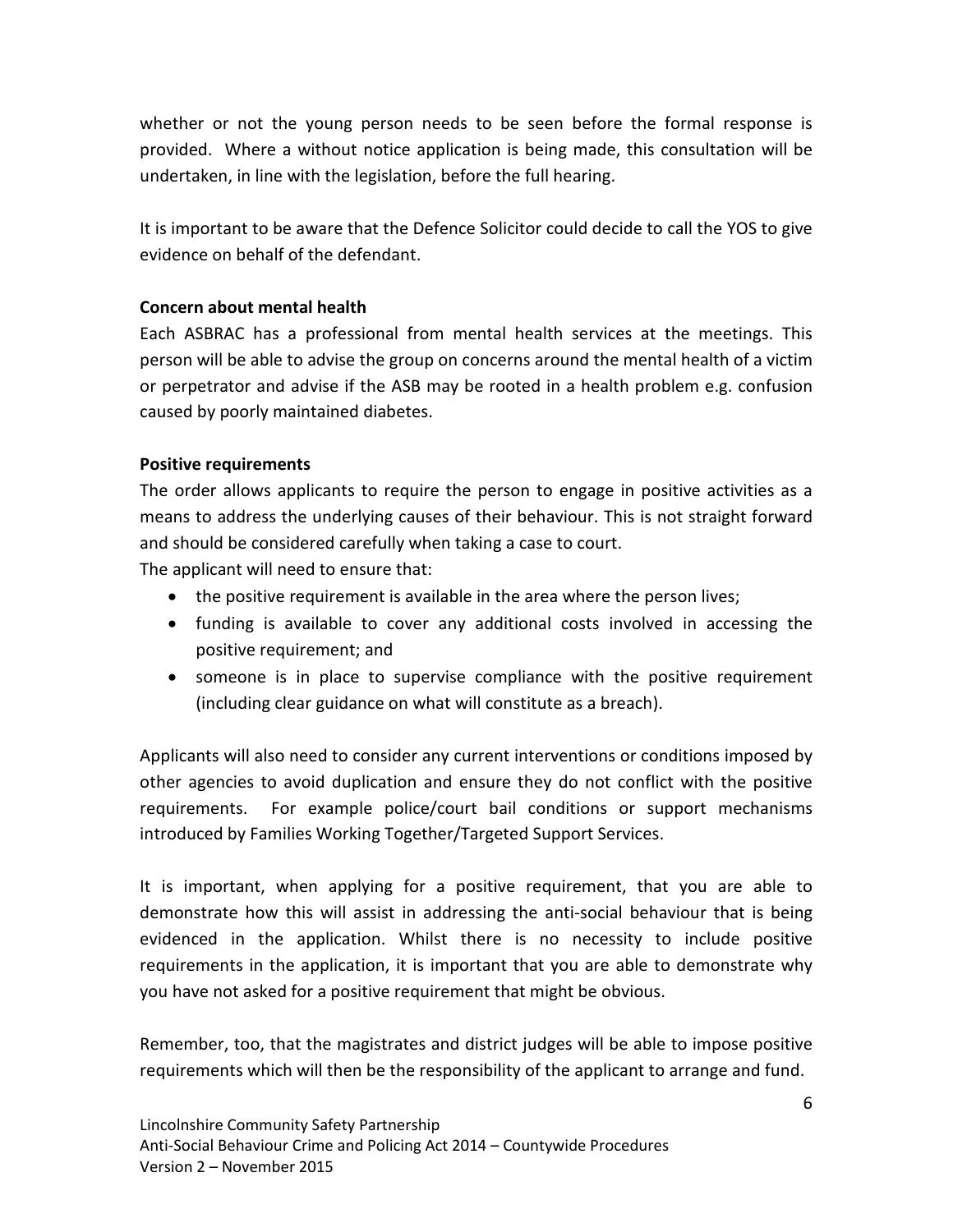whether or not the young person needs to be seen before the formal response is provided. Where a without notice application is being made, this consultation will be undertaken, in line with the legislation, before the full hearing.

It is important to be aware that the Defence Solicitor could decide to call the YOS to give evidence on behalf of the defendant.

# **Concern about mental health**

Each ASBRAC has a professional from mental health services at the meetings. This person will be able to advise the group on concerns around the mental health of a victim or perpetrator and advise if the ASB may be rooted in a health problem e.g. confusion caused by poorly maintained diabetes.

# **Positive requirements**

The order allows applicants to require the person to engage in positive activities as a means to address the underlying causes of their behaviour. This is not straight forward and should be considered carefully when taking a case to court.

The applicant will need to ensure that:

- the positive requirement is available in the area where the person lives;
- funding is available to cover any additional costs involved in accessing the positive requirement; and
- someone is in place to supervise compliance with the positive requirement (including clear guidance on what will constitute as a breach).

Applicants will also need to consider any current interventions or conditions imposed by other agencies to avoid duplication and ensure they do not conflict with the positive requirements. For example police/court bail conditions or support mechanisms introduced by Families Working Together/Targeted Support Services.

It is important, when applying for a positive requirement, that you are able to demonstrate how this will assist in addressing the anti-social behaviour that is being evidenced in the application. Whilst there is no necessity to include positive requirements in the application, it is important that you are able to demonstrate why you have not asked for a positive requirement that might be obvious.

Remember, too, that the magistrates and district judges will be able to impose positive requirements which will then be the responsibility of the applicant to arrange and fund.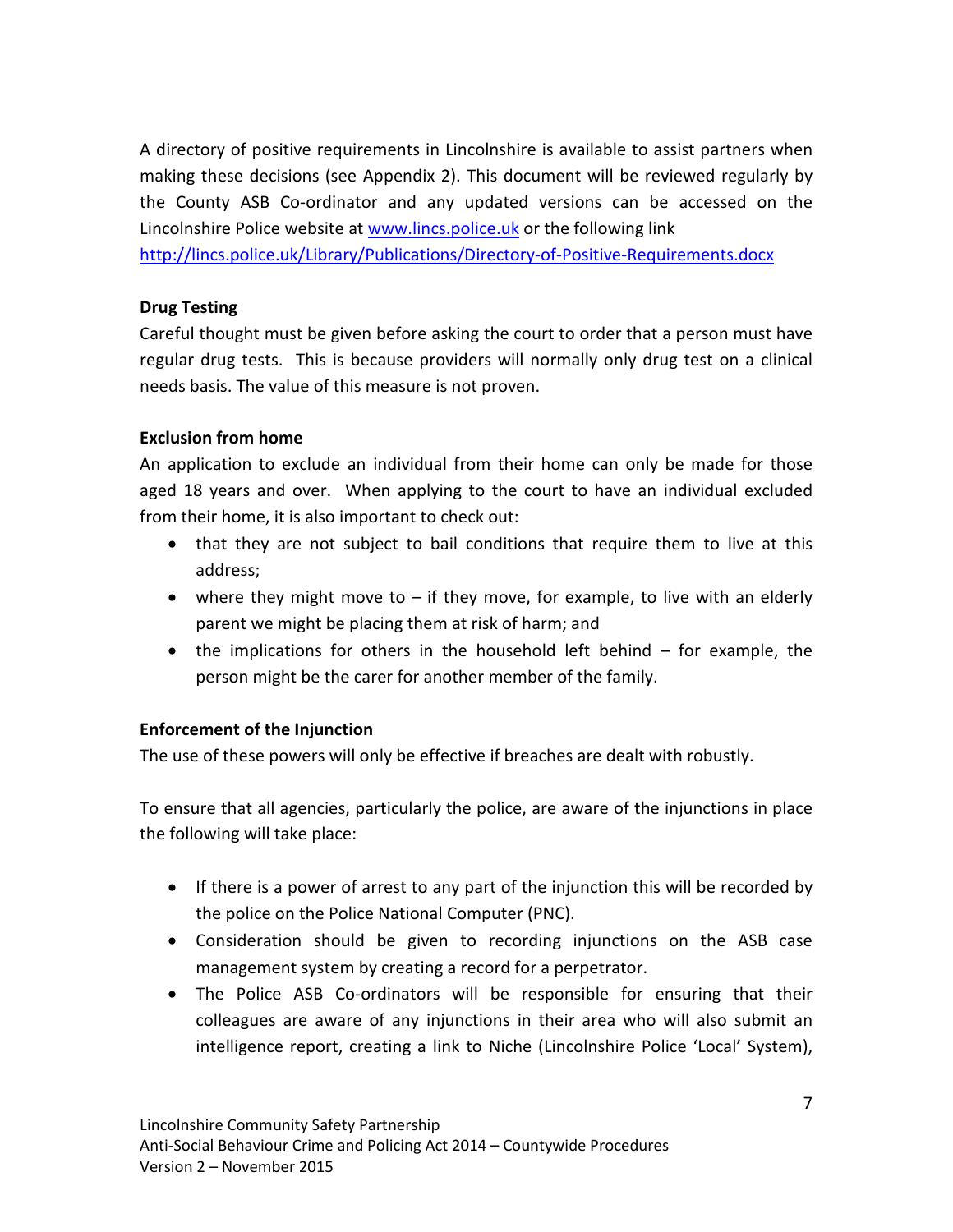A directory of positive requirements in Lincolnshire is available to assist partners when making these decisions (see Appendix 2). This document will be reviewed regularly by the County ASB Co-ordinator and any updated versions can be accessed on the Lincolnshire Police website at [www.lincs.police.uk](http://www.lincs.police.uk/) or the following link

<http://lincs.police.uk/Library/Publications/Directory-of-Positive-Requirements.docx>

# **Drug Testing**

Careful thought must be given before asking the court to order that a person must have regular drug tests. This is because providers will normally only drug test on a clinical needs basis. The value of this measure is not proven.

# **Exclusion from home**

An application to exclude an individual from their home can only be made for those aged 18 years and over. When applying to the court to have an individual excluded from their home, it is also important to check out:

- that they are not subject to bail conditions that require them to live at this address;
- where they might move to  $-$  if they move, for example, to live with an elderly parent we might be placing them at risk of harm; and
- the implications for others in the household left behind for example, the person might be the carer for another member of the family.

# **Enforcement of the Injunction**

The use of these powers will only be effective if breaches are dealt with robustly.

To ensure that all agencies, particularly the police, are aware of the injunctions in place the following will take place:

- If there is a power of arrest to any part of the injunction this will be recorded by the police on the Police National Computer (PNC).
- Consideration should be given to recording injunctions on the ASB case management system by creating a record for a perpetrator.
- The Police ASB Co-ordinators will be responsible for ensuring that their colleagues are aware of any injunctions in their area who will also submit an intelligence report, creating a link to Niche (Lincolnshire Police 'Local' System),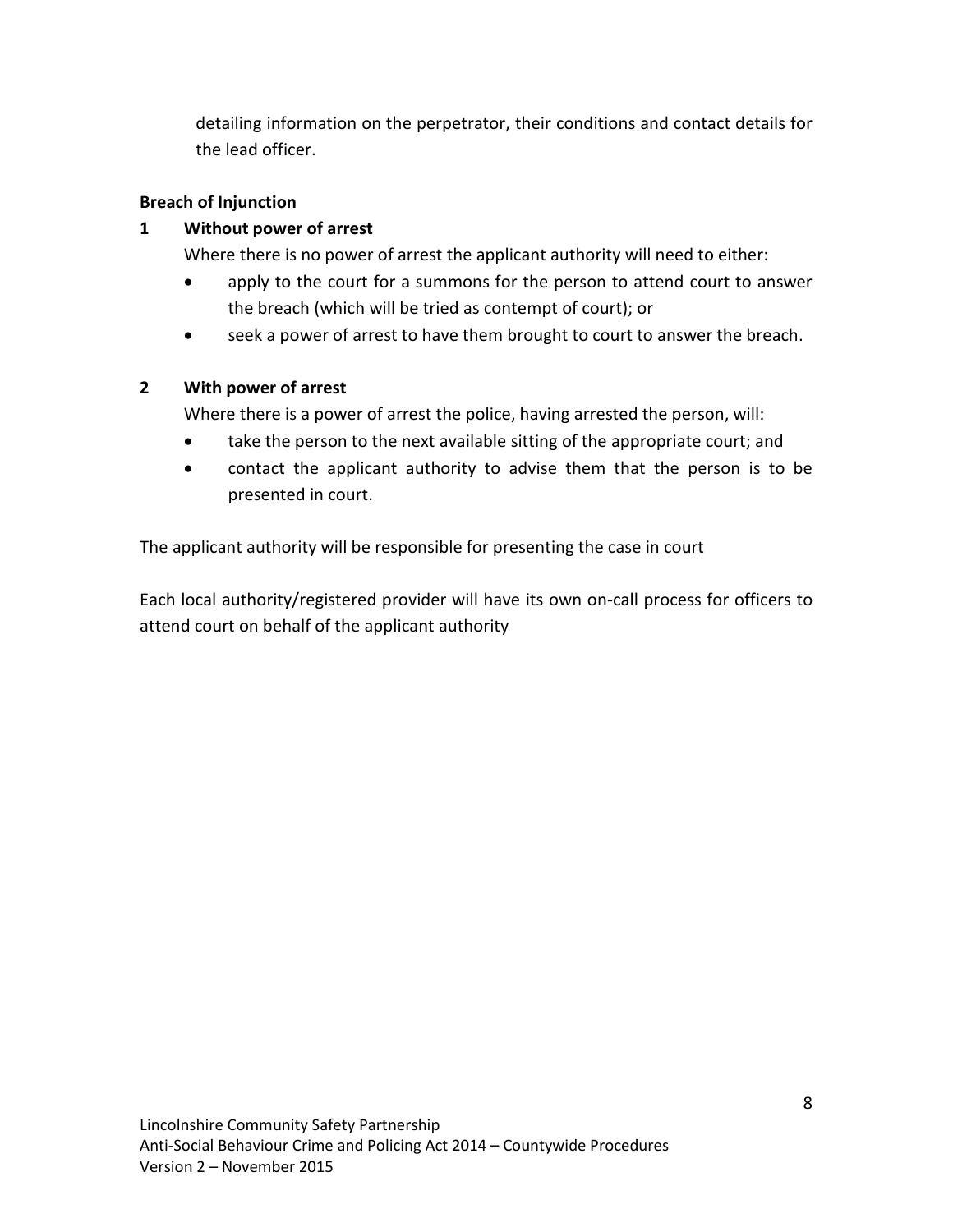detailing information on the perpetrator, their conditions and contact details for the lead officer.

# **Breach of Injunction**

# **1 Without power of arrest**

Where there is no power of arrest the applicant authority will need to either:

- apply to the court for a summons for the person to attend court to answer the breach (which will be tried as contempt of court); or
- seek a power of arrest to have them brought to court to answer the breach.

# **2 With power of arrest**

Where there is a power of arrest the police, having arrested the person, will:

- take the person to the next available sitting of the appropriate court; and
- contact the applicant authority to advise them that the person is to be presented in court.

The applicant authority will be responsible for presenting the case in court

Each local authority/registered provider will have its own on-call process for officers to attend court on behalf of the applicant authority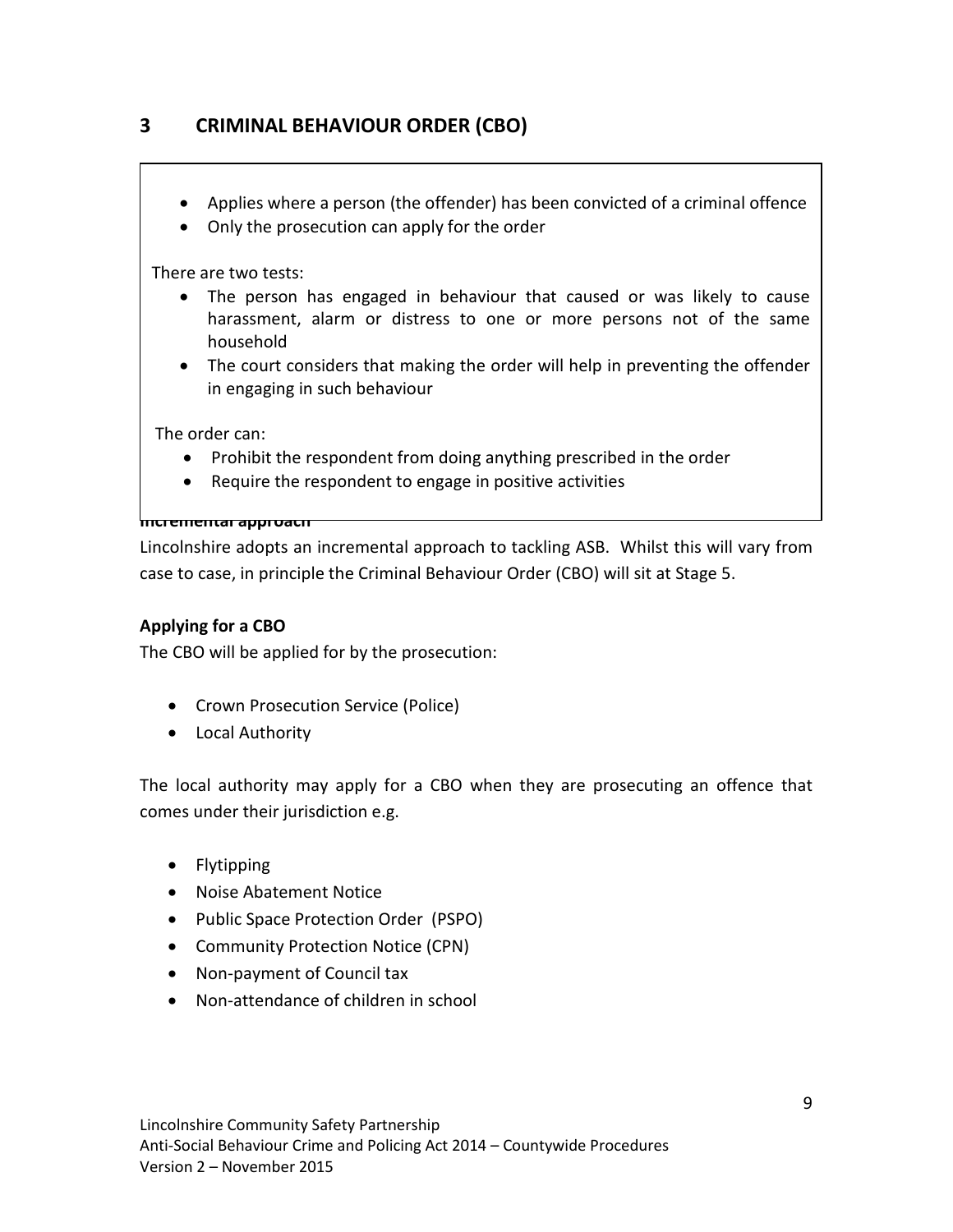# **3 CRIMINAL BEHAVIOUR ORDER (CBO)**

- Applies where a person (the offender) has been convicted of a criminal offence
- Only the prosecution can apply for the order

There are two tests:

- The person has engaged in behaviour that caused or was likely to cause harassment, alarm or distress to one or more persons not of the same household
- The court considers that making the order will help in preventing the offender in engaging in such behaviour

The order can:

- Prohibit the respondent from doing anything prescribed in the order
- Require the respondent to engage in positive activities

#### **Incremental approach**

Lincolnshire adopts an incremental approach to tackling ASB. Whilst this will vary from case to case, in principle the Criminal Behaviour Order (CBO) will sit at Stage 5.

#### **Applying for a CBO**

The CBO will be applied for by the prosecution:

- Crown Prosecution Service (Police)
- Local Authority

The local authority may apply for a CBO when they are prosecuting an offence that comes under their jurisdiction e.g.

- Flytipping
- Noise Abatement Notice
- Public Space Protection Order (PSPO)
- Community Protection Notice (CPN)
- Non-payment of Council tax
- Non-attendance of children in school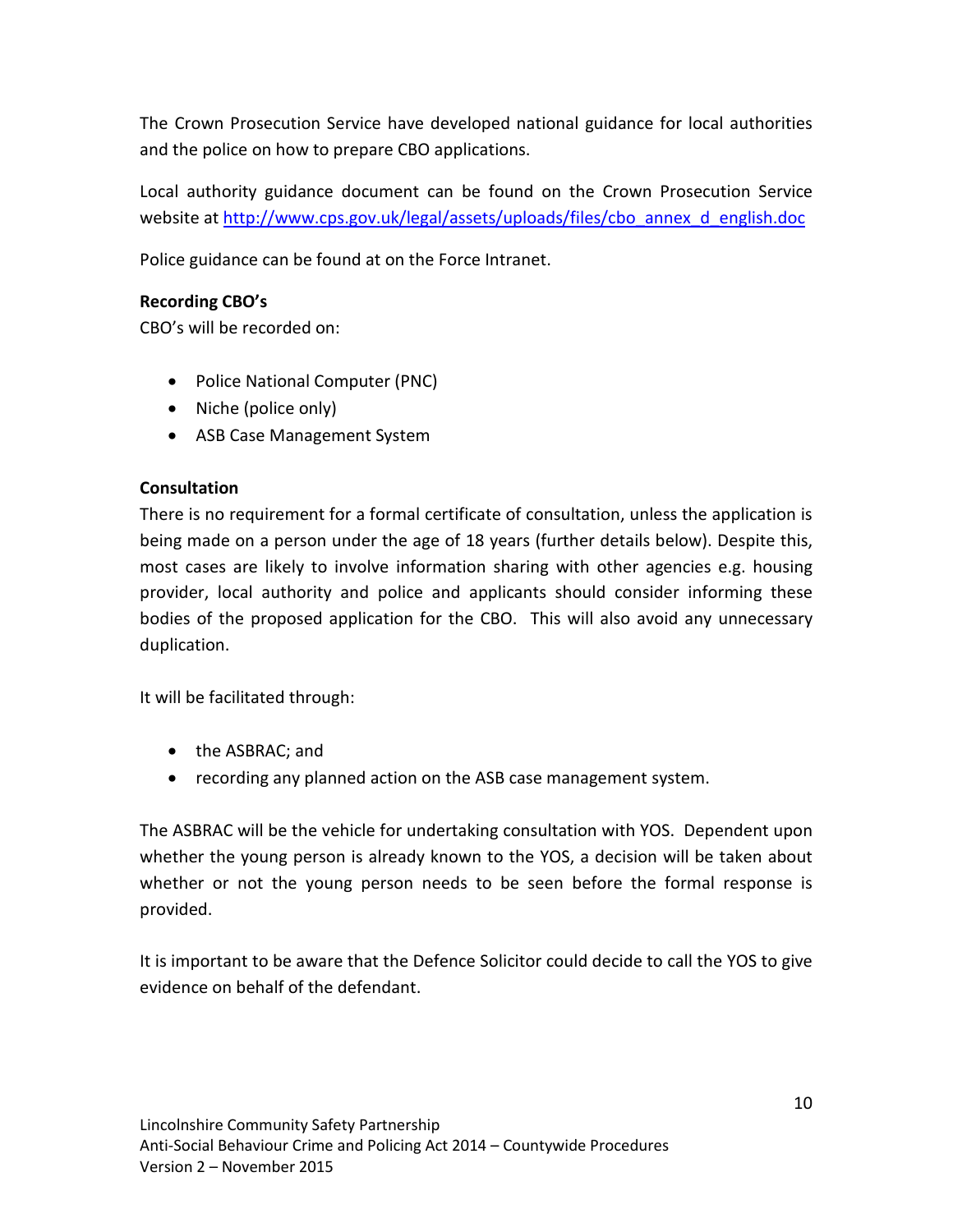The Crown Prosecution Service have developed national guidance for local authorities and the police on how to prepare CBO applications.

Local authority guidance document can be found on the Crown Prosecution Service website at [http://www.cps.gov.uk/legal/assets/uploads/files/cbo\\_annex\\_d\\_english.doc](http://www.cps.gov.uk/legal/assets/uploads/files/cbo_annex_d_english.doc)

Police guidance can be found at on the Force Intranet.

# **Recording CBO's**

CBO's will be recorded on:

- Police National Computer (PNC)
- Niche (police only)
- ASB Case Management System

# **Consultation**

There is no requirement for a formal certificate of consultation, unless the application is being made on a person under the age of 18 years (further details below). Despite this, most cases are likely to involve information sharing with other agencies e.g. housing provider, local authority and police and applicants should consider informing these bodies of the proposed application for the CBO. This will also avoid any unnecessary duplication.

It will be facilitated through:

- the ASBRAC; and
- recording any planned action on the ASB case management system.

The ASBRAC will be the vehicle for undertaking consultation with YOS. Dependent upon whether the young person is already known to the YOS, a decision will be taken about whether or not the young person needs to be seen before the formal response is provided.

It is important to be aware that the Defence Solicitor could decide to call the YOS to give evidence on behalf of the defendant.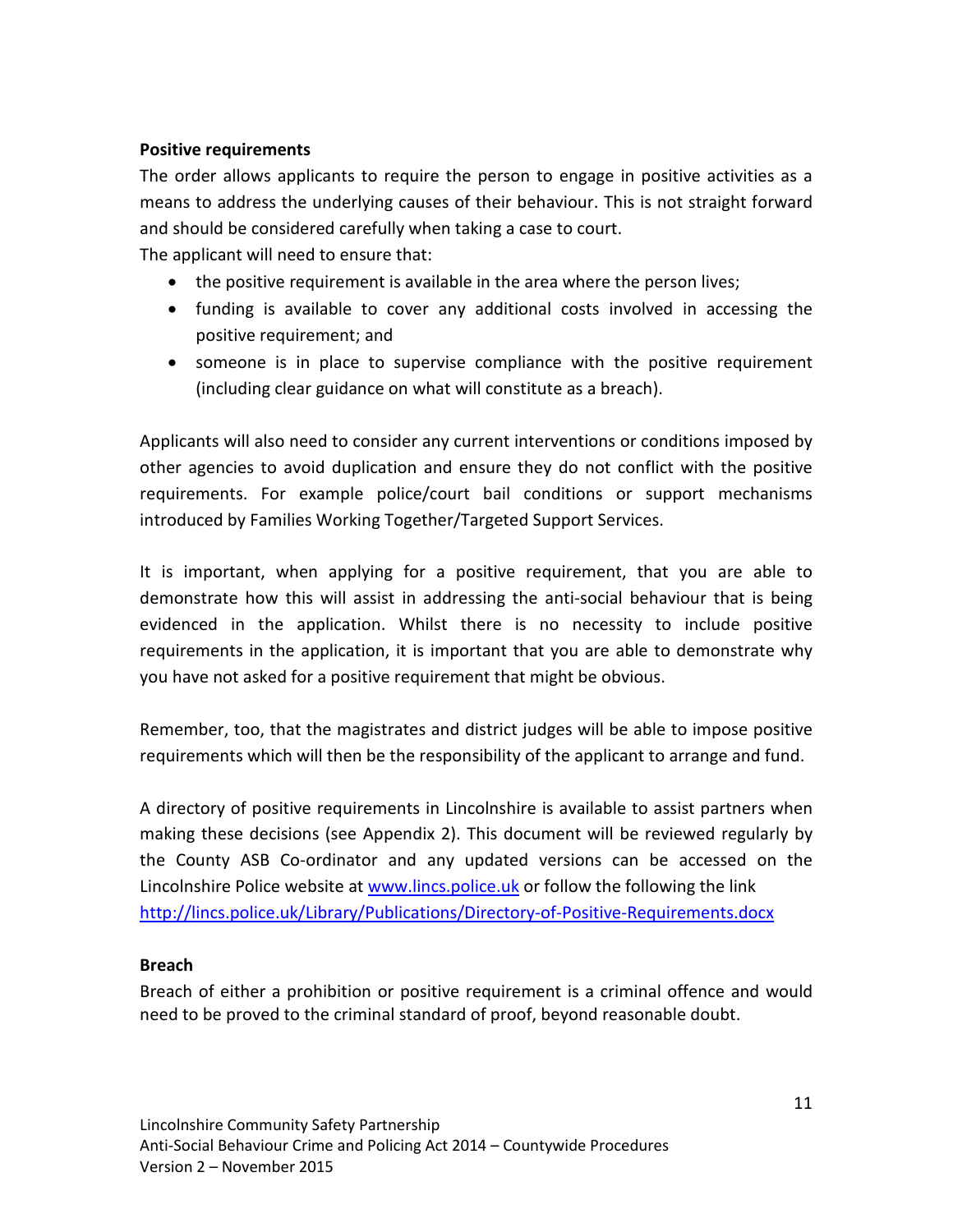# **Positive requirements**

The order allows applicants to require the person to engage in positive activities as a means to address the underlying causes of their behaviour. This is not straight forward and should be considered carefully when taking a case to court.

The applicant will need to ensure that:

- the positive requirement is available in the area where the person lives;
- funding is available to cover any additional costs involved in accessing the positive requirement; and
- someone is in place to supervise compliance with the positive requirement (including clear guidance on what will constitute as a breach).

Applicants will also need to consider any current interventions or conditions imposed by other agencies to avoid duplication and ensure they do not conflict with the positive requirements. For example police/court bail conditions or support mechanisms introduced by Families Working Together/Targeted Support Services.

It is important, when applying for a positive requirement, that you are able to demonstrate how this will assist in addressing the anti-social behaviour that is being evidenced in the application. Whilst there is no necessity to include positive requirements in the application, it is important that you are able to demonstrate why you have not asked for a positive requirement that might be obvious.

Remember, too, that the magistrates and district judges will be able to impose positive requirements which will then be the responsibility of the applicant to arrange and fund.

A directory of positive requirements in Lincolnshire is available to assist partners when making these decisions (see Appendix 2). This document will be reviewed regularly by the County ASB Co-ordinator and any updated versions can be accessed on the Lincolnshire Police website at [www.lincs.police.uk](http://www.lincs.police.uk/) or follow the following the link <http://lincs.police.uk/Library/Publications/Directory-of-Positive-Requirements.docx>

#### **Breach**

Breach of either a prohibition or positive requirement is a criminal offence and would need to be proved to the criminal standard of proof, beyond reasonable doubt.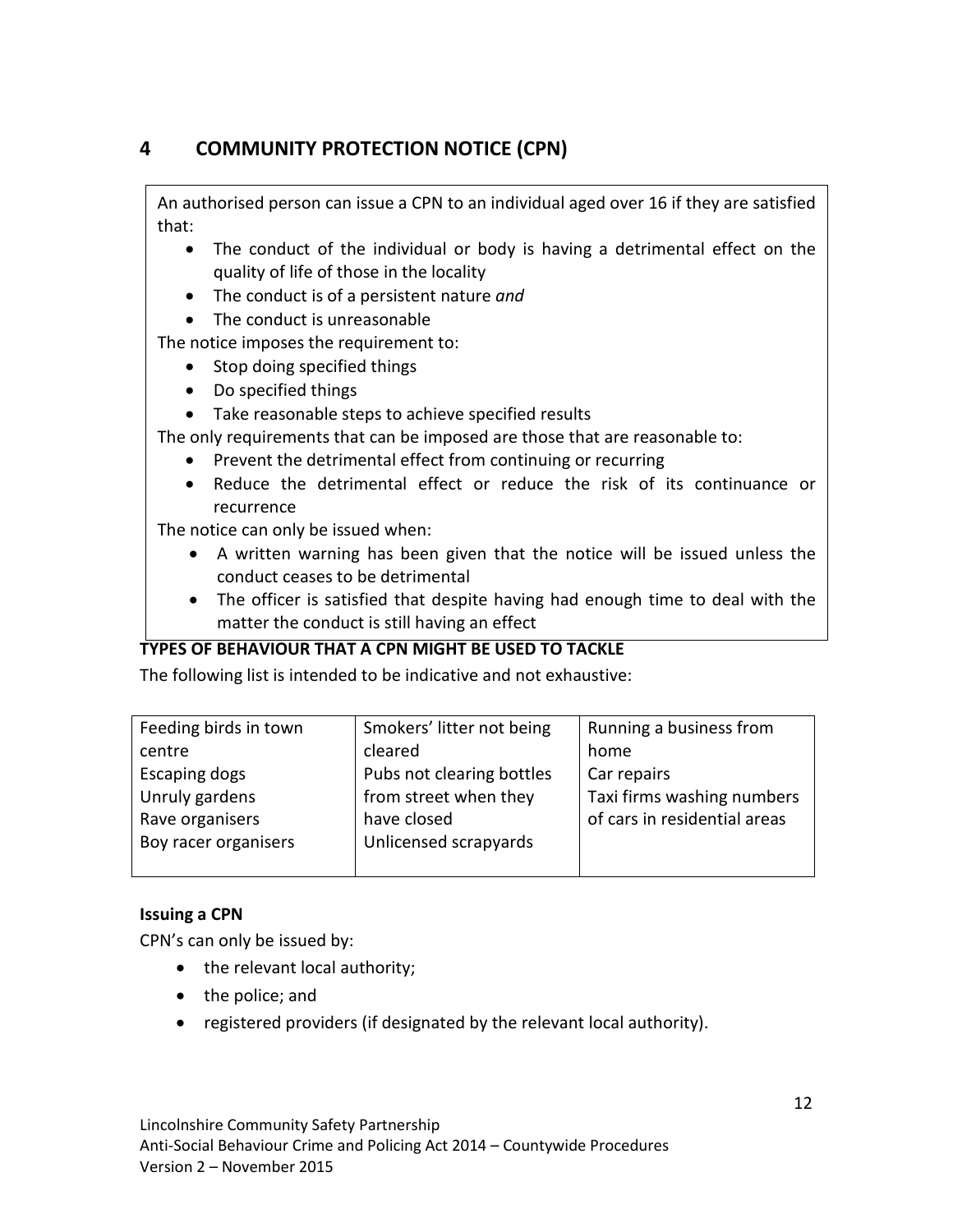# **4 COMMUNITY PROTECTION NOTICE (CPN)**

An authorised person can issue a CPN to an individual aged over 16 if they are satisfied that:

- The conduct of the individual or body is having a detrimental effect on the quality of life of those in the locality
- The conduct is of a persistent nature *and*
- The conduct is unreasonable

The notice imposes the requirement to:

- Stop doing specified things
- Do specified things
- Take reasonable steps to achieve specified results

The only requirements that can be imposed are those that are reasonable to:

- Prevent the detrimental effect from continuing or recurring
- Reduce the detrimental effect or reduce the risk of its continuance or recurrence

The notice can only be issued when:

- A written warning has been given that the notice will be issued unless the conduct ceases to be detrimental
- The officer is satisfied that despite having had enough time to deal with the matter the conduct is still having an effect

# **TYPES OF BEHAVIOUR THAT A CPN MIGHT BE USED TO TACKLE**

The following list is intended to be indicative and not exhaustive:

| Feeding birds in town | Smokers' litter not being | Running a business from      |
|-----------------------|---------------------------|------------------------------|
| centre                | cleared                   | home                         |
| Escaping dogs         | Pubs not clearing bottles | Car repairs                  |
| Unruly gardens        | from street when they     | Taxi firms washing numbers   |
| Rave organisers       | have closed               | of cars in residential areas |
| Boy racer organisers  | Unlicensed scrapyards     |                              |
|                       |                           |                              |

# **Issuing a CPN**

CPN's can only be issued by:

- the relevant local authority;
- the police; and
- registered providers (if designated by the relevant local authority).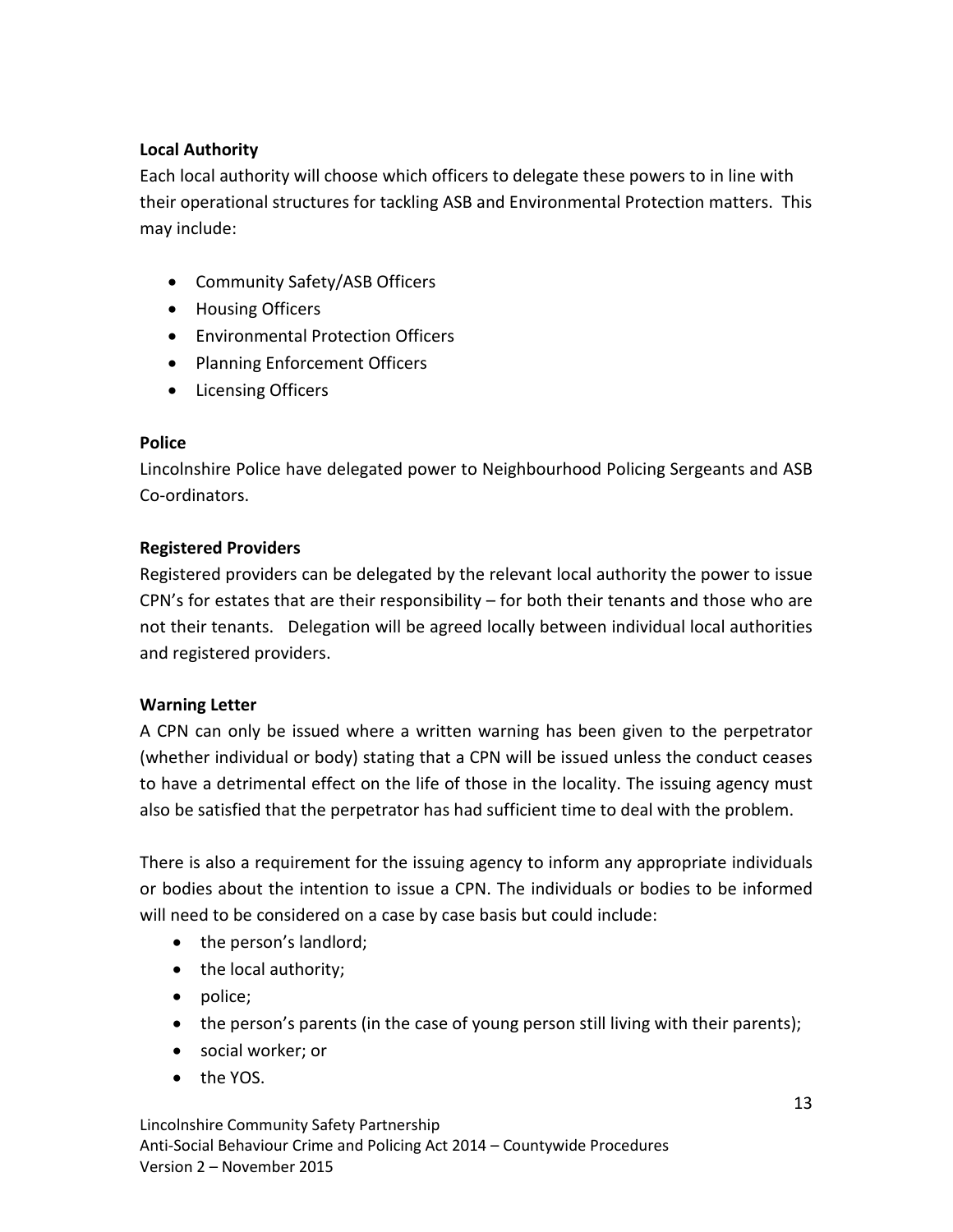# **Local Authority**

Each local authority will choose which officers to delegate these powers to in line with their operational structures for tackling ASB and Environmental Protection matters. This may include:

- Community Safety/ASB Officers
- Housing Officers
- Environmental Protection Officers
- Planning Enforcement Officers
- Licensing Officers

# **Police**

Lincolnshire Police have delegated power to Neighbourhood Policing Sergeants and ASB Co-ordinators.

# **Registered Providers**

Registered providers can be delegated by the relevant local authority the power to issue CPN's for estates that are their responsibility – for both their tenants and those who are not their tenants. Delegation will be agreed locally between individual local authorities and registered providers.

# **Warning Letter**

A CPN can only be issued where a written warning has been given to the perpetrator (whether individual or body) stating that a CPN will be issued unless the conduct ceases to have a detrimental effect on the life of those in the locality. The issuing agency must also be satisfied that the perpetrator has had sufficient time to deal with the problem.

There is also a requirement for the issuing agency to inform any appropriate individuals or bodies about the intention to issue a CPN. The individuals or bodies to be informed will need to be considered on a case by case basis but could include:

- the person's landlord;
- the local authority;
- police;
- the person's parents (in the case of young person still living with their parents);
- social worker; or
- the YOS.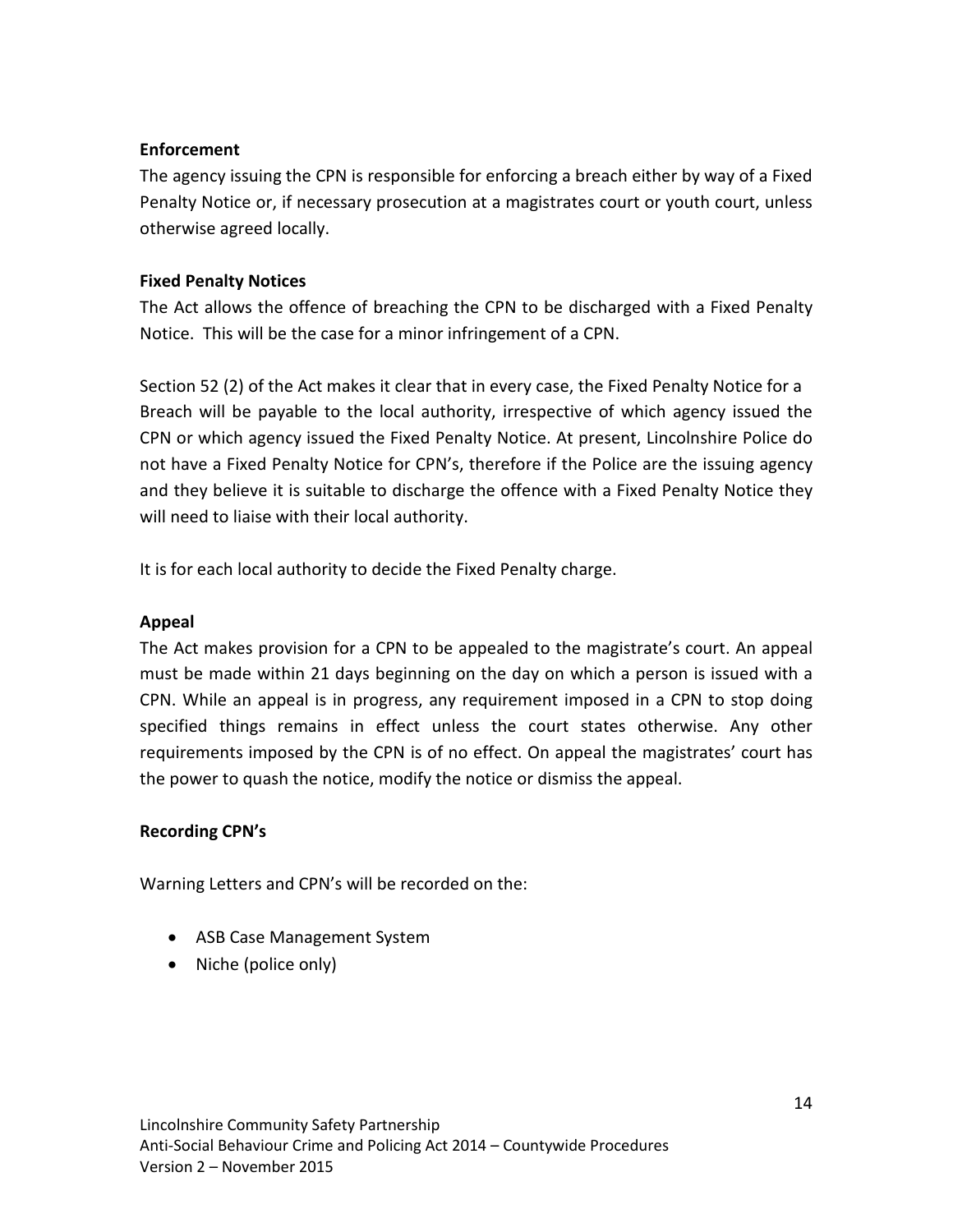# **Enforcement**

The agency issuing the CPN is responsible for enforcing a breach either by way of a Fixed Penalty Notice or, if necessary prosecution at a magistrates court or youth court, unless otherwise agreed locally.

# **Fixed Penalty Notices**

The Act allows the offence of breaching the CPN to be discharged with a Fixed Penalty Notice. This will be the case for a minor infringement of a CPN.

Section 52 (2) of the Act makes it clear that in every case, the Fixed Penalty Notice for a Breach will be payable to the local authority, irrespective of which agency issued the CPN or which agency issued the Fixed Penalty Notice. At present, Lincolnshire Police do not have a Fixed Penalty Notice for CPN's, therefore if the Police are the issuing agency and they believe it is suitable to discharge the offence with a Fixed Penalty Notice they will need to liaise with their local authority.

It is for each local authority to decide the Fixed Penalty charge.

# **Appeal**

The Act makes provision for a CPN to be appealed to the magistrate's court. An appeal must be made within 21 days beginning on the day on which a person is issued with a CPN. While an appeal is in progress, any requirement imposed in a CPN to stop doing specified things remains in effect unless the court states otherwise. Any other requirements imposed by the CPN is of no effect. On appeal the magistrates' court has the power to quash the notice, modify the notice or dismiss the appeal.

# **Recording CPN's**

Warning Letters and CPN's will be recorded on the:

- ASB Case Management System
- Niche (police only)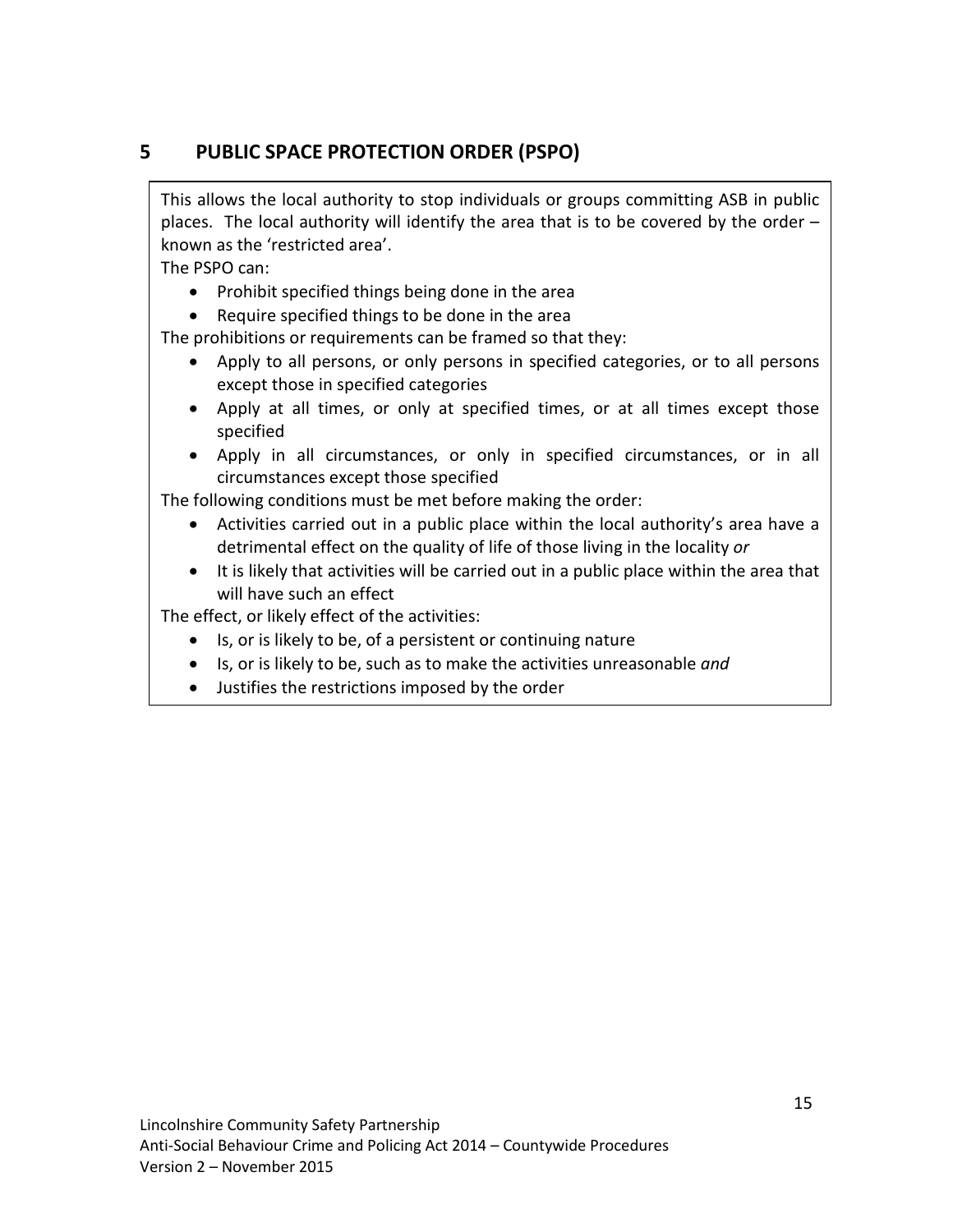# **5 PUBLIC SPACE PROTECTION ORDER (PSPO)**

This allows the local authority to stop individuals or groups committing ASB in public places. The local authority will identify the area that is to be covered by the order – known as the 'restricted area'.

The PSPO can:

- Prohibit specified things being done in the area
- Require specified things to be done in the area

The prohibitions or requirements can be framed so that they:

- Apply to all persons, or only persons in specified categories, or to all persons except those in specified categories
- Apply at all times, or only at specified times, or at all times except those specified
- Apply in all circumstances, or only in specified circumstances, or in all circumstances except those specified

The following conditions must be met before making the order:

- Activities carried out in a public place within the local authority's area have a detrimental effect on the quality of life of those living in the locality *or*
- It is likely that activities will be carried out in a public place within the area that will have such an effect

The effect, or likely effect of the activities:

- Is, or is likely to be, of a persistent or continuing nature
- Is, or is likely to be, such as to make the activities unreasonable *and*
- Justifies the restrictions imposed by the order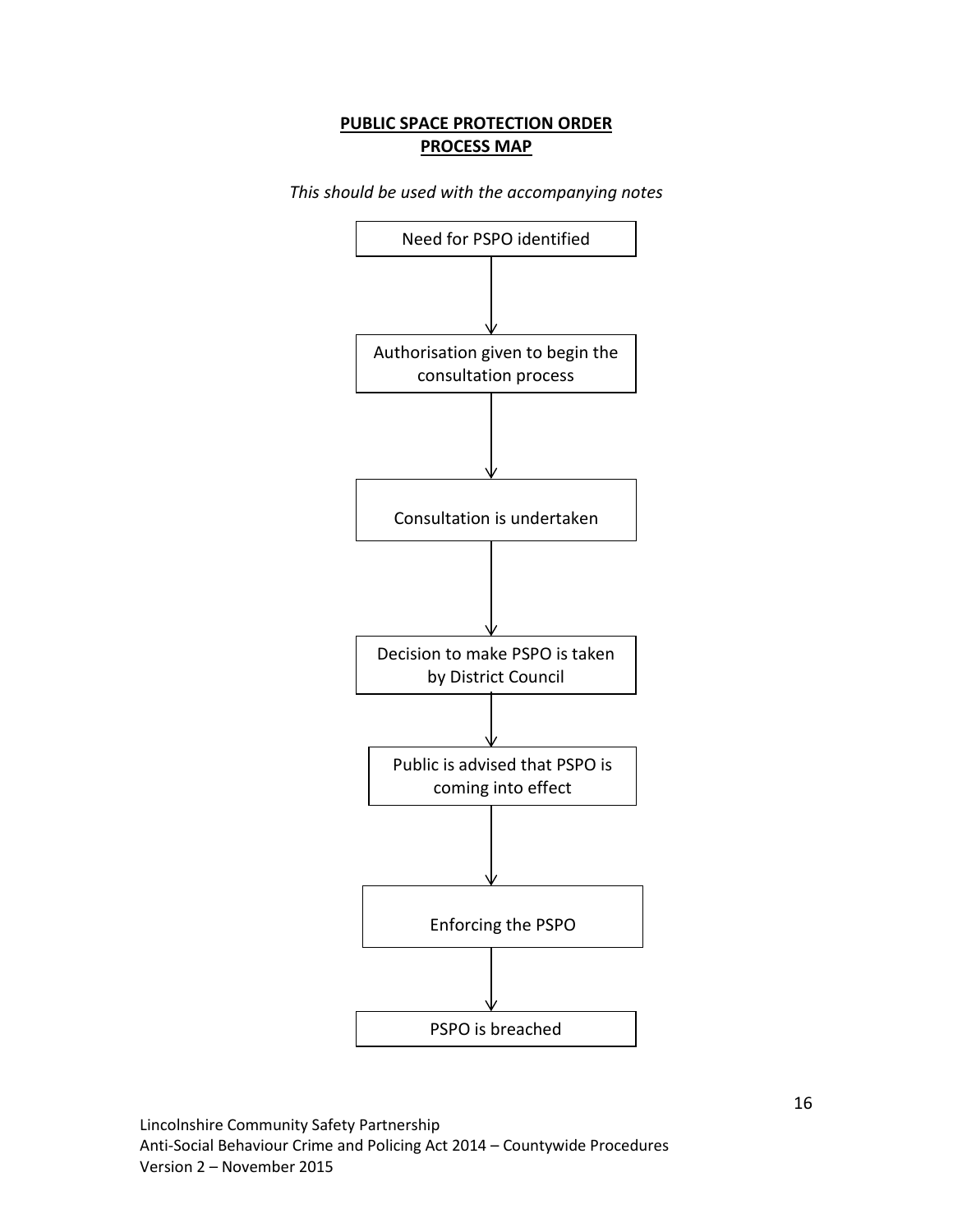# **PUBLIC SPACE PROTECTION ORDER PROCESS MAP**

*This should be used with the accompanying notes* 

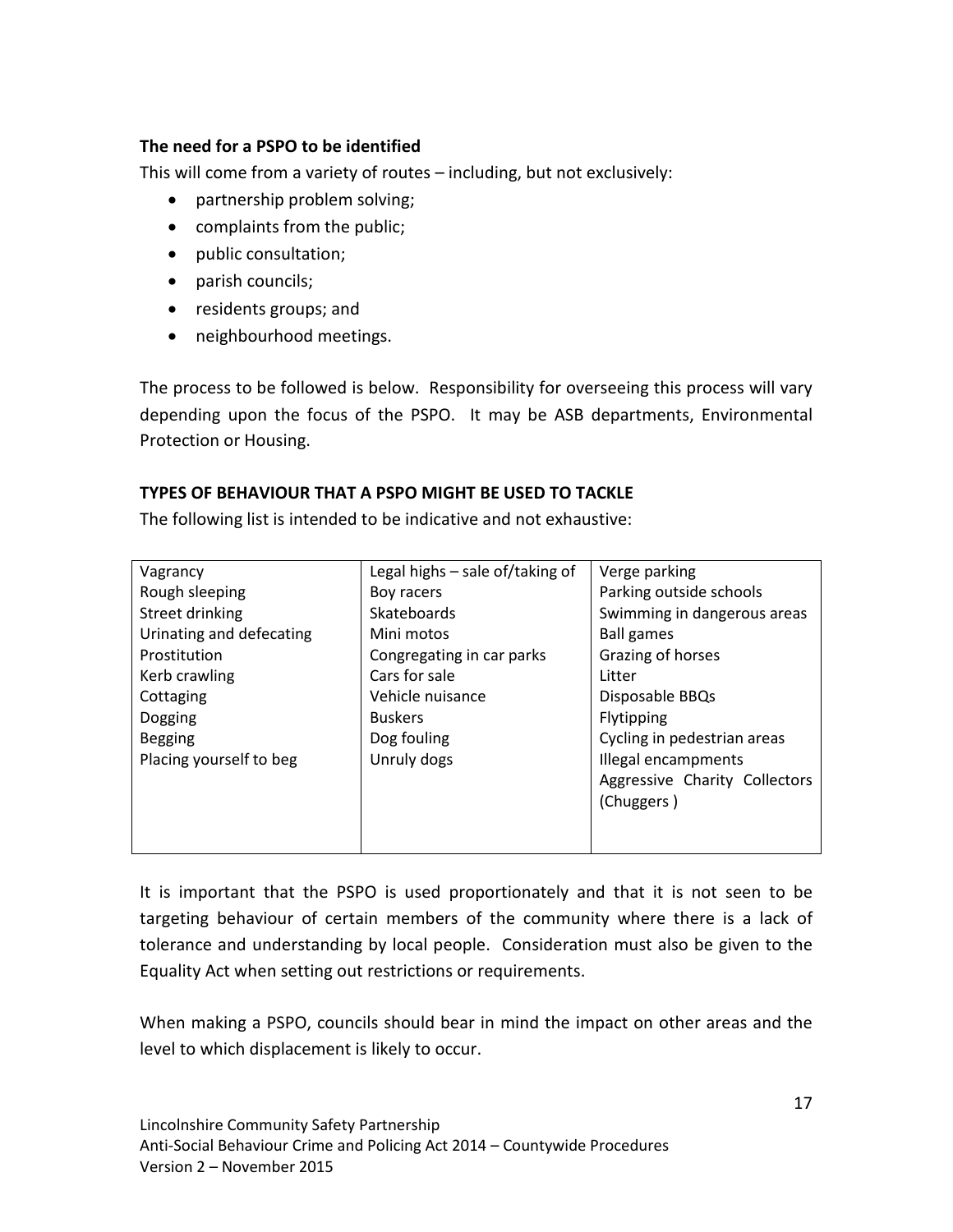# **The need for a PSPO to be identified**

This will come from a variety of routes – including, but not exclusively:

- partnership problem solving;
- complaints from the public;
- public consultation;
- parish councils;
- residents groups; and
- neighbourhood meetings.

The process to be followed is below. Responsibility for overseeing this process will vary depending upon the focus of the PSPO. It may be ASB departments, Environmental Protection or Housing.

# **TYPES OF BEHAVIOUR THAT A PSPO MIGHT BE USED TO TACKLE**

The following list is intended to be indicative and not exhaustive:

| Vagrancy                 | Legal highs - sale of/taking of | Verge parking                 |
|--------------------------|---------------------------------|-------------------------------|
| Rough sleeping           | Boy racers                      | Parking outside schools       |
| Street drinking          | Skateboards                     | Swimming in dangerous areas   |
| Urinating and defecating | Mini motos                      | <b>Ball games</b>             |
| Prostitution             | Congregating in car parks       | Grazing of horses             |
| Kerb crawling            | Cars for sale                   | Litter                        |
| Cottaging                | Vehicle nuisance                | Disposable BBQs               |
| <b>Dogging</b>           | <b>Buskers</b>                  | Flytipping                    |
| <b>Begging</b>           | Dog fouling                     | Cycling in pedestrian areas   |
| Placing yourself to beg  | Unruly dogs                     | Illegal encampments           |
|                          |                                 | Aggressive Charity Collectors |
|                          |                                 | (Chuggers)                    |
|                          |                                 |                               |
|                          |                                 |                               |

It is important that the PSPO is used proportionately and that it is not seen to be targeting behaviour of certain members of the community where there is a lack of tolerance and understanding by local people. Consideration must also be given to the Equality Act when setting out restrictions or requirements.

When making a PSPO, councils should bear in mind the impact on other areas and the level to which displacement is likely to occur.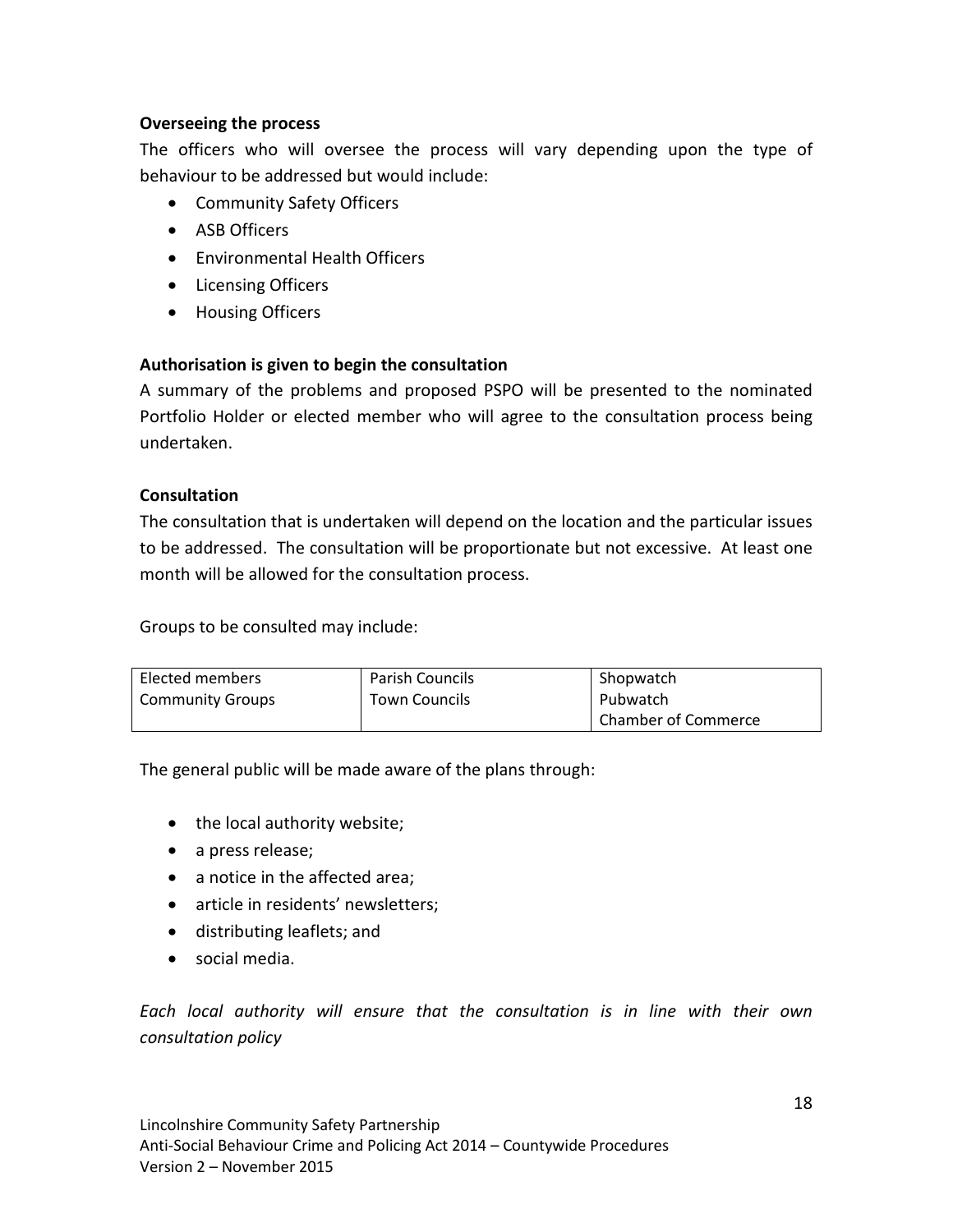# **Overseeing the process**

The officers who will oversee the process will vary depending upon the type of behaviour to be addressed but would include:

- Community Safety Officers
- ASB Officers
- Environmental Health Officers
- Licensing Officers
- Housing Officers

# **Authorisation is given to begin the consultation**

A summary of the problems and proposed PSPO will be presented to the nominated Portfolio Holder or elected member who will agree to the consultation process being undertaken.

#### **Consultation**

The consultation that is undertaken will depend on the location and the particular issues to be addressed. The consultation will be proportionate but not excessive. At least one month will be allowed for the consultation process.

Groups to be consulted may include:

| Elected members         | <b>Parish Councils</b> | Shopwatch           |
|-------------------------|------------------------|---------------------|
| <b>Community Groups</b> | <b>Town Councils</b>   | Pubwatch            |
|                         |                        | Chamber of Commerce |

The general public will be made aware of the plans through:

- the local authority website;
- a press release;
- a notice in the affected area;
- article in residents' newsletters;
- distributing leaflets; and
- social media.

*Each local authority will ensure that the consultation is in line with their own consultation policy*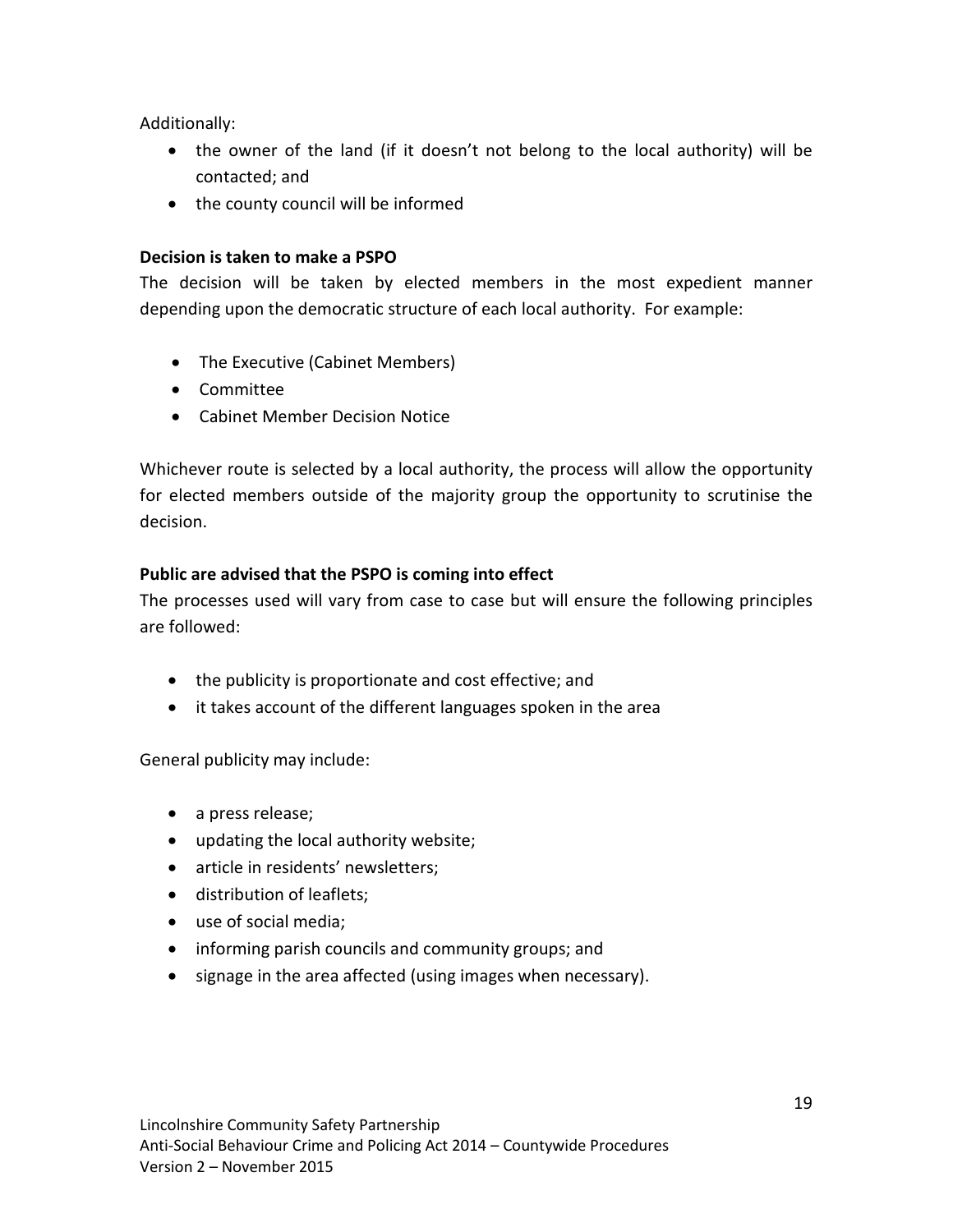Additionally:

- the owner of the land (if it doesn't not belong to the local authority) will be contacted; and
- the county council will be informed

# **Decision is taken to make a PSPO**

The decision will be taken by elected members in the most expedient manner depending upon the democratic structure of each local authority. For example:

- The Executive (Cabinet Members)
- Committee
- Cabinet Member Decision Notice

Whichever route is selected by a local authority, the process will allow the opportunity for elected members outside of the majority group the opportunity to scrutinise the decision.

# **Public are advised that the PSPO is coming into effect**

The processes used will vary from case to case but will ensure the following principles are followed:

- the publicity is proportionate and cost effective; and
- it takes account of the different languages spoken in the area

General publicity may include:

- a press release;
- updating the local authority website;
- article in residents' newsletters;
- distribution of leaflets;
- use of social media;
- informing parish councils and community groups; and
- signage in the area affected (using images when necessary).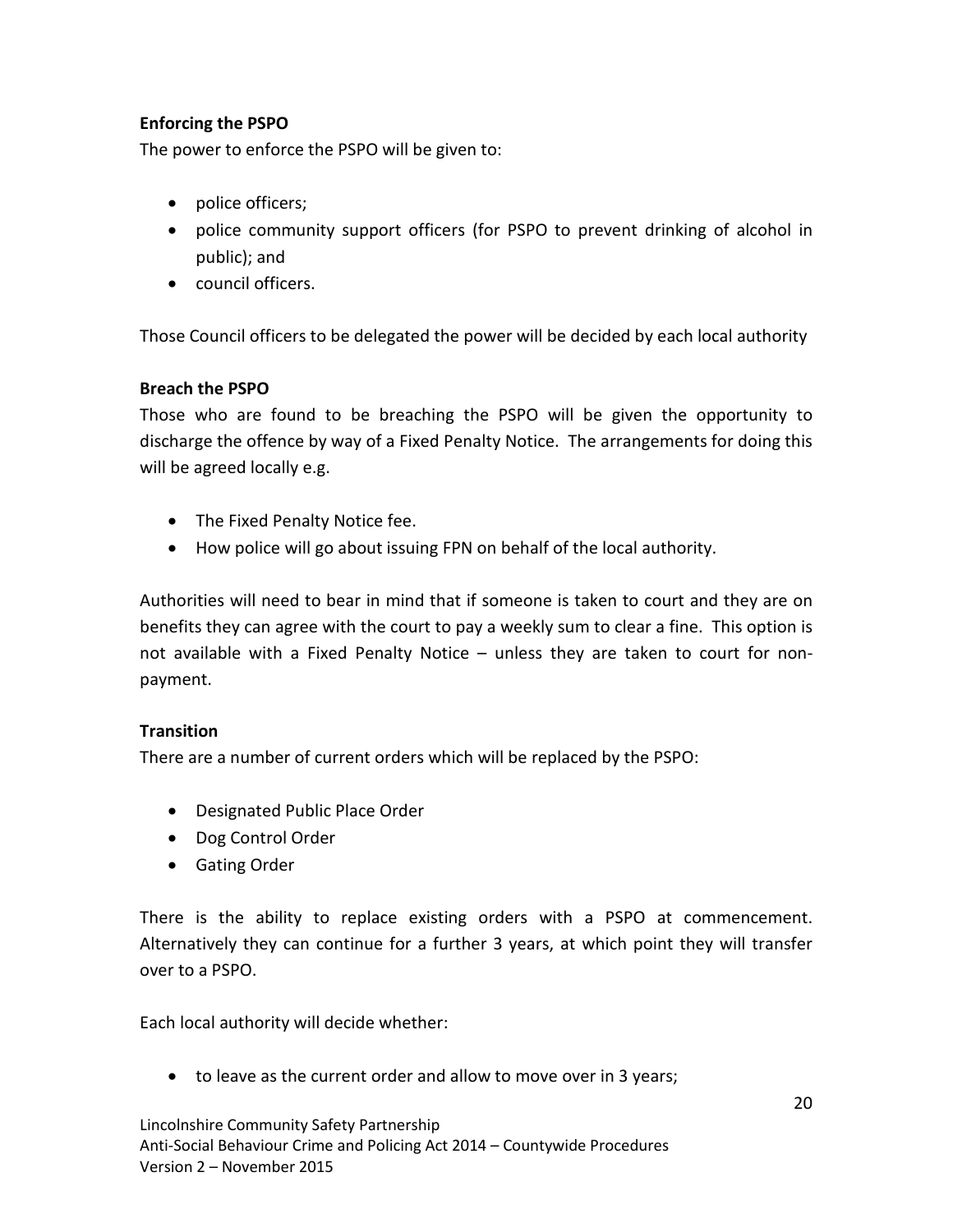# **Enforcing the PSPO**

The power to enforce the PSPO will be given to:

- police officers;
- police community support officers (for PSPO to prevent drinking of alcohol in public); and
- council officers.

Those Council officers to be delegated the power will be decided by each local authority

# **Breach the PSPO**

Those who are found to be breaching the PSPO will be given the opportunity to discharge the offence by way of a Fixed Penalty Notice. The arrangements for doing this will be agreed locally e.g.

- The Fixed Penalty Notice fee.
- How police will go about issuing FPN on behalf of the local authority.

Authorities will need to bear in mind that if someone is taken to court and they are on benefits they can agree with the court to pay a weekly sum to clear a fine. This option is not available with a Fixed Penalty Notice – unless they are taken to court for nonpayment.

# **Transition**

There are a number of current orders which will be replaced by the PSPO:

- Designated Public Place Order
- Dog Control Order
- Gating Order

There is the ability to replace existing orders with a PSPO at commencement. Alternatively they can continue for a further 3 years, at which point they will transfer over to a PSPO.

Each local authority will decide whether:

• to leave as the current order and allow to move over in 3 years;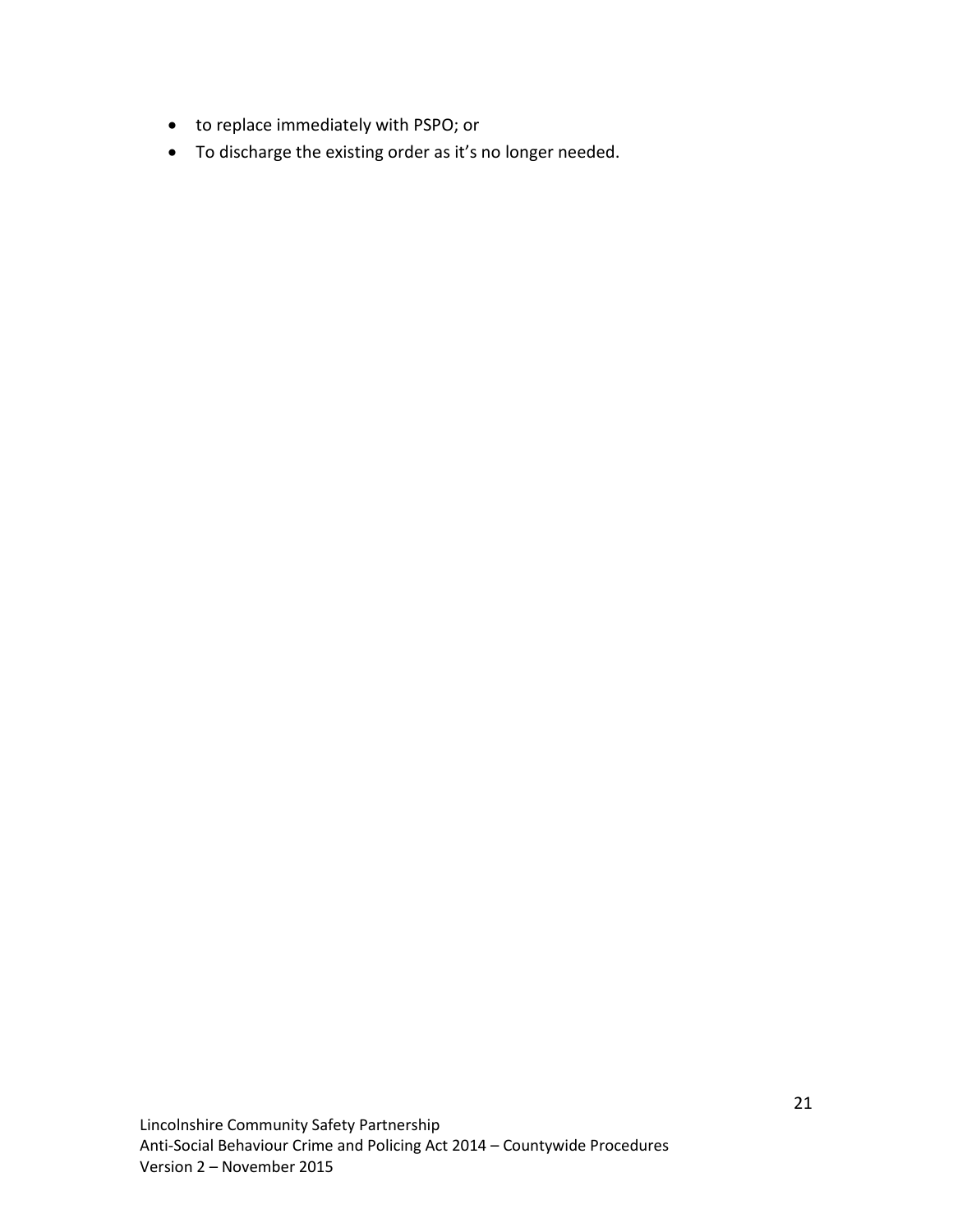- to replace immediately with PSPO; or
- To discharge the existing order as it's no longer needed.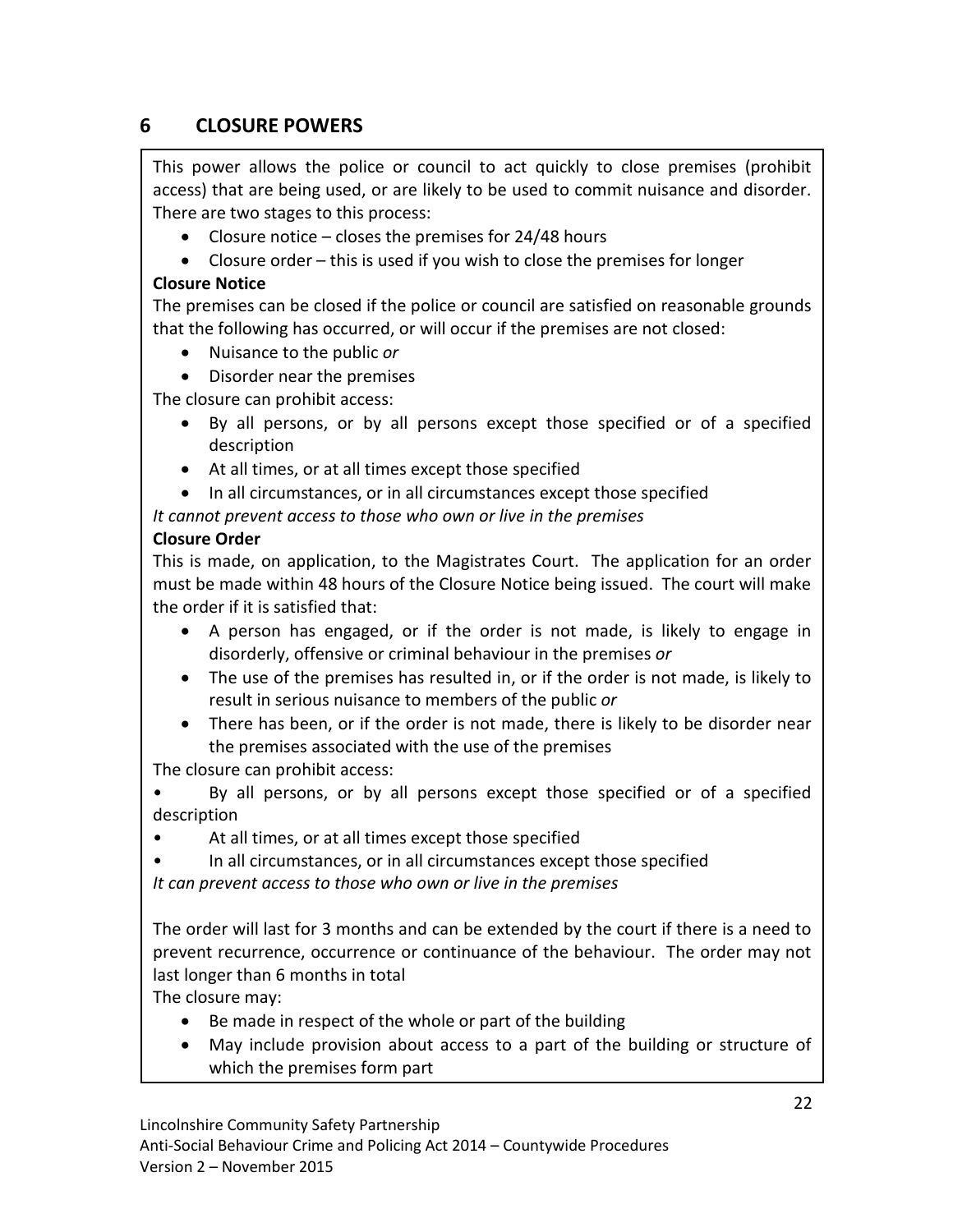# **6 CLOSURE POWERS**

This power allows the police or council to act quickly to close premises (prohibit access) that are being used, or are likely to be used to commit nuisance and disorder. There are two stages to this process:

- Closure notice closes the premises for  $24/48$  hours
- Closure order this is used if you wish to close the premises for longer

# **Closure Notice**

The premises can be closed if the police or council are satisfied on reasonable grounds that the following has occurred, or will occur if the premises are not closed:

- Nuisance to the public *or*
- Disorder near the premises

The closure can prohibit access:

- By all persons, or by all persons except those specified or of a specified description
- At all times, or at all times except those specified
- In all circumstances, or in all circumstances except those specified

*It cannot prevent access to those who own or live in the premises* 

# **Closure Order**

This is made, on application, to the Magistrates Court. The application for an order must be made within 48 hours of the Closure Notice being issued. The court will make the order if it is satisfied that:

- A person has engaged, or if the order is not made, is likely to engage in disorderly, offensive or criminal behaviour in the premises *or*
- The use of the premises has resulted in, or if the order is not made, is likely to result in serious nuisance to members of the public *or*
- There has been, or if the order is not made, there is likely to be disorder near the premises associated with the use of the premises

The closure can prohibit access:

• By all persons, or by all persons except those specified or of a specified description

At all times, or at all times except those specified

• In all circumstances, or in all circumstances except those specified *It can prevent access to those who own or live in the premises*

The order will last for 3 months and can be extended by the court if there is a need to prevent recurrence, occurrence or continuance of the behaviour. The order may not last longer than 6 months in total

The closure may:

- Be made in respect of the whole or part of the building
- May include provision about access to a part of the building or structure of which the premises form part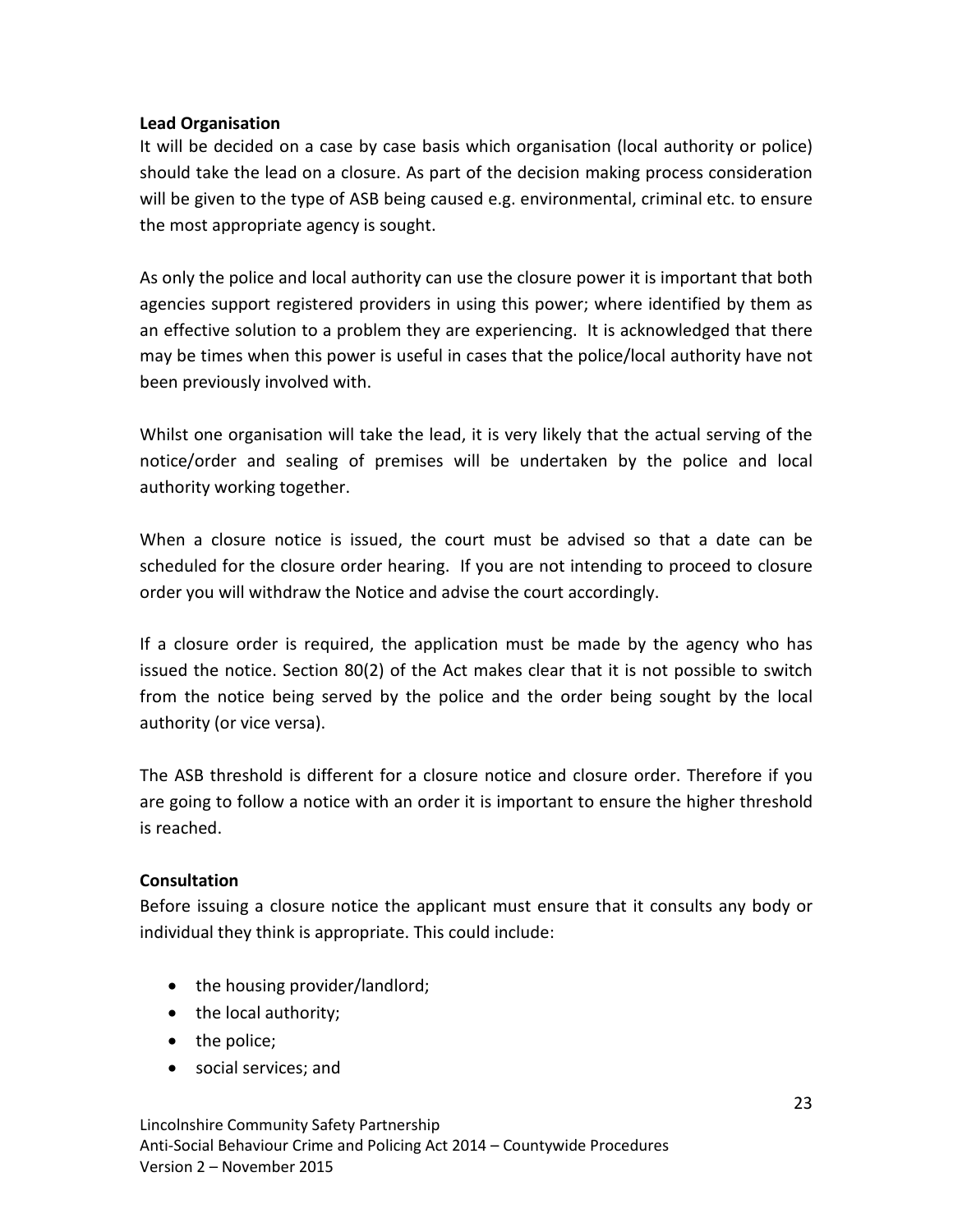# **Lead Organisation**

It will be decided on a case by case basis which organisation (local authority or police) should take the lead on a closure. As part of the decision making process consideration will be given to the type of ASB being caused e.g. environmental, criminal etc. to ensure the most appropriate agency is sought.

As only the police and local authority can use the closure power it is important that both agencies support registered providers in using this power; where identified by them as an effective solution to a problem they are experiencing. It is acknowledged that there may be times when this power is useful in cases that the police/local authority have not been previously involved with.

Whilst one organisation will take the lead, it is very likely that the actual serving of the notice/order and sealing of premises will be undertaken by the police and local authority working together.

When a closure notice is issued, the court must be advised so that a date can be scheduled for the closure order hearing. If you are not intending to proceed to closure order you will withdraw the Notice and advise the court accordingly.

If a closure order is required, the application must be made by the agency who has issued the notice. Section 80(2) of the Act makes clear that it is not possible to switch from the notice being served by the police and the order being sought by the local authority (or vice versa).

The ASB threshold is different for a closure notice and closure order. Therefore if you are going to follow a notice with an order it is important to ensure the higher threshold is reached.

# **Consultation**

Before issuing a closure notice the applicant must ensure that it consults any body or individual they think is appropriate. This could include:

- the housing provider/landlord;
- the local authority;
- the police;
- social services; and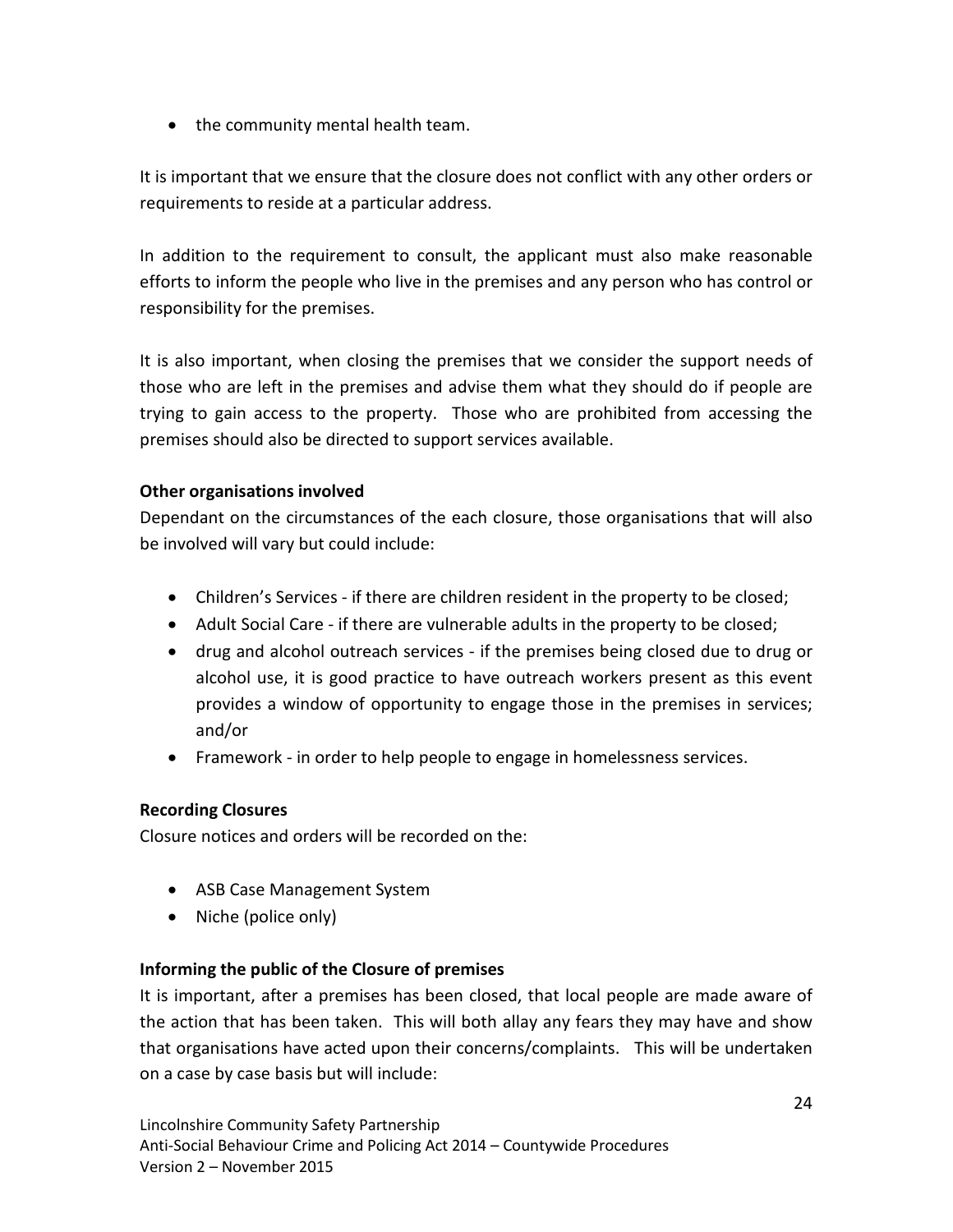• the community mental health team.

It is important that we ensure that the closure does not conflict with any other orders or requirements to reside at a particular address.

In addition to the requirement to consult, the applicant must also make reasonable efforts to inform the people who live in the premises and any person who has control or responsibility for the premises.

It is also important, when closing the premises that we consider the support needs of those who are left in the premises and advise them what they should do if people are trying to gain access to the property. Those who are prohibited from accessing the premises should also be directed to support services available.

# **Other organisations involved**

Dependant on the circumstances of the each closure, those organisations that will also be involved will vary but could include:

- Children's Services if there are children resident in the property to be closed;
- Adult Social Care *-* if there are vulnerable adults in the property to be closed;
- drug and alcohol outreach services if the premises being closed due to drug or alcohol use, it is good practice to have outreach workers present as this event provides a window of opportunity to engage those in the premises in services; and/or
- Framework *-* in order to help people to engage in homelessness services.

# **Recording Closures**

Closure notices and orders will be recorded on the:

- ASB Case Management System
- Niche (police only)

# **Informing the public of the Closure of premises**

It is important, after a premises has been closed, that local people are made aware of the action that has been taken. This will both allay any fears they may have and show that organisations have acted upon their concerns/complaints. This will be undertaken on a case by case basis but will include: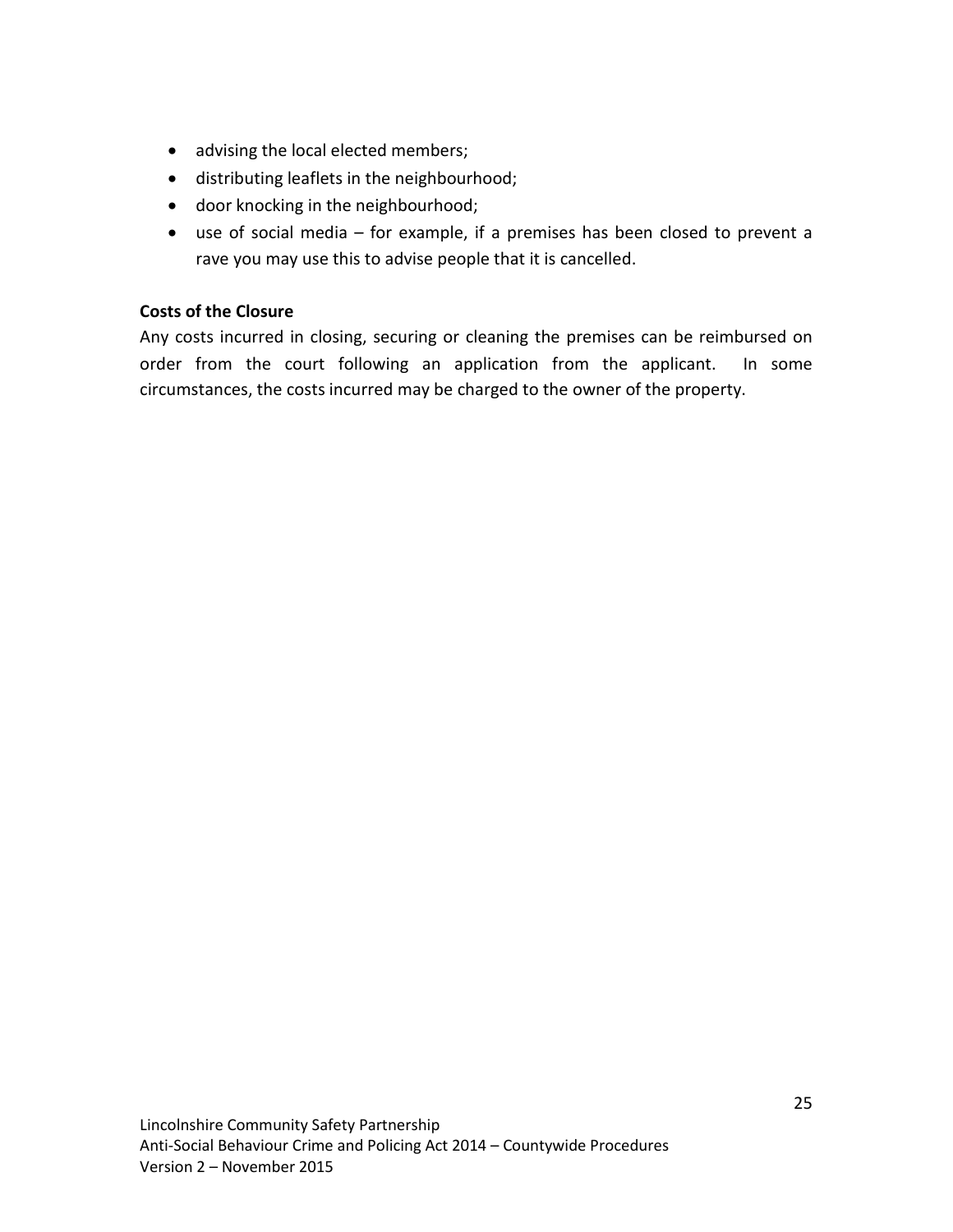- advising the local elected members;
- distributing leaflets in the neighbourhood;
- door knocking in the neighbourhood;
- use of social media for example, if a premises has been closed to prevent a rave you may use this to advise people that it is cancelled.

# **Costs of the Closure**

Any costs incurred in closing, securing or cleaning the premises can be reimbursed on order from the court following an application from the applicant. In some circumstances, the costs incurred may be charged to the owner of the property.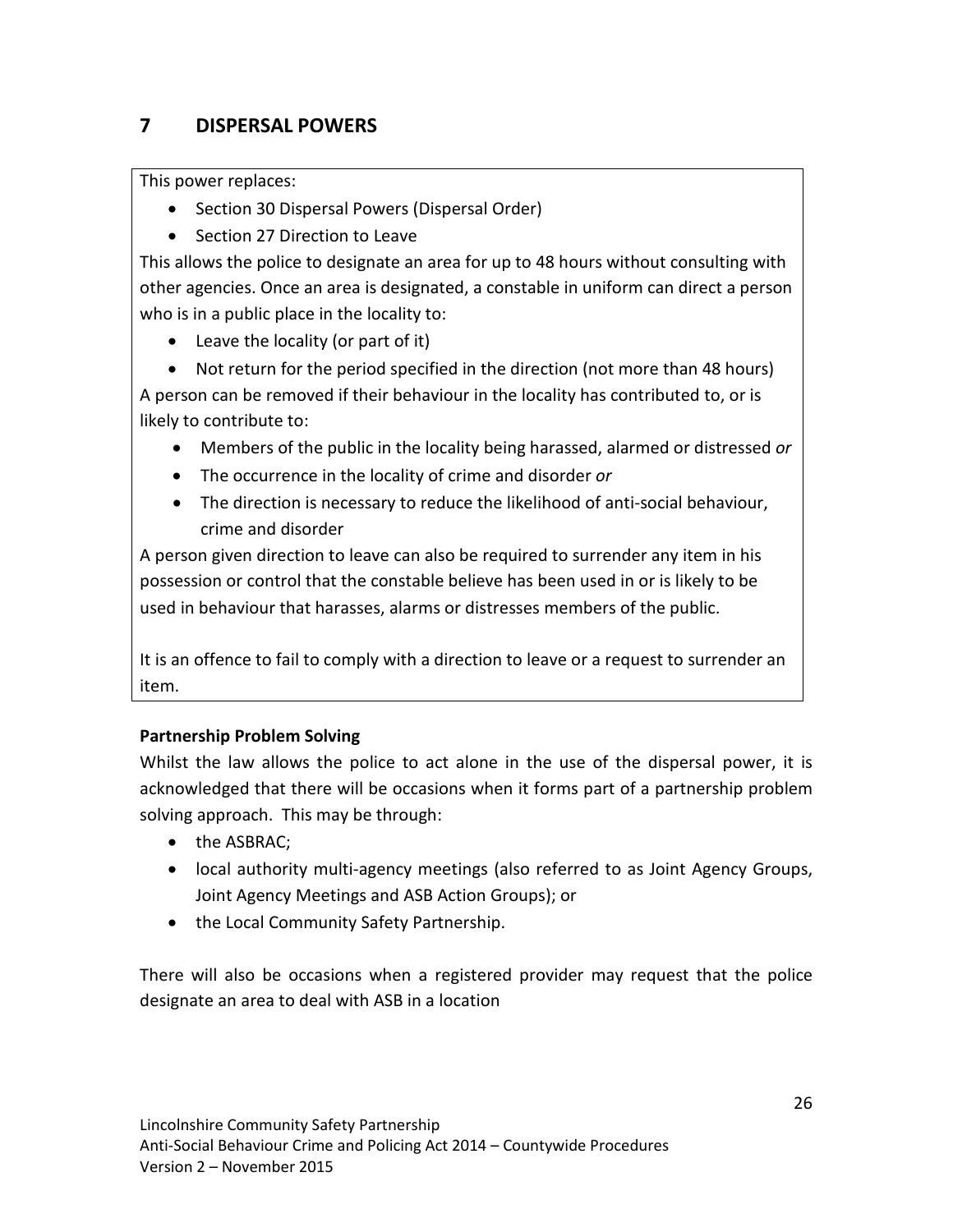# **7 DISPERSAL POWERS**

This power replaces:

- Section 30 Dispersal Powers (Dispersal Order)
- Section 27 Direction to Leave

This allows the police to designate an area for up to 48 hours without consulting with other agencies. Once an area is designated, a constable in uniform can direct a person who is in a public place in the locality to:

• Leave the locality (or part of it)

• Not return for the period specified in the direction (not more than 48 hours) A person can be removed if their behaviour in the locality has contributed to, or is likely to contribute to:

- Members of the public in the locality being harassed, alarmed or distressed *or*
- The occurrence in the locality of crime and disorder *or*
- The direction is necessary to reduce the likelihood of anti-social behaviour, crime and disorder

A person given direction to leave can also be required to surrender any item in his possession or control that the constable believe has been used in or is likely to be used in behaviour that harasses, alarms or distresses members of the public.

It is an offence to fail to comply with a direction to leave or a request to surrender an item.

# **Partnership Problem Solving**

Whilst the law allows the police to act alone in the use of the dispersal power, it is acknowledged that there will be occasions when it forms part of a partnership problem solving approach. This may be through:

- the ASBRAC;
- local authority multi-agency meetings (also referred to as Joint Agency Groups, Joint Agency Meetings and ASB Action Groups); or
- the Local Community Safety Partnership.

There will also be occasions when a registered provider may request that the police designate an area to deal with ASB in a location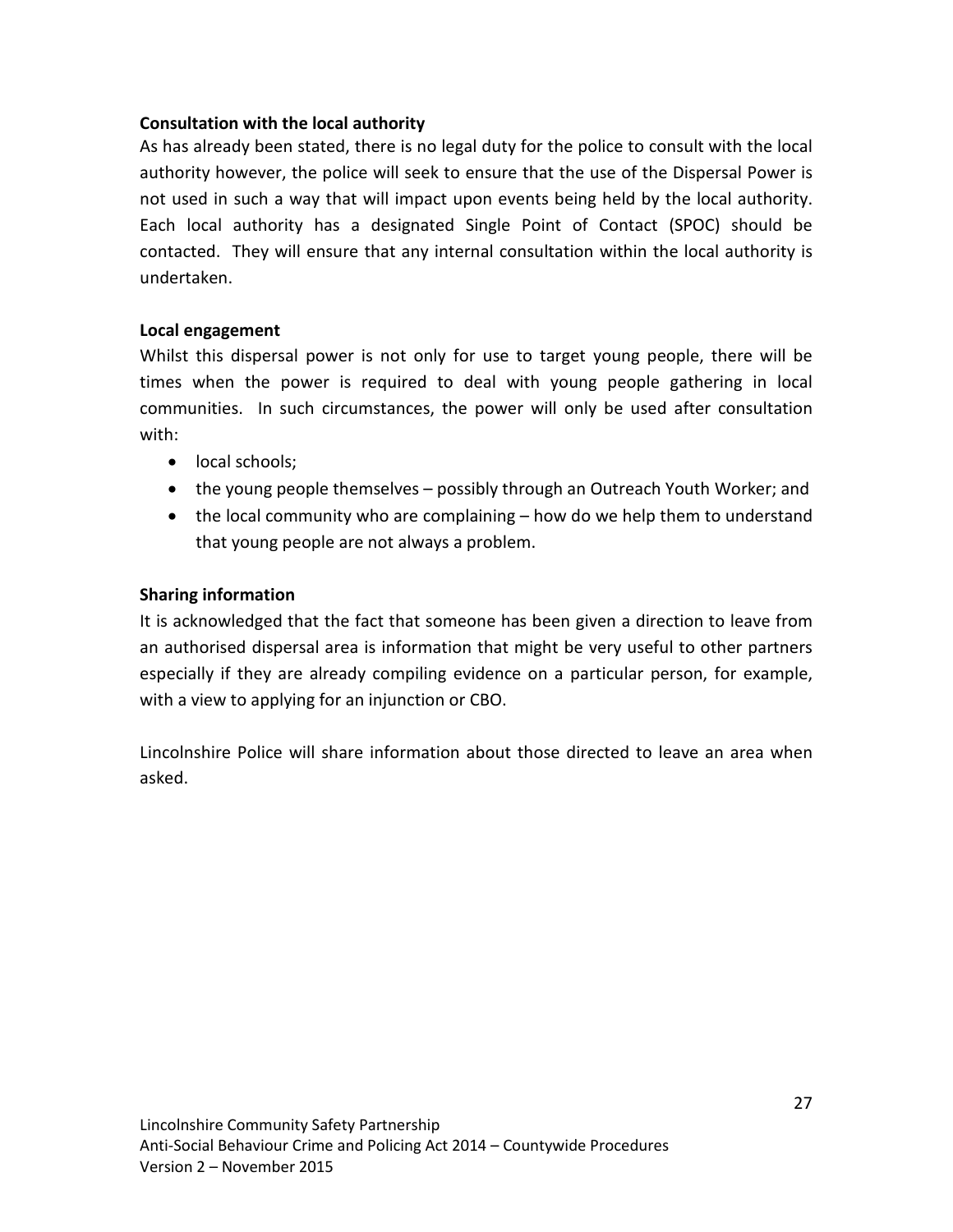# **Consultation with the local authority**

As has already been stated, there is no legal duty for the police to consult with the local authority however, the police will seek to ensure that the use of the Dispersal Power is not used in such a way that will impact upon events being held by the local authority. Each local authority has a designated Single Point of Contact (SPOC) should be contacted. They will ensure that any internal consultation within the local authority is undertaken.

# **Local engagement**

Whilst this dispersal power is not only for use to target young people, there will be times when the power is required to deal with young people gathering in local communities. In such circumstances, the power will only be used after consultation with:

- local schools;
- the young people themselves possibly through an Outreach Youth Worker; and
- the local community who are complaining how do we help them to understand that young people are not always a problem.

# **Sharing information**

It is acknowledged that the fact that someone has been given a direction to leave from an authorised dispersal area is information that might be very useful to other partners especially if they are already compiling evidence on a particular person, for example, with a view to applying for an injunction or CBO.

Lincolnshire Police will share information about those directed to leave an area when asked.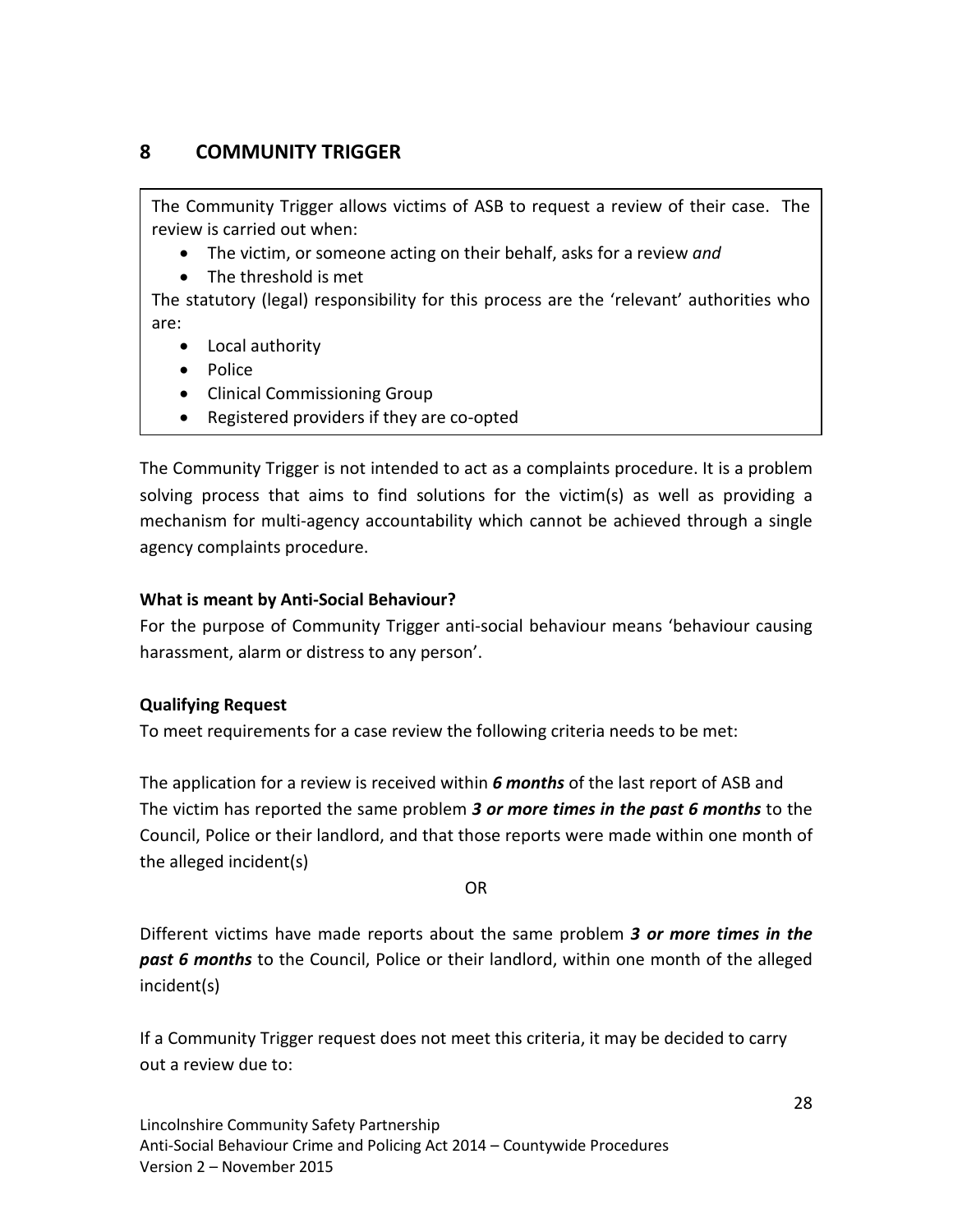# **8 COMMUNITY TRIGGER**

The Community Trigger allows victims of ASB to request a review of their case. The review is carried out when:

- The victim, or someone acting on their behalf, asks for a review *and*
- The threshold is met

The statutory (legal) responsibility for this process are the 'relevant' authorities who are:

- Local authority
- Police
- Clinical Commissioning Group
- Registered providers if they are co-opted

The Community Trigger is not intended to act as a complaints procedure. It is a problem solving process that aims to find solutions for the victim(s) as well as providing a mechanism for multi-agency accountability which cannot be achieved through a single agency complaints procedure.

# **What is meant by Anti-Social Behaviour?**

For the purpose of Community Trigger anti-social behaviour means 'behaviour causing harassment, alarm or distress to any person'.

# **Qualifying Request**

To meet requirements for a case review the following criteria needs to be met:

The application for a review is received within *6 months* of the last report of ASB and The victim has reported the same problem *3 or more times in the past 6 months* to the Council, Police or their landlord, and that those reports were made within one month of the alleged incident(s)

OR

Different victims have made reports about the same problem *3 or more times in the past 6 months* to the Council, Police or their landlord, within one month of the alleged incident(s)

If a Community Trigger request does not meet this criteria, it may be decided to carry out a review due to: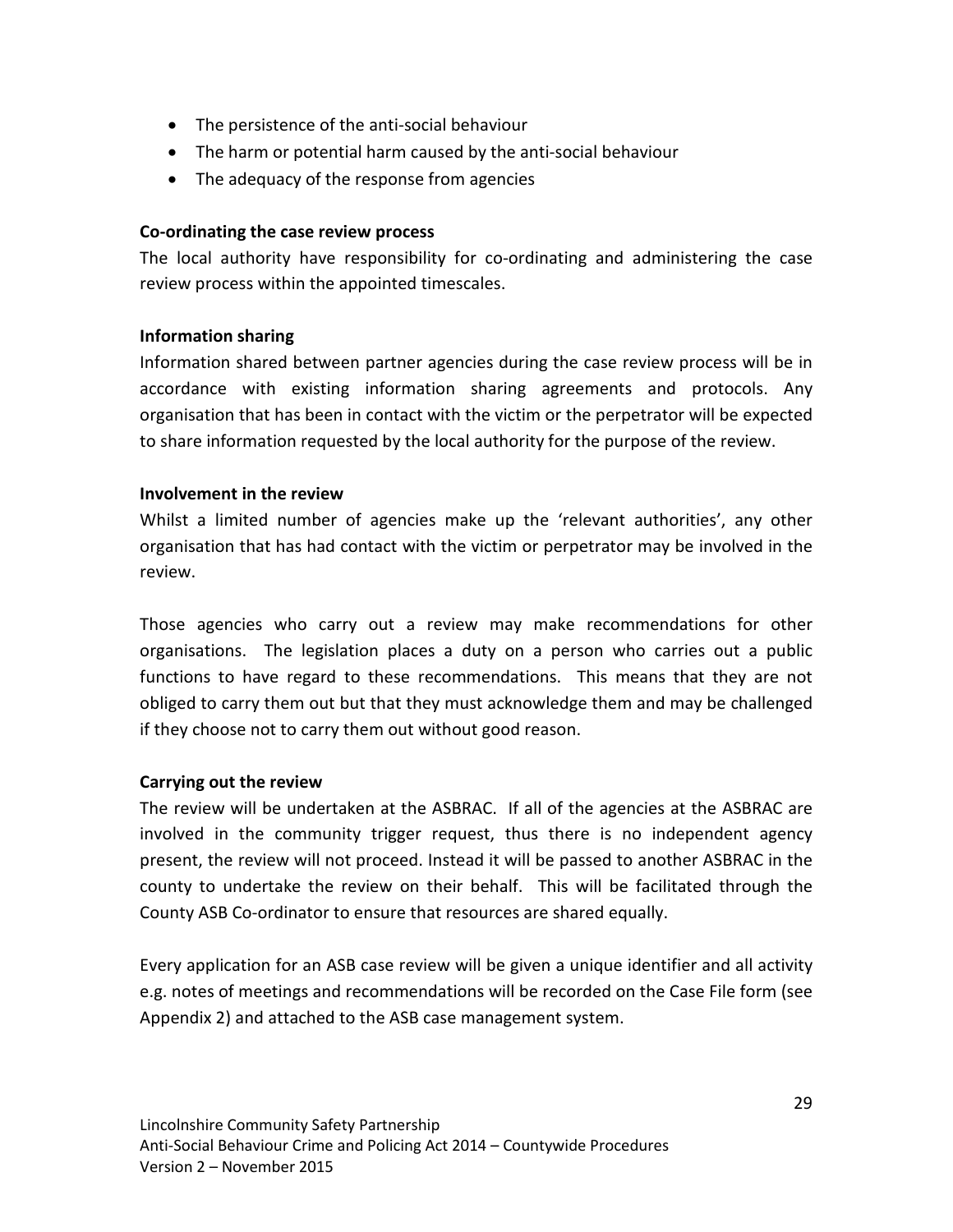- The persistence of the anti-social behaviour
- The harm or potential harm caused by the anti-social behaviour
- The adequacy of the response from agencies

# **Co-ordinating the case review process**

The local authority have responsibility for co-ordinating and administering the case review process within the appointed timescales.

# **Information sharing**

Information shared between partner agencies during the case review process will be in accordance with existing information sharing agreements and protocols. Any organisation that has been in contact with the victim or the perpetrator will be expected to share information requested by the local authority for the purpose of the review.

# **Involvement in the review**

Whilst a limited number of agencies make up the 'relevant authorities', any other organisation that has had contact with the victim or perpetrator may be involved in the review.

Those agencies who carry out a review may make recommendations for other organisations. The legislation places a duty on a person who carries out a public functions to have regard to these recommendations. This means that they are not obliged to carry them out but that they must acknowledge them and may be challenged if they choose not to carry them out without good reason.

# **Carrying out the review**

The review will be undertaken at the ASBRAC. If all of the agencies at the ASBRAC are involved in the community trigger request, thus there is no independent agency present, the review will not proceed. Instead it will be passed to another ASBRAC in the county to undertake the review on their behalf. This will be facilitated through the County ASB Co-ordinator to ensure that resources are shared equally.

Every application for an ASB case review will be given a unique identifier and all activity e.g. notes of meetings and recommendations will be recorded on the Case File form (see Appendix 2) and attached to the ASB case management system.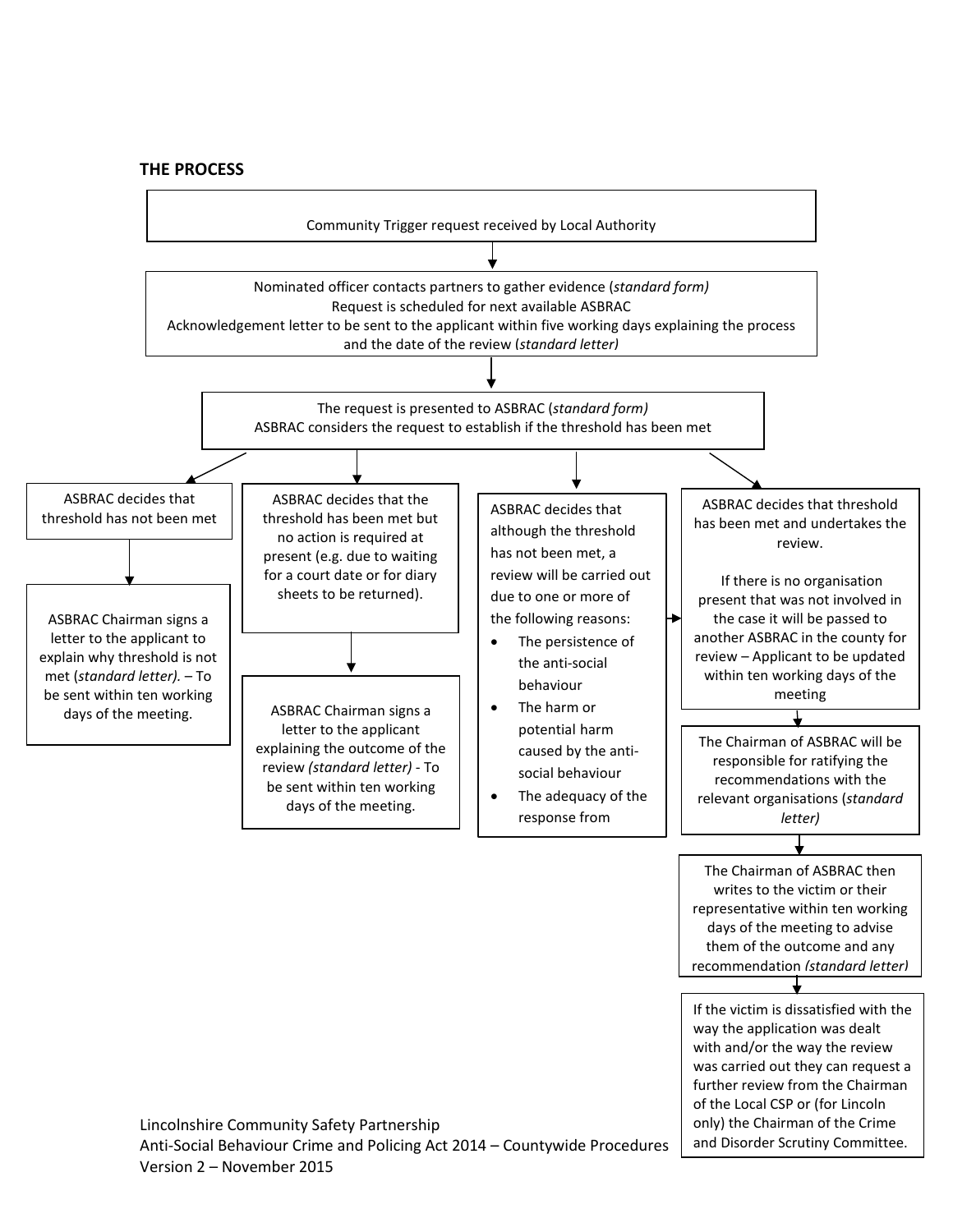#### **THE PROCESS**



Version 2 – November 2015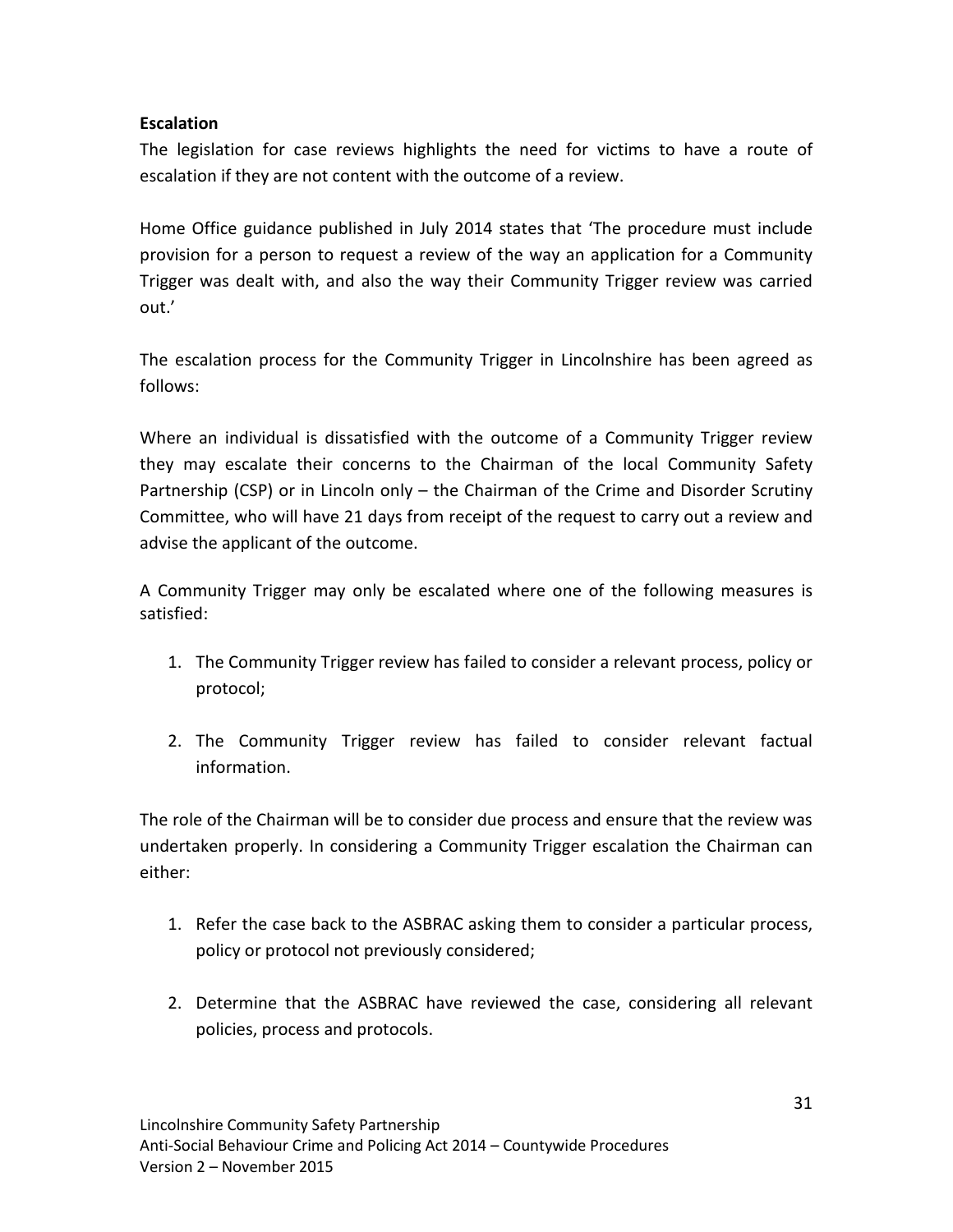# **Escalation**

The legislation for case reviews highlights the need for victims to have a route of escalation if they are not content with the outcome of a review.

Home Office guidance published in July 2014 states that 'The procedure must include provision for a person to request a review of the way an application for a Community Trigger was dealt with, and also the way their Community Trigger review was carried out.'

The escalation process for the Community Trigger in Lincolnshire has been agreed as follows:

Where an individual is dissatisfied with the outcome of a Community Trigger review they may escalate their concerns to the Chairman of the local Community Safety Partnership (CSP) or in Lincoln only - the Chairman of the Crime and Disorder Scrutiny Committee, who will have 21 days from receipt of the request to carry out a review and advise the applicant of the outcome.

A Community Trigger may only be escalated where one of the following measures is satisfied:

- 1. The Community Trigger review has failed to consider a relevant process, policy or protocol;
- 2. The Community Trigger review has failed to consider relevant factual information.

The role of the Chairman will be to consider due process and ensure that the review was undertaken properly. In considering a Community Trigger escalation the Chairman can either:

- 1. Refer the case back to the ASBRAC asking them to consider a particular process, policy or protocol not previously considered;
- 2. Determine that the ASBRAC have reviewed the case, considering all relevant policies, process and protocols.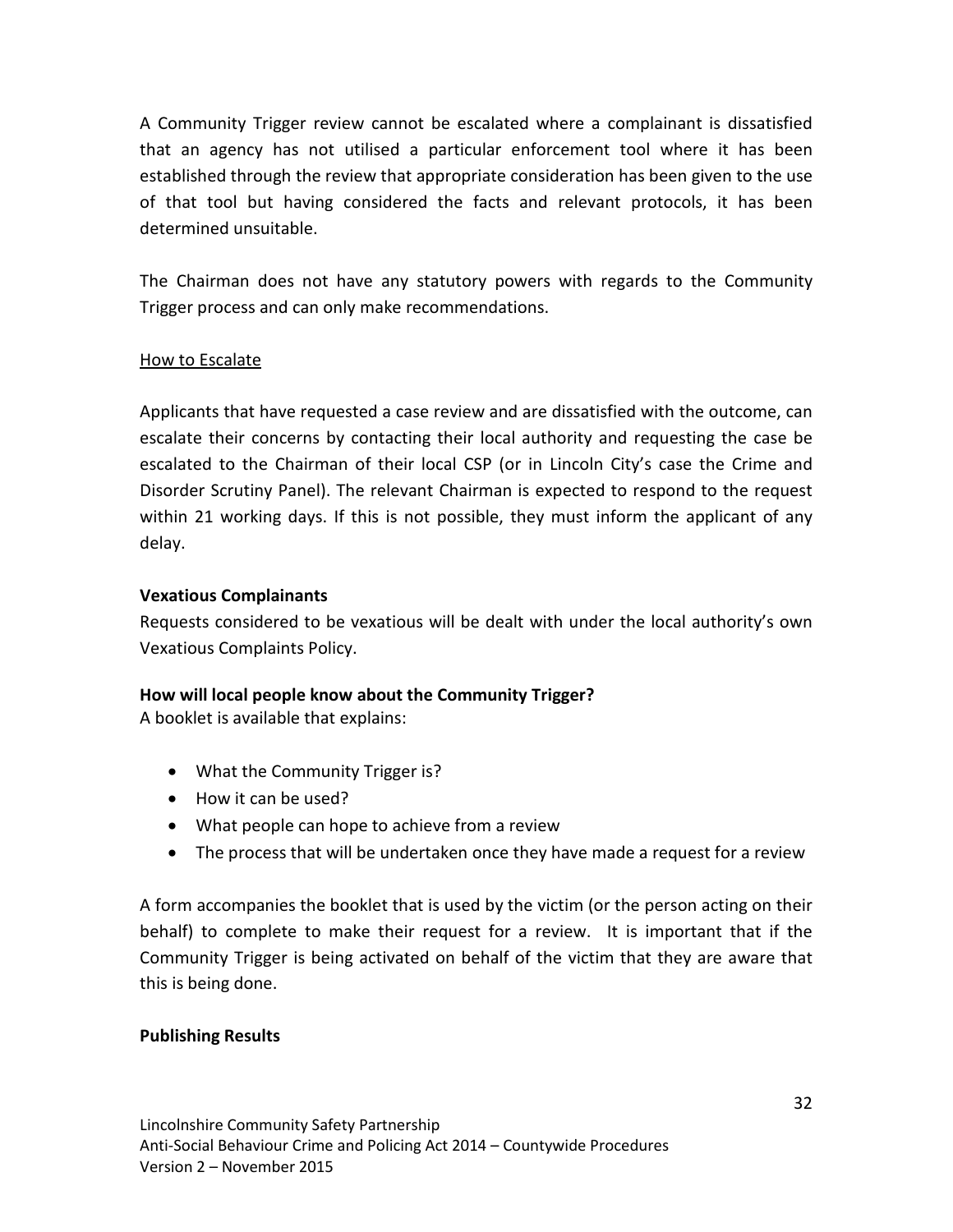A Community Trigger review cannot be escalated where a complainant is dissatisfied that an agency has not utilised a particular enforcement tool where it has been established through the review that appropriate consideration has been given to the use of that tool but having considered the facts and relevant protocols, it has been determined unsuitable.

The Chairman does not have any statutory powers with regards to the Community Trigger process and can only make recommendations.

# How to Escalate

Applicants that have requested a case review and are dissatisfied with the outcome, can escalate their concerns by contacting their local authority and requesting the case be escalated to the Chairman of their local CSP (or in Lincoln City's case the Crime and Disorder Scrutiny Panel). The relevant Chairman is expected to respond to the request within 21 working days. If this is not possible, they must inform the applicant of any delay.

# **Vexatious Complainants**

Requests considered to be vexatious will be dealt with under the local authority's own Vexatious Complaints Policy.

# **How will local people know about the Community Trigger?**

A booklet is available that explains:

- What the Community Trigger is?
- How it can be used?
- What people can hope to achieve from a review
- The process that will be undertaken once they have made a request for a review

A form accompanies the booklet that is used by the victim (or the person acting on their behalf) to complete to make their request for a review. It is important that if the Community Trigger is being activated on behalf of the victim that they are aware that this is being done.

# **Publishing Results**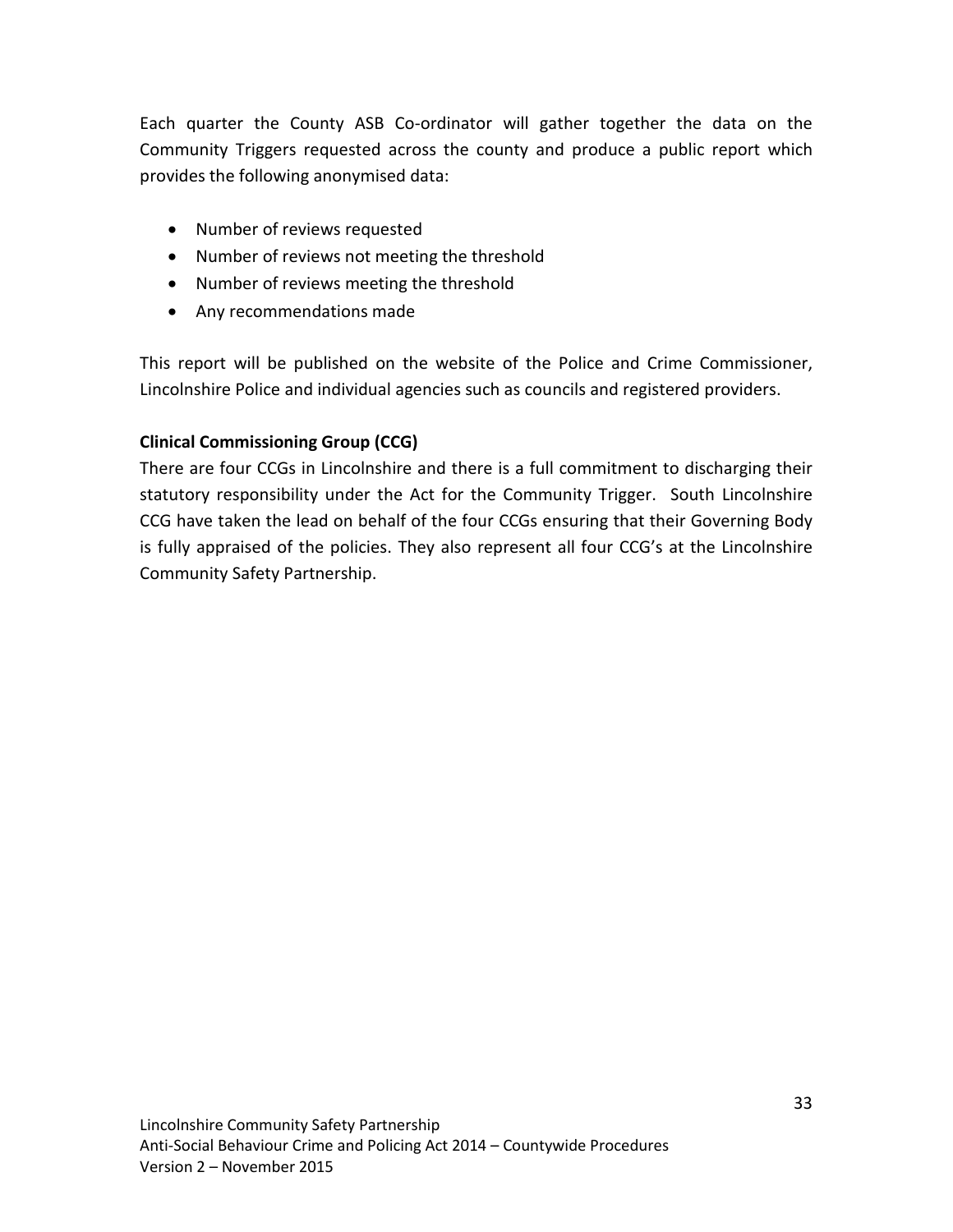Each quarter the County ASB Co-ordinator will gather together the data on the Community Triggers requested across the county and produce a public report which provides the following anonymised data:

- Number of reviews requested
- Number of reviews not meeting the threshold
- Number of reviews meeting the threshold
- Any recommendations made

This report will be published on the website of the Police and Crime Commissioner, Lincolnshire Police and individual agencies such as councils and registered providers.

# **Clinical Commissioning Group (CCG)**

There are four CCGs in Lincolnshire and there is a full commitment to discharging their statutory responsibility under the Act for the Community Trigger. South Lincolnshire CCG have taken the lead on behalf of the four CCGs ensuring that their Governing Body is fully appraised of the policies. They also represent all four CCG's at the Lincolnshire Community Safety Partnership.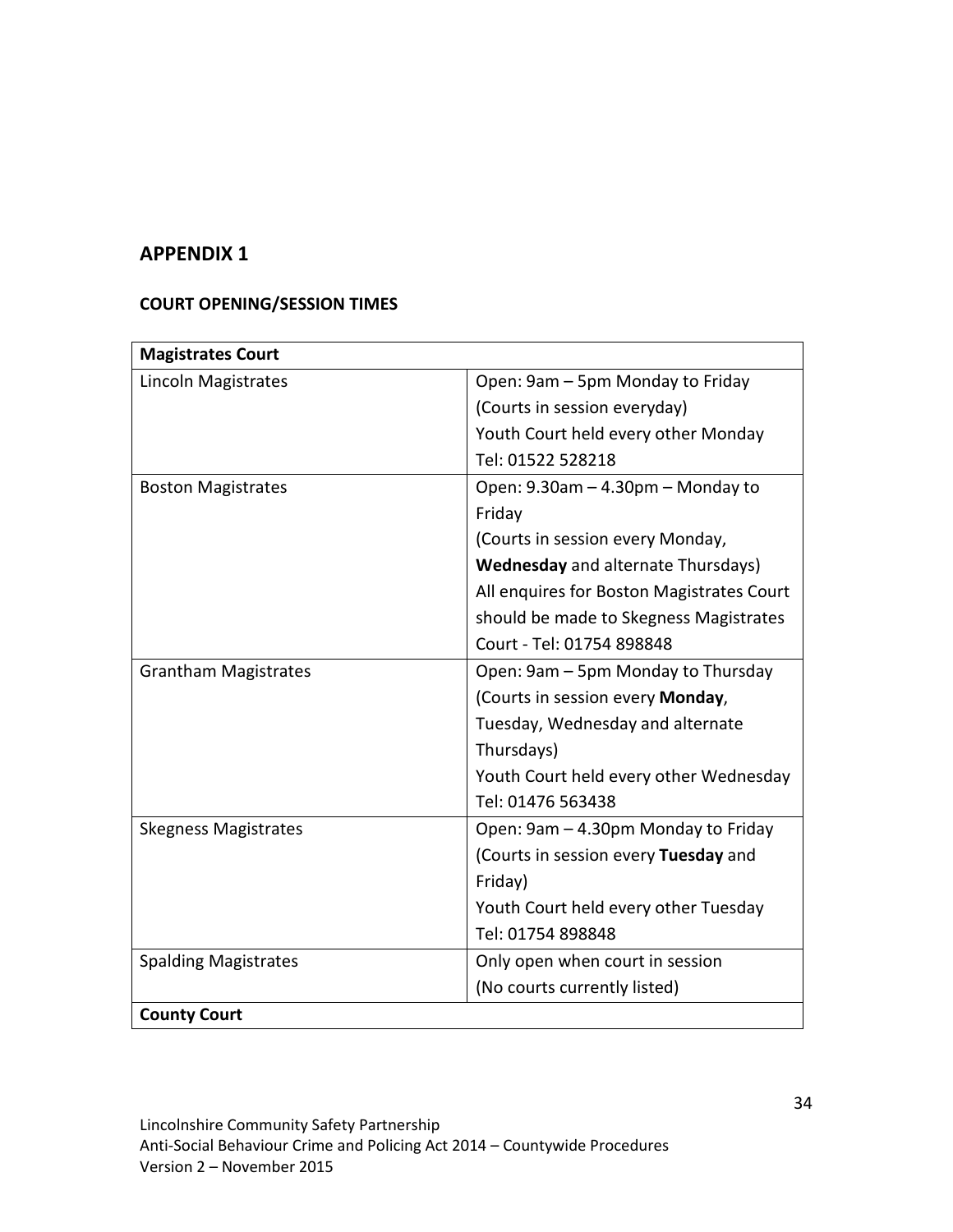# **APPENDIX 1**

# **COURT OPENING/SESSION TIMES**

| <b>Magistrates Court</b>    |                                           |
|-----------------------------|-------------------------------------------|
| Lincoln Magistrates         | Open: 9am - 5pm Monday to Friday          |
|                             | (Courts in session everyday)              |
|                             | Youth Court held every other Monday       |
|                             | Tel: 01522 528218                         |
| <b>Boston Magistrates</b>   | Open: 9.30am - 4.30pm - Monday to         |
|                             | Friday                                    |
|                             | (Courts in session every Monday,          |
|                             | <b>Wednesday</b> and alternate Thursdays) |
|                             | All enquires for Boston Magistrates Court |
|                             | should be made to Skegness Magistrates    |
|                             | Court - Tel: 01754 898848                 |
| <b>Grantham Magistrates</b> | Open: 9am - 5pm Monday to Thursday        |
|                             | (Courts in session every Monday,          |
|                             | Tuesday, Wednesday and alternate          |
|                             | Thursdays)                                |
|                             | Youth Court held every other Wednesday    |
|                             | Tel: 01476 563438                         |
| <b>Skegness Magistrates</b> | Open: 9am - 4.30pm Monday to Friday       |
|                             | (Courts in session every Tuesday and      |
|                             | Friday)                                   |
|                             | Youth Court held every other Tuesday      |
|                             | Tel: 01754 898848                         |
| <b>Spalding Magistrates</b> | Only open when court in session           |
|                             | (No courts currently listed)              |
| <b>County Court</b>         |                                           |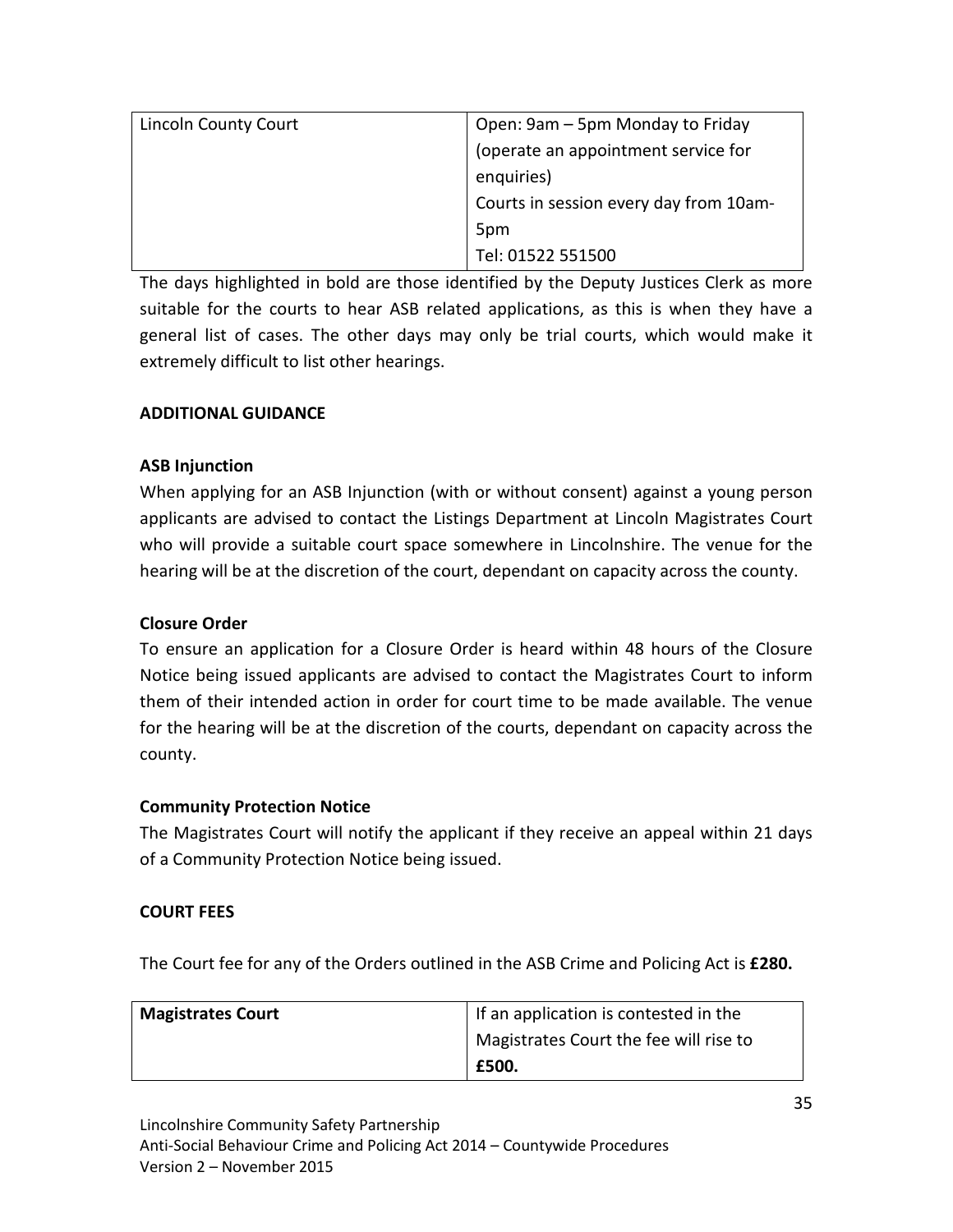| <b>Lincoln County Court</b> | Open: 9am - 5pm Monday to Friday       |  |
|-----------------------------|----------------------------------------|--|
|                             | (operate an appointment service for    |  |
|                             | enquiries)                             |  |
|                             | Courts in session every day from 10am- |  |
|                             | 5pm                                    |  |
|                             | Tel: 01522 551500                      |  |

The days highlighted in bold are those identified by the Deputy Justices Clerk as more suitable for the courts to hear ASB related applications, as this is when they have a general list of cases. The other days may only be trial courts, which would make it extremely difficult to list other hearings.

# **ADDITIONAL GUIDANCE**

# **ASB Injunction**

When applying for an ASB Injunction (with or without consent) against a young person applicants are advised to contact the Listings Department at Lincoln Magistrates Court who will provide a suitable court space somewhere in Lincolnshire. The venue for the hearing will be at the discretion of the court, dependant on capacity across the county.

# **Closure Order**

To ensure an application for a Closure Order is heard within 48 hours of the Closure Notice being issued applicants are advised to contact the Magistrates Court to inform them of their intended action in order for court time to be made available. The venue for the hearing will be at the discretion of the courts, dependant on capacity across the county.

# **Community Protection Notice**

The Magistrates Court will notify the applicant if they receive an appeal within 21 days of a Community Protection Notice being issued.

# **COURT FEES**

The Court fee for any of the Orders outlined in the ASB Crime and Policing Act is **£280.** 

| <b>Magistrates Court</b> | If an application is contested in the  |
|--------------------------|----------------------------------------|
|                          | Magistrates Court the fee will rise to |
|                          | E500.                                  |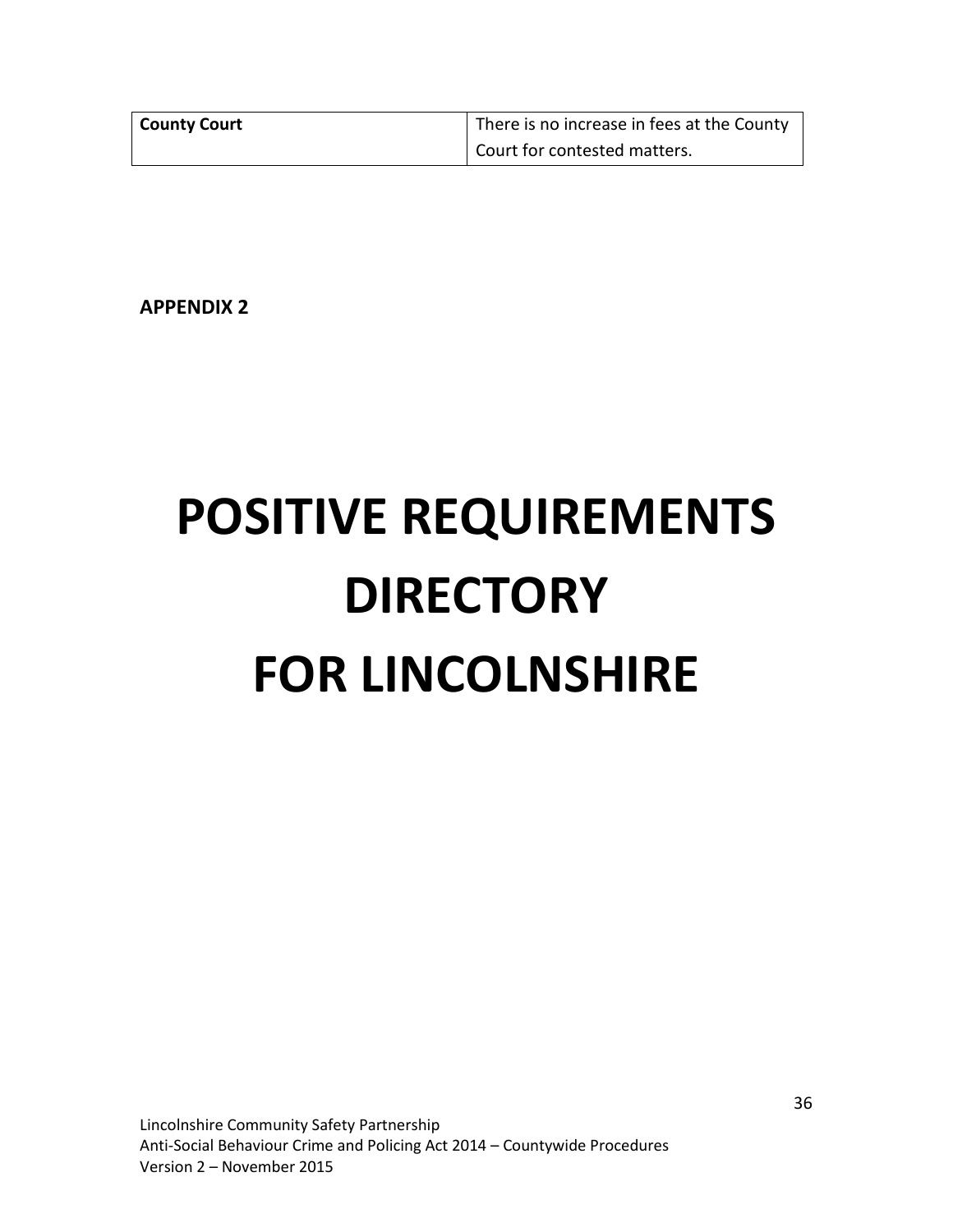| County Court | There is no increase in fees at the County |  |  |
|--------------|--------------------------------------------|--|--|
|              | Court for contested matters.               |  |  |

**APPENDIX 2**

# **POSITIVE REQUIREMENTS DIRECTORY FOR LINCOLNSHIRE**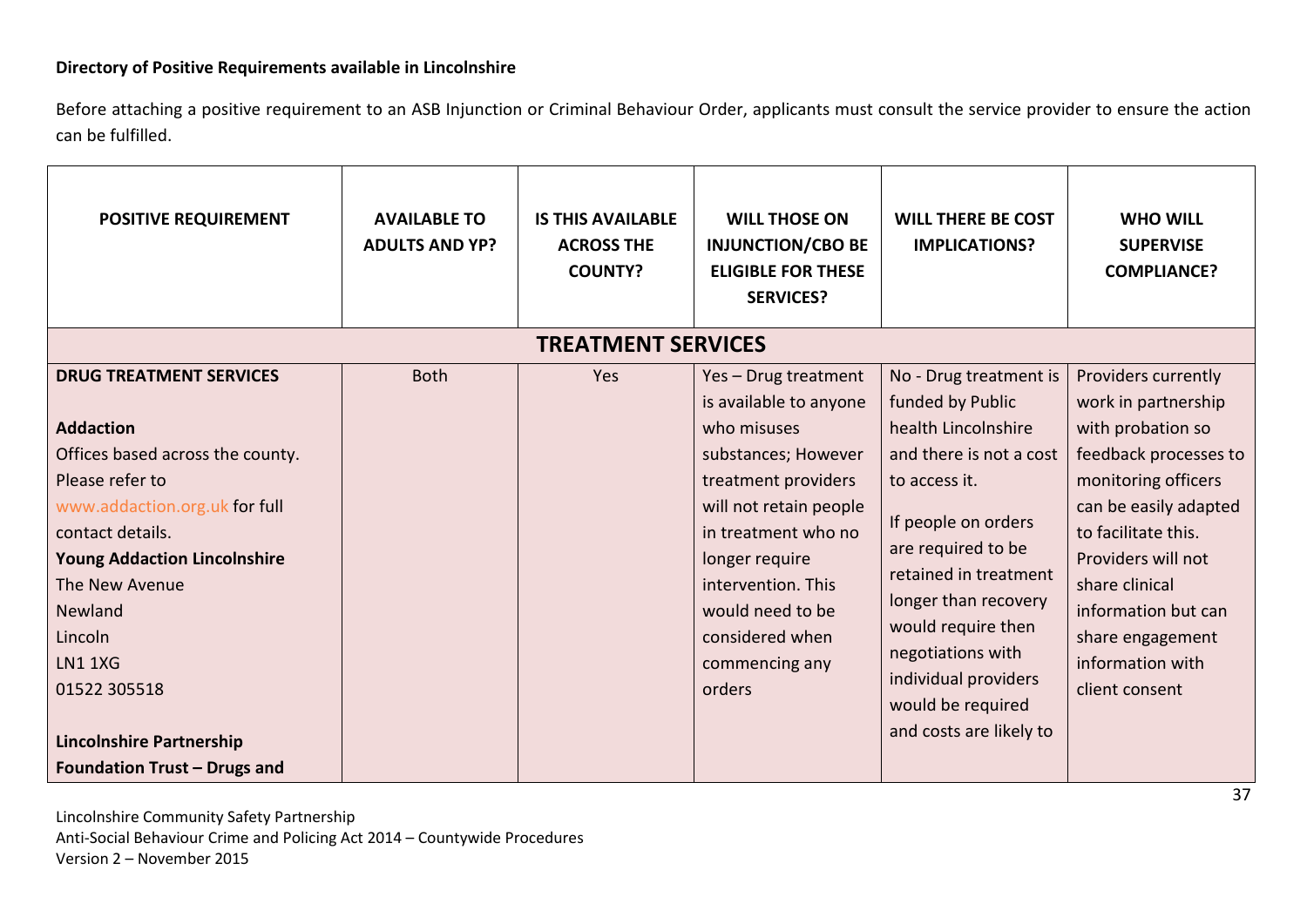# **Directory of Positive Requirements available in Lincolnshire**

Before attaching a positive requirement to an ASB Injunction or Criminal Behaviour Order, applicants must consult the service provider to ensure the action can be fulfilled.

| <b>POSITIVE REQUIREMENT</b>                                                                                                                                                                                                                                                                                                                               | <b>AVAILABLE TO</b><br><b>ADULTS AND YP?</b> | <b>IS THIS AVAILABLE</b><br><b>ACROSS THE</b><br><b>COUNTY?</b> | <b>WILL THOSE ON</b><br><b>INJUNCTION/CBO BE</b><br><b>ELIGIBLE FOR THESE</b><br><b>SERVICES?</b>                                                                                                                                                                       | <b>WILL THERE BE COST</b><br><b>IMPLICATIONS?</b>                                                                                                                                                                                                                                                                              | <b>WHO WILL</b><br><b>SUPERVISE</b><br><b>COMPLIANCE?</b>                                                                                                                                                                                                                                |
|-----------------------------------------------------------------------------------------------------------------------------------------------------------------------------------------------------------------------------------------------------------------------------------------------------------------------------------------------------------|----------------------------------------------|-----------------------------------------------------------------|-------------------------------------------------------------------------------------------------------------------------------------------------------------------------------------------------------------------------------------------------------------------------|--------------------------------------------------------------------------------------------------------------------------------------------------------------------------------------------------------------------------------------------------------------------------------------------------------------------------------|------------------------------------------------------------------------------------------------------------------------------------------------------------------------------------------------------------------------------------------------------------------------------------------|
|                                                                                                                                                                                                                                                                                                                                                           |                                              | <b>TREATMENT SERVICES</b>                                       |                                                                                                                                                                                                                                                                         |                                                                                                                                                                                                                                                                                                                                |                                                                                                                                                                                                                                                                                          |
| <b>DRUG TREATMENT SERVICES</b><br><b>Addaction</b><br>Offices based across the county.<br>Please refer to<br>www.addaction.org.uk for full<br>contact details.<br><b>Young Addaction Lincolnshire</b><br>The New Avenue<br>Newland<br>Lincoln<br><b>LN1 1XG</b><br>01522 305518<br><b>Lincolnshire Partnership</b><br><b>Foundation Trust - Drugs and</b> | <b>Both</b>                                  | Yes                                                             | Yes - Drug treatment<br>is available to anyone<br>who misuses<br>substances; However<br>treatment providers<br>will not retain people<br>in treatment who no<br>longer require<br>intervention. This<br>would need to be<br>considered when<br>commencing any<br>orders | No - Drug treatment is<br>funded by Public<br>health Lincolnshire<br>and there is not a cost<br>to access it.<br>If people on orders<br>are required to be<br>retained in treatment<br>longer than recovery<br>would require then<br>negotiations with<br>individual providers<br>would be required<br>and costs are likely to | Providers currently<br>work in partnership<br>with probation so<br>feedback processes to<br>monitoring officers<br>can be easily adapted<br>to facilitate this.<br>Providers will not<br>share clinical<br>information but can<br>share engagement<br>information with<br>client consent |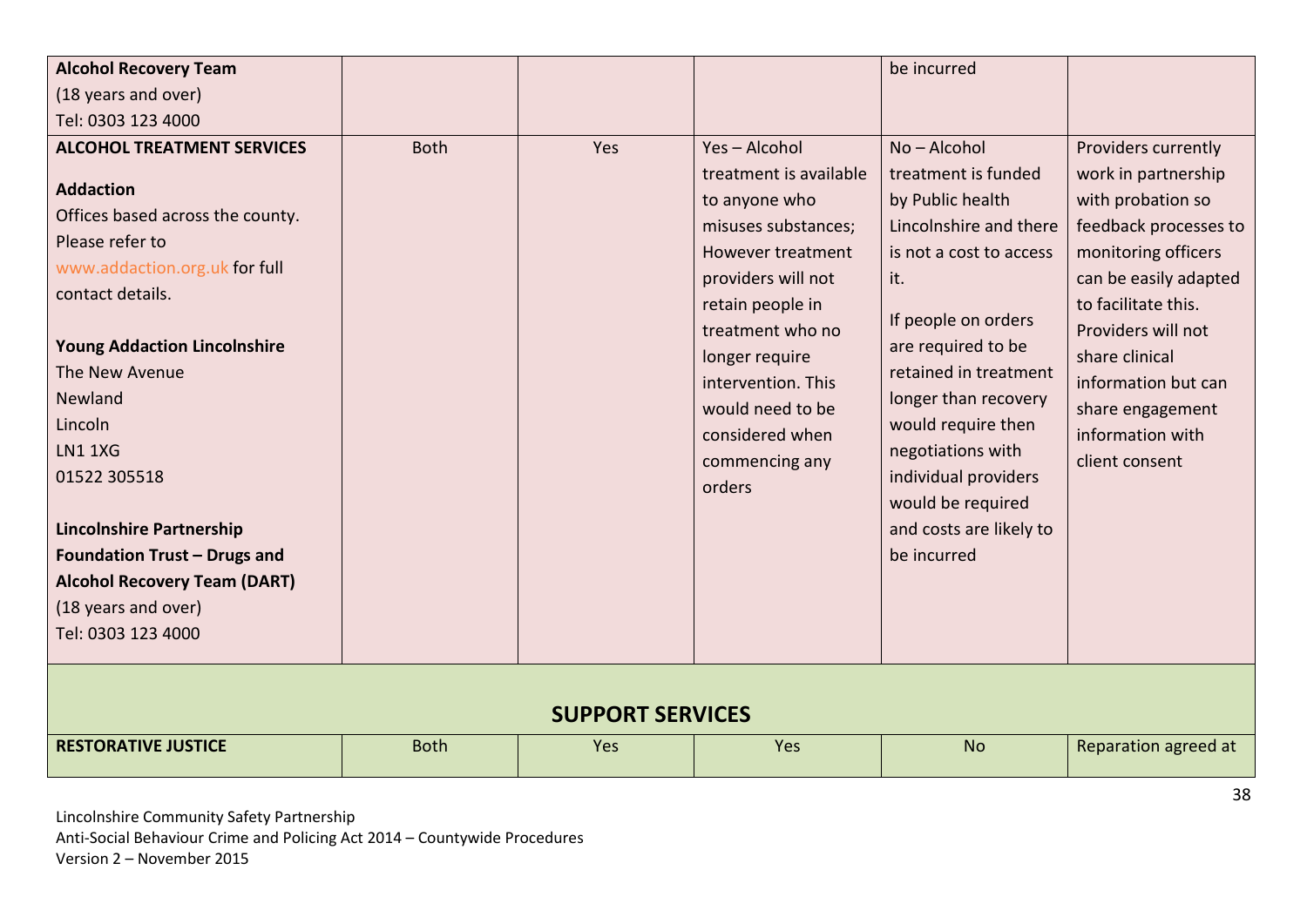| <b>Alcohol Recovery Team</b>                                                                                                                                                                                                                  |             |     |                                                                                                                                                                                                                                                              | be incurred                                                                                                                                                                                                                                                          |                                                                                                                                                                                                                                                                   |  |
|-----------------------------------------------------------------------------------------------------------------------------------------------------------------------------------------------------------------------------------------------|-------------|-----|--------------------------------------------------------------------------------------------------------------------------------------------------------------------------------------------------------------------------------------------------------------|----------------------------------------------------------------------------------------------------------------------------------------------------------------------------------------------------------------------------------------------------------------------|-------------------------------------------------------------------------------------------------------------------------------------------------------------------------------------------------------------------------------------------------------------------|--|
| (18 years and over)                                                                                                                                                                                                                           |             |     |                                                                                                                                                                                                                                                              |                                                                                                                                                                                                                                                                      |                                                                                                                                                                                                                                                                   |  |
| Tel: 0303 123 4000                                                                                                                                                                                                                            |             |     |                                                                                                                                                                                                                                                              |                                                                                                                                                                                                                                                                      |                                                                                                                                                                                                                                                                   |  |
| <b>ALCOHOL TREATMENT SERVICES</b>                                                                                                                                                                                                             | <b>Both</b> | Yes | Yes-Alcohol                                                                                                                                                                                                                                                  | No-Alcohol                                                                                                                                                                                                                                                           | Providers currently                                                                                                                                                                                                                                               |  |
| <b>Addaction</b><br>Offices based across the county.<br>Please refer to<br>www.addaction.org.uk for full<br>contact details.<br><b>Young Addaction Lincolnshire</b><br>The New Avenue<br>Newland<br>Lincoln<br><b>LN1 1XG</b><br>01522 305518 |             |     | treatment is available<br>to anyone who<br>misuses substances;<br>However treatment<br>providers will not<br>retain people in<br>treatment who no<br>longer require<br>intervention. This<br>would need to be<br>considered when<br>commencing any<br>orders | treatment is funded<br>by Public health<br>Lincolnshire and there<br>is not a cost to access<br>it.<br>If people on orders<br>are required to be<br>retained in treatment<br>longer than recovery<br>would require then<br>negotiations with<br>individual providers | work in partnership<br>with probation so<br>feedback processes to<br>monitoring officers<br>can be easily adapted<br>to facilitate this.<br>Providers will not<br>share clinical<br>information but can<br>share engagement<br>information with<br>client consent |  |
| <b>Lincolnshire Partnership</b><br>Foundation Trust - Drugs and<br><b>Alcohol Recovery Team (DART)</b><br>(18 years and over)<br>Tel: 0303 123 4000                                                                                           |             |     |                                                                                                                                                                                                                                                              | would be required<br>and costs are likely to<br>be incurred                                                                                                                                                                                                          |                                                                                                                                                                                                                                                                   |  |
| <b>SUPPORT SERVICES</b>                                                                                                                                                                                                                       |             |     |                                                                                                                                                                                                                                                              |                                                                                                                                                                                                                                                                      |                                                                                                                                                                                                                                                                   |  |
| <b>RESTORATIVE JUSTICE</b>                                                                                                                                                                                                                    | <b>Both</b> | Yes | Yes                                                                                                                                                                                                                                                          | <b>No</b>                                                                                                                                                                                                                                                            | Reparation agreed at                                                                                                                                                                                                                                              |  |
|                                                                                                                                                                                                                                               |             |     |                                                                                                                                                                                                                                                              |                                                                                                                                                                                                                                                                      | 38                                                                                                                                                                                                                                                                |  |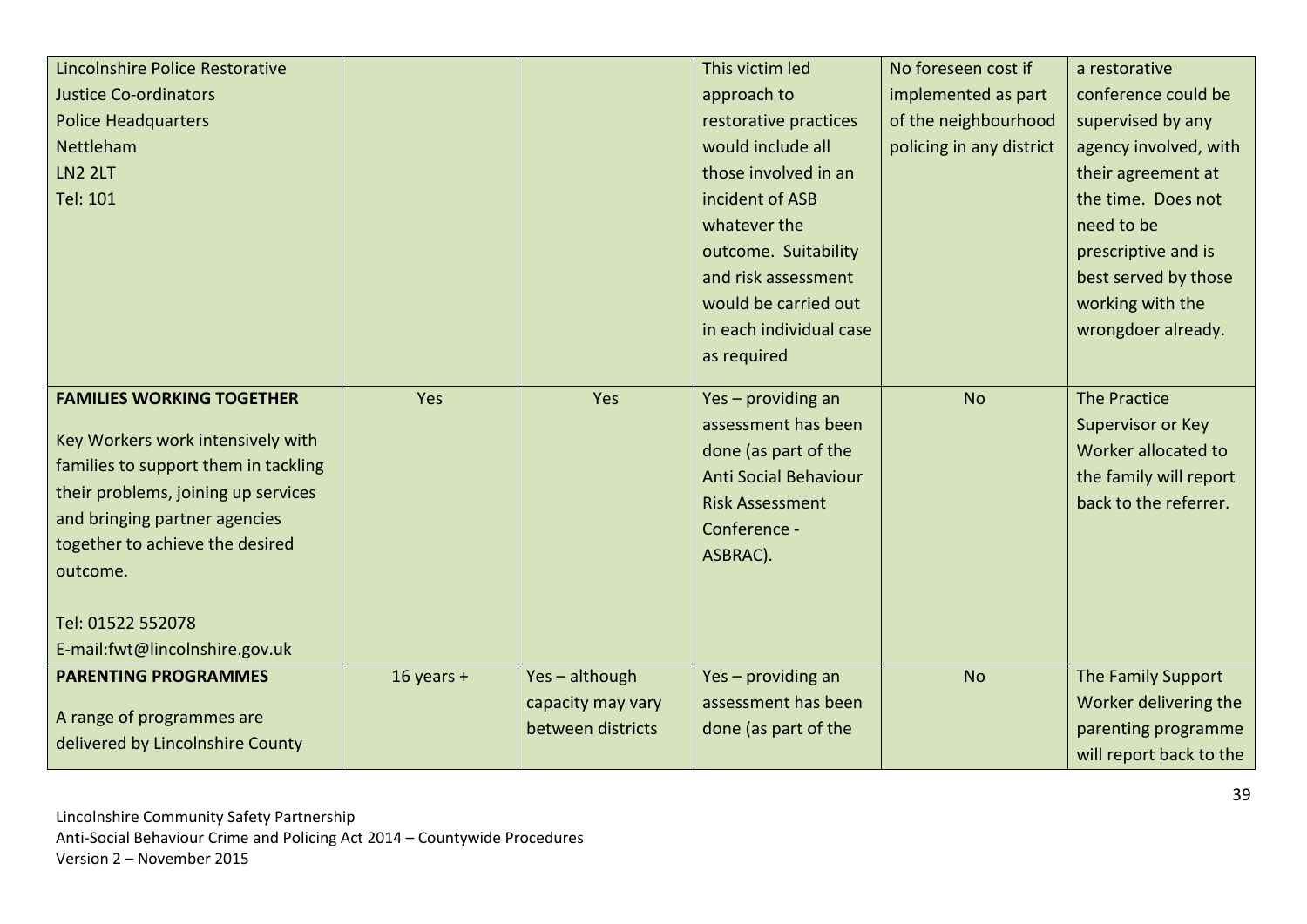| Lincolnshire Police Restorative<br><b>Justice Co-ordinators</b><br><b>Police Headquarters</b><br>Nettleham<br><b>LN2 2LT</b><br>Tel: 101                                                                                                                  |              |                                                        | This victim led<br>approach to<br>restorative practices<br>would include all<br>those involved in an<br>incident of ASB<br>whatever the<br>outcome. Suitability<br>and risk assessment<br>would be carried out<br>in each individual case | No foreseen cost if<br>implemented as part<br>of the neighbourhood<br>policing in any district | a restorative<br>conference could be<br>supervised by any<br>agency involved, with<br>their agreement at<br>the time. Does not<br>need to be<br>prescriptive and is<br>best served by those<br>working with the<br>wrongdoer already. |
|-----------------------------------------------------------------------------------------------------------------------------------------------------------------------------------------------------------------------------------------------------------|--------------|--------------------------------------------------------|-------------------------------------------------------------------------------------------------------------------------------------------------------------------------------------------------------------------------------------------|------------------------------------------------------------------------------------------------|---------------------------------------------------------------------------------------------------------------------------------------------------------------------------------------------------------------------------------------|
|                                                                                                                                                                                                                                                           |              |                                                        | as required                                                                                                                                                                                                                               |                                                                                                |                                                                                                                                                                                                                                       |
| <b>FAMILIES WORKING TOGETHER</b><br>Key Workers work intensively with<br>families to support them in tackling<br>their problems, joining up services<br>and bringing partner agencies<br>together to achieve the desired<br>outcome.<br>Tel: 01522 552078 | Yes          | Yes                                                    | Yes - providing an<br>assessment has been<br>done (as part of the<br><b>Anti Social Behaviour</b><br><b>Risk Assessment</b><br>Conference -<br>ASBRAC).                                                                                   | <b>No</b>                                                                                      | <b>The Practice</b><br>Supervisor or Key<br>Worker allocated to<br>the family will report<br>back to the referrer.                                                                                                                    |
| E-mail:fwt@lincolnshire.gov.uk<br><b>PARENTING PROGRAMMES</b><br>A range of programmes are<br>delivered by Lincolnshire County                                                                                                                            | $16$ years + | Yes-although<br>capacity may vary<br>between districts | Yes - providing an<br>assessment has been<br>done (as part of the                                                                                                                                                                         | <b>No</b>                                                                                      | The Family Support<br>Worker delivering the<br>parenting programme<br>will report back to the                                                                                                                                         |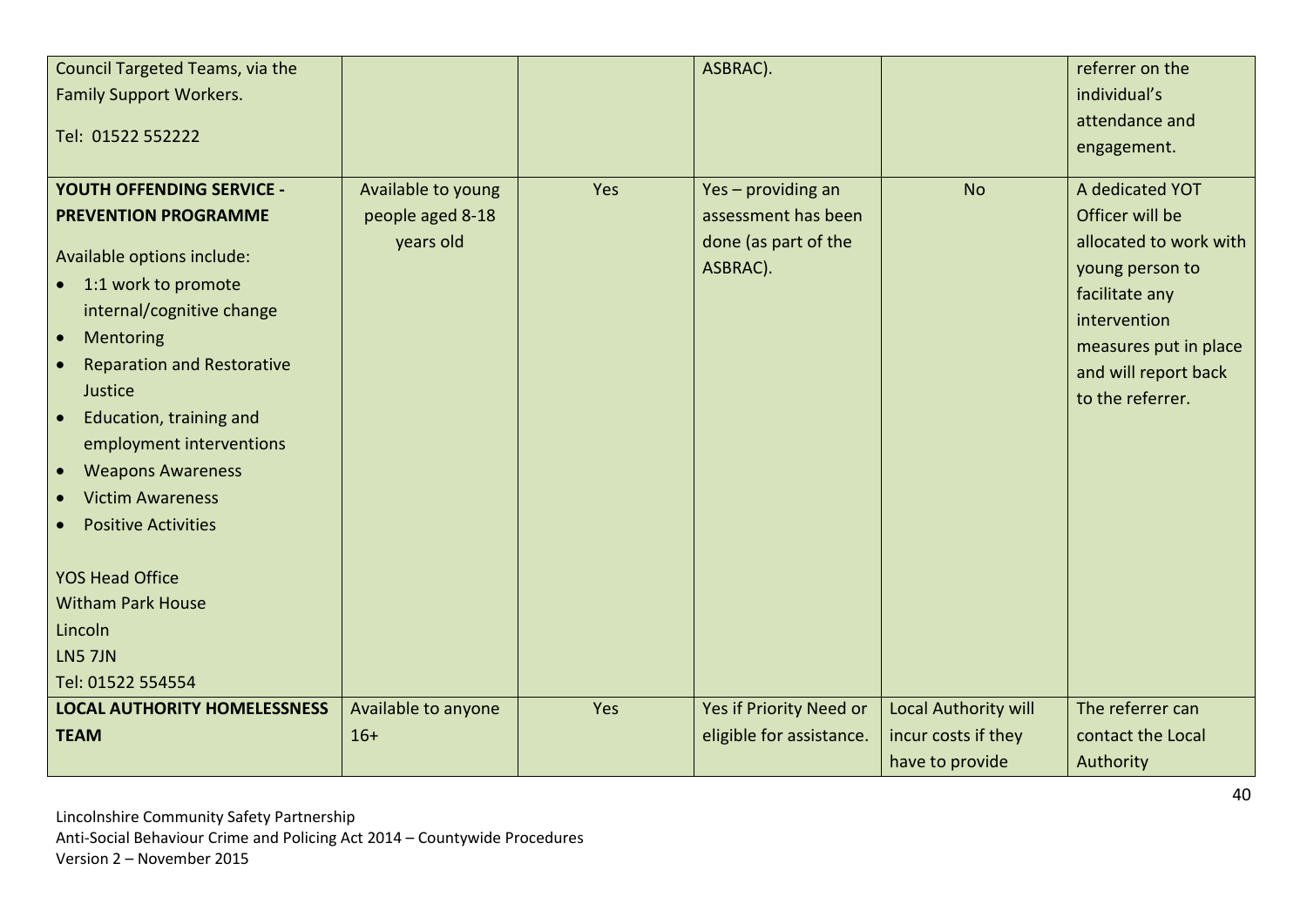| Council Targeted Teams, via the                |                     |     | ASBRAC).                 |                      | referrer on the        |
|------------------------------------------------|---------------------|-----|--------------------------|----------------------|------------------------|
| <b>Family Support Workers.</b>                 |                     |     |                          |                      | individual's           |
|                                                |                     |     |                          |                      | attendance and         |
| Tel: 01522 552222                              |                     |     |                          |                      | engagement.            |
|                                                |                     |     |                          |                      |                        |
| <b>YOUTH OFFENDING SERVICE -</b>               | Available to young  | Yes | Yes - providing an       | <b>No</b>            | A dedicated YOT        |
| <b>PREVENTION PROGRAMME</b>                    | people aged 8-18    |     | assessment has been      |                      | Officer will be        |
| Available options include:                     | years old           |     | done (as part of the     |                      | allocated to work with |
|                                                |                     |     | ASBRAC).                 |                      | young person to        |
| • 1:1 work to promote                          |                     |     |                          |                      | facilitate any         |
| internal/cognitive change                      |                     |     |                          |                      | intervention           |
| Mentoring<br>$\bullet$                         |                     |     |                          |                      | measures put in place  |
| <b>Reparation and Restorative</b><br>$\bullet$ |                     |     |                          |                      | and will report back   |
| Justice                                        |                     |     |                          |                      | to the referrer.       |
| Education, training and<br>$\bullet$           |                     |     |                          |                      |                        |
| employment interventions                       |                     |     |                          |                      |                        |
| <b>Weapons Awareness</b><br>$\bullet$          |                     |     |                          |                      |                        |
| <b>Victim Awareness</b>                        |                     |     |                          |                      |                        |
| <b>Positive Activities</b>                     |                     |     |                          |                      |                        |
|                                                |                     |     |                          |                      |                        |
| <b>YOS Head Office</b>                         |                     |     |                          |                      |                        |
| <b>Witham Park House</b>                       |                     |     |                          |                      |                        |
| Lincoln                                        |                     |     |                          |                      |                        |
| <b>LN5 7JN</b>                                 |                     |     |                          |                      |                        |
| Tel: 01522 554554                              |                     |     |                          |                      |                        |
| <b>LOCAL AUTHORITY HOMELESSNESS</b>            | Available to anyone | Yes | Yes if Priority Need or  | Local Authority will | The referrer can       |
| <b>TEAM</b>                                    | $16+$               |     | eligible for assistance. | incur costs if they  | contact the Local      |
|                                                |                     |     |                          | have to provide      | Authority              |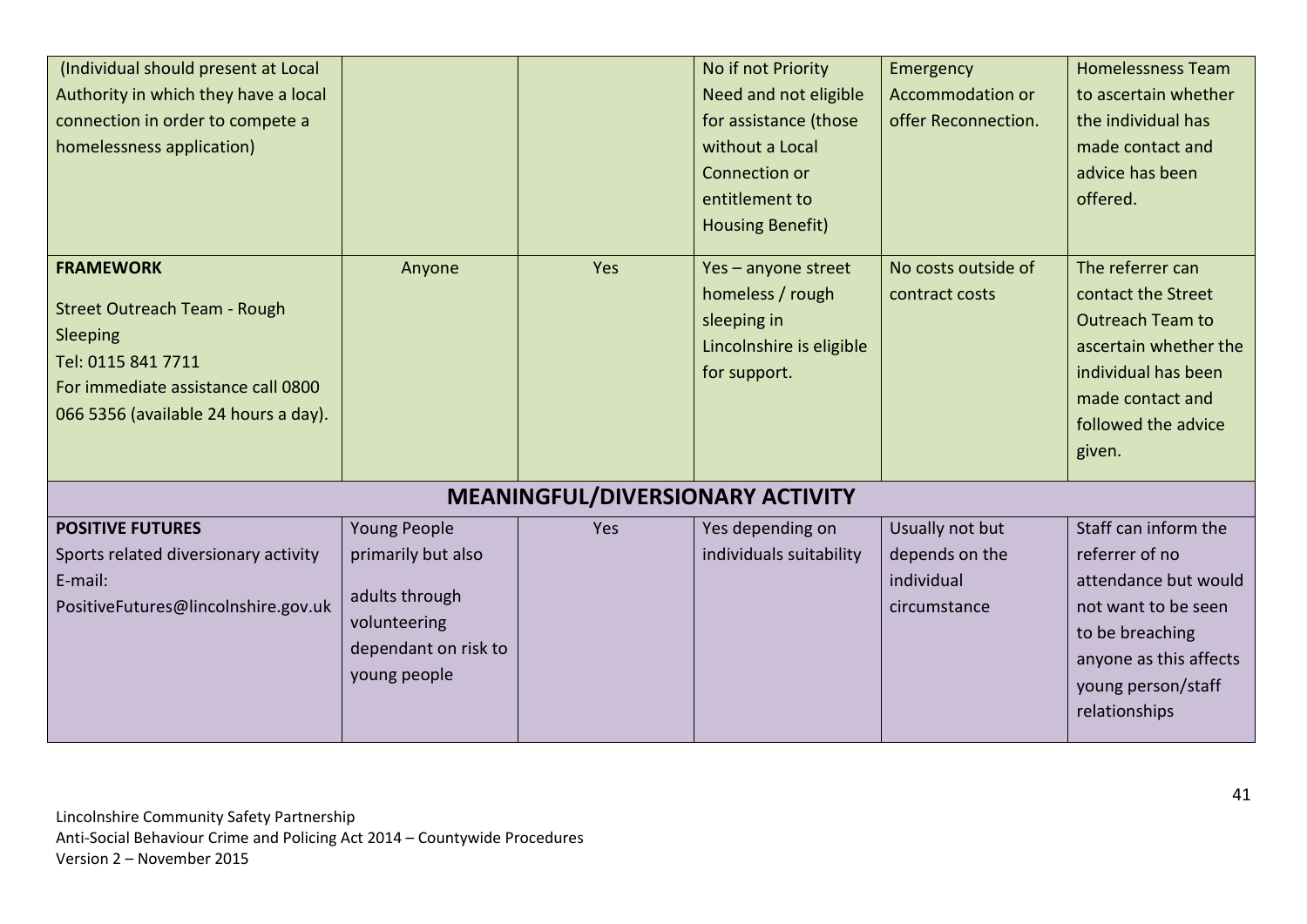| (Individual should present at Local<br>Authority in which they have a local<br>connection in order to compete a<br>homelessness application)                            |                                                                                                                     |                                  | No if not Priority<br>Need and not eligible<br>for assistance (those<br>without a Local<br>Connection or<br>entitlement to    | Emergency<br><b>Accommodation or</b><br>offer Reconnection.     | <b>Homelessness Team</b><br>to ascertain whether<br>the individual has<br>made contact and<br>advice has been<br>offered.                                                 |
|-------------------------------------------------------------------------------------------------------------------------------------------------------------------------|---------------------------------------------------------------------------------------------------------------------|----------------------------------|-------------------------------------------------------------------------------------------------------------------------------|-----------------------------------------------------------------|---------------------------------------------------------------------------------------------------------------------------------------------------------------------------|
| <b>FRAMEWORK</b><br><b>Street Outreach Team - Rough</b><br>Sleeping<br>Tel: 0115 841 7711<br>For immediate assistance call 0800<br>066 5356 (available 24 hours a day). | Anyone                                                                                                              | Yes                              | <b>Housing Benefit)</b><br>Yes - anyone street<br>homeless / rough<br>sleeping in<br>Lincolnshire is eligible<br>for support. | No costs outside of<br>contract costs                           | The referrer can<br>contact the Street<br><b>Outreach Team to</b><br>ascertain whether the<br>individual has been<br>made contact and<br>followed the advice<br>given.    |
|                                                                                                                                                                         |                                                                                                                     | MEANINGFUL/DIVERSIONARY ACTIVITY |                                                                                                                               |                                                                 |                                                                                                                                                                           |
| <b>POSITIVE FUTURES</b><br>Sports related diversionary activity<br>E-mail:<br>PositiveFutures@lincolnshire.gov.uk                                                       | <b>Young People</b><br>primarily but also<br>adults through<br>volunteering<br>dependant on risk to<br>young people | Yes                              | Yes depending on<br>individuals suitability                                                                                   | Usually not but<br>depends on the<br>individual<br>circumstance | Staff can inform the<br>referrer of no<br>attendance but would<br>not want to be seen<br>to be breaching<br>anyone as this affects<br>young person/staff<br>relationships |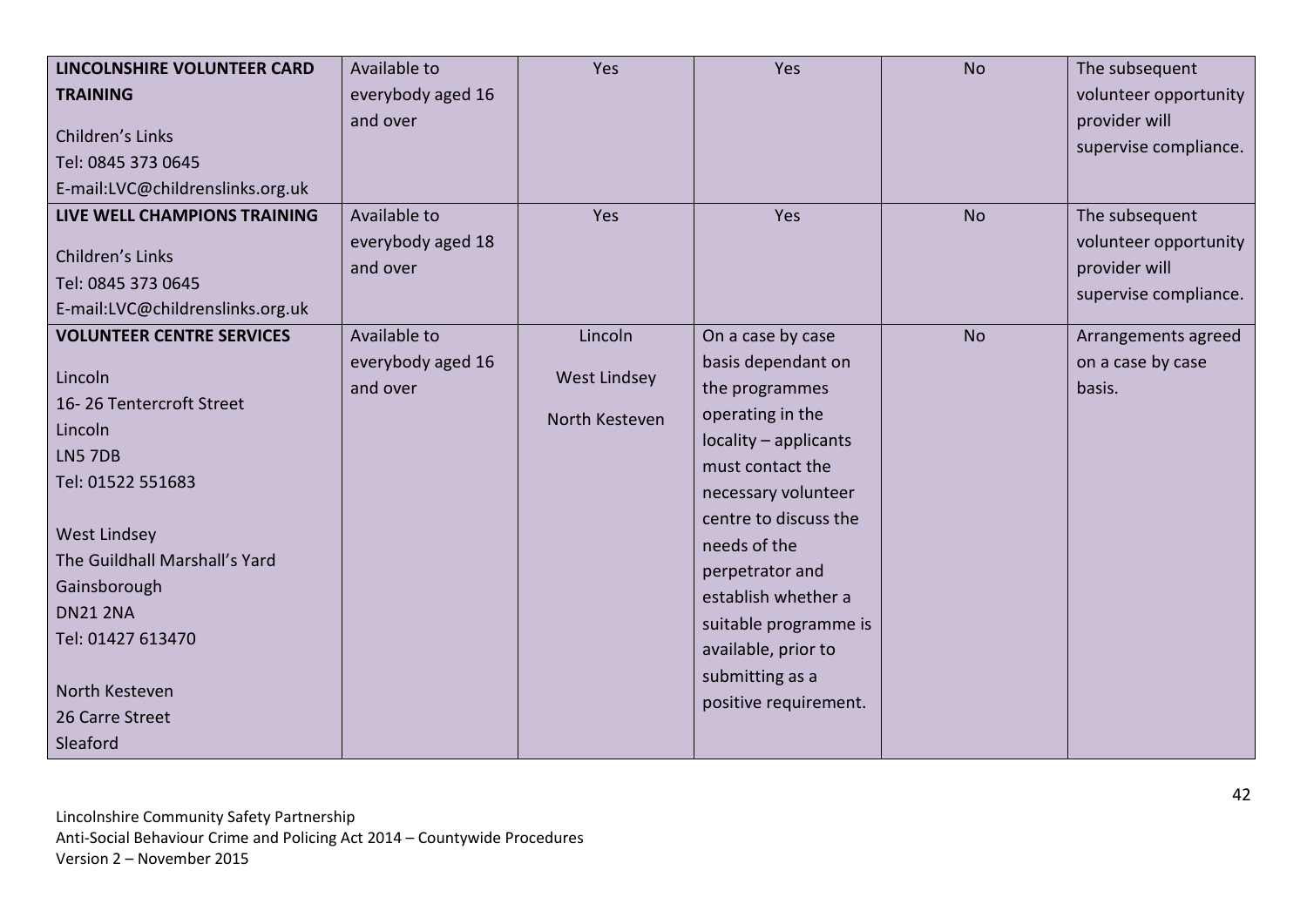| LINCOLNSHIRE VOLUNTEER CARD      | Available to      | Yes                 | Yes                   | <b>No</b> | The subsequent        |
|----------------------------------|-------------------|---------------------|-----------------------|-----------|-----------------------|
| <b>TRAINING</b>                  | everybody aged 16 |                     |                       |           | volunteer opportunity |
|                                  | and over          |                     |                       |           | provider will         |
| Children's Links                 |                   |                     |                       |           | supervise compliance. |
| Tel: 0845 373 0645               |                   |                     |                       |           |                       |
| E-mail:LVC@childrenslinks.org.uk |                   |                     |                       |           |                       |
| LIVE WELL CHAMPIONS TRAINING     | Available to      | Yes                 | Yes                   | <b>No</b> | The subsequent        |
| Children's Links                 | everybody aged 18 |                     |                       |           | volunteer opportunity |
| Tel: 0845 373 0645               | and over          |                     |                       |           | provider will         |
| E-mail:LVC@childrenslinks.org.uk |                   |                     |                       |           | supervise compliance. |
| <b>VOLUNTEER CENTRE SERVICES</b> | Available to      | Lincoln             | On a case by case     | <b>No</b> | Arrangements agreed   |
|                                  | everybody aged 16 |                     | basis dependant on    |           | on a case by case     |
| Lincoln                          | and over          | <b>West Lindsey</b> | the programmes        |           | basis.                |
| 16-26 Tentercroft Street         |                   | North Kesteven      | operating in the      |           |                       |
| Lincoln                          |                   |                     | locality - applicants |           |                       |
| LN5 7DB                          |                   |                     | must contact the      |           |                       |
| Tel: 01522 551683                |                   |                     | necessary volunteer   |           |                       |
|                                  |                   |                     | centre to discuss the |           |                       |
| <b>West Lindsey</b>              |                   |                     | needs of the          |           |                       |
| The Guildhall Marshall's Yard    |                   |                     | perpetrator and       |           |                       |
| Gainsborough                     |                   |                     | establish whether a   |           |                       |
| <b>DN21 2NA</b>                  |                   |                     | suitable programme is |           |                       |
| Tel: 01427 613470                |                   |                     | available, prior to   |           |                       |
|                                  |                   |                     | submitting as a       |           |                       |
| North Kesteven                   |                   |                     | positive requirement. |           |                       |
| 26 Carre Street                  |                   |                     |                       |           |                       |
| Sleaford                         |                   |                     |                       |           |                       |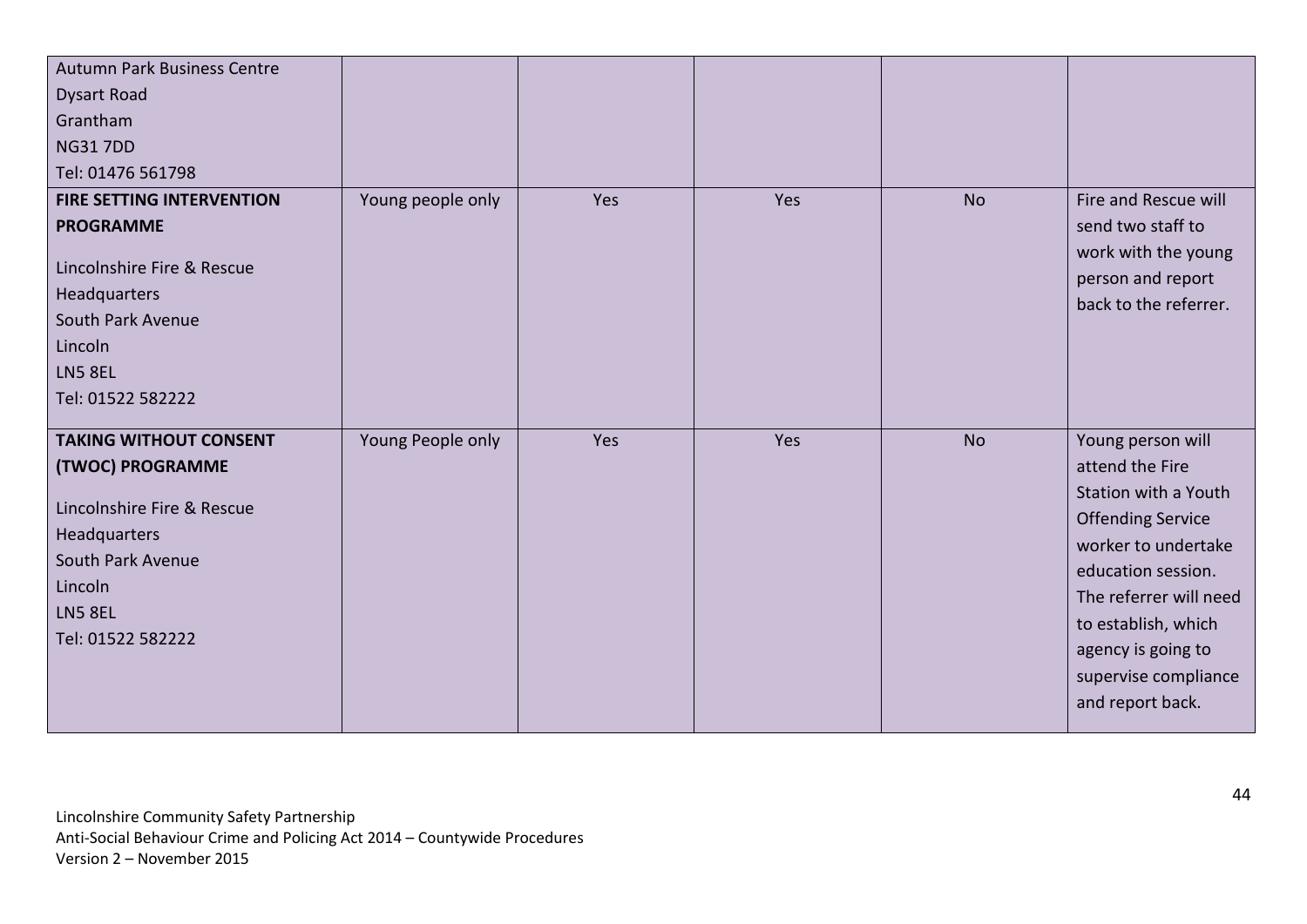| <b>Autumn Park Business Centre</b> |                   |     |     |           |                                          |
|------------------------------------|-------------------|-----|-----|-----------|------------------------------------------|
| <b>Dysart Road</b>                 |                   |     |     |           |                                          |
| Grantham                           |                   |     |     |           |                                          |
| <b>NG317DD</b>                     |                   |     |     |           |                                          |
| Tel: 01476 561798                  |                   |     |     |           |                                          |
| <b>FIRE SETTING INTERVENTION</b>   | Young people only | Yes | Yes | <b>No</b> | Fire and Rescue will                     |
| <b>PROGRAMME</b>                   |                   |     |     |           | send two staff to                        |
| Lincolnshire Fire & Rescue         |                   |     |     |           | work with the young                      |
| Headquarters                       |                   |     |     |           | person and report                        |
| South Park Avenue                  |                   |     |     |           | back to the referrer.                    |
| Lincoln                            |                   |     |     |           |                                          |
| LN5 8EL                            |                   |     |     |           |                                          |
|                                    |                   |     |     |           |                                          |
| Tel: 01522 582222                  |                   |     |     |           |                                          |
| <b>TAKING WITHOUT CONSENT</b>      | Young People only | Yes | Yes | <b>No</b> | Young person will                        |
| (TWOC) PROGRAMME                   |                   |     |     |           | attend the Fire                          |
|                                    |                   |     |     |           | Station with a Youth                     |
| Lincolnshire Fire & Rescue         |                   |     |     |           | <b>Offending Service</b>                 |
| Headquarters                       |                   |     |     |           | worker to undertake                      |
| South Park Avenue                  |                   |     |     |           | education session.                       |
| Lincoln                            |                   |     |     |           | The referrer will need                   |
| <b>LN5 8EL</b>                     |                   |     |     |           | to establish, which                      |
| Tel: 01522 582222                  |                   |     |     |           | agency is going to                       |
|                                    |                   |     |     |           |                                          |
|                                    |                   |     |     |           |                                          |
|                                    |                   |     |     |           | supervise compliance<br>and report back. |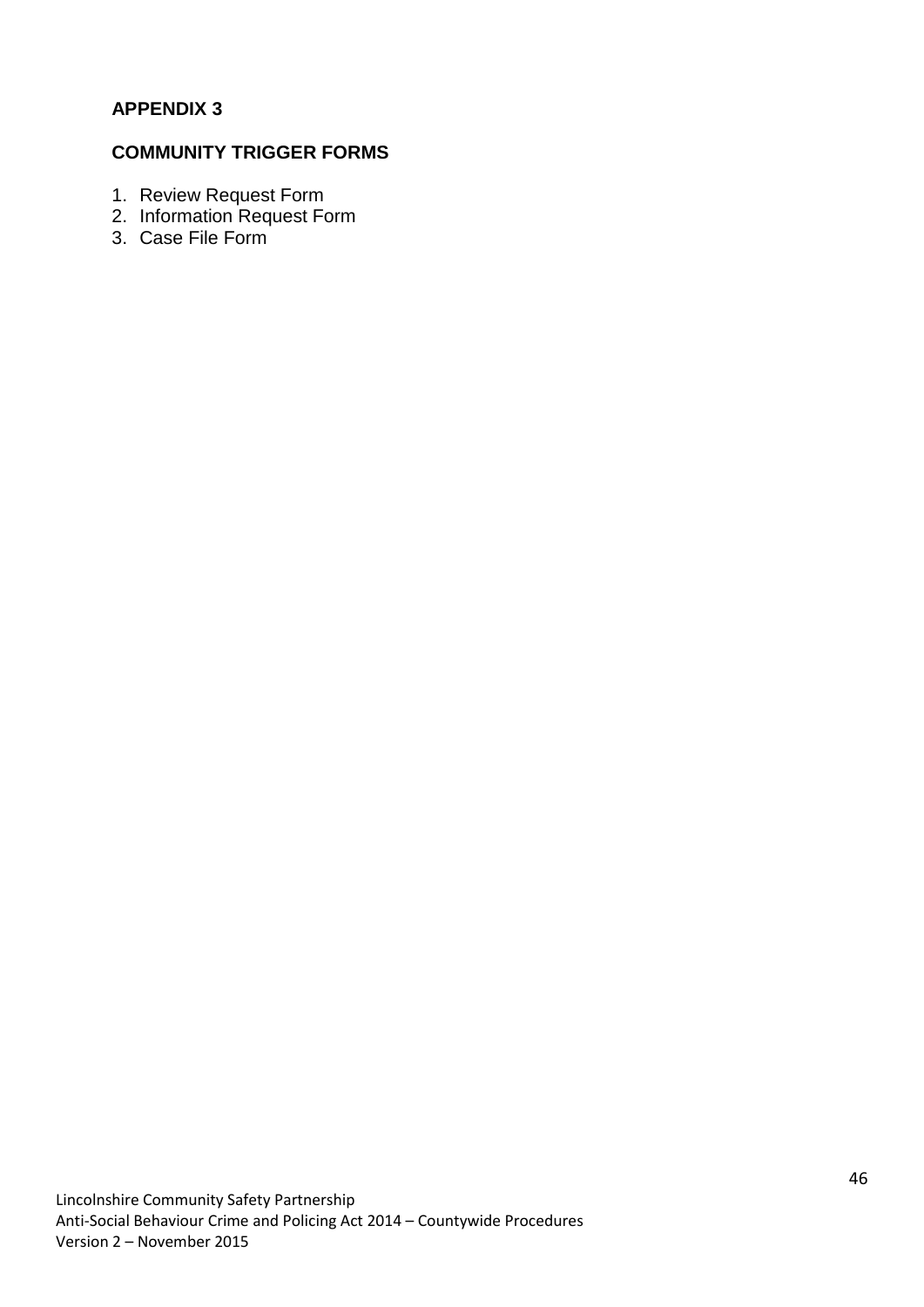# **APPENDIX 3**

# **COMMUNITY TRIGGER FORMS**

- 1. Review Request Form
- 2. Information Request Form
- 3. Case File Form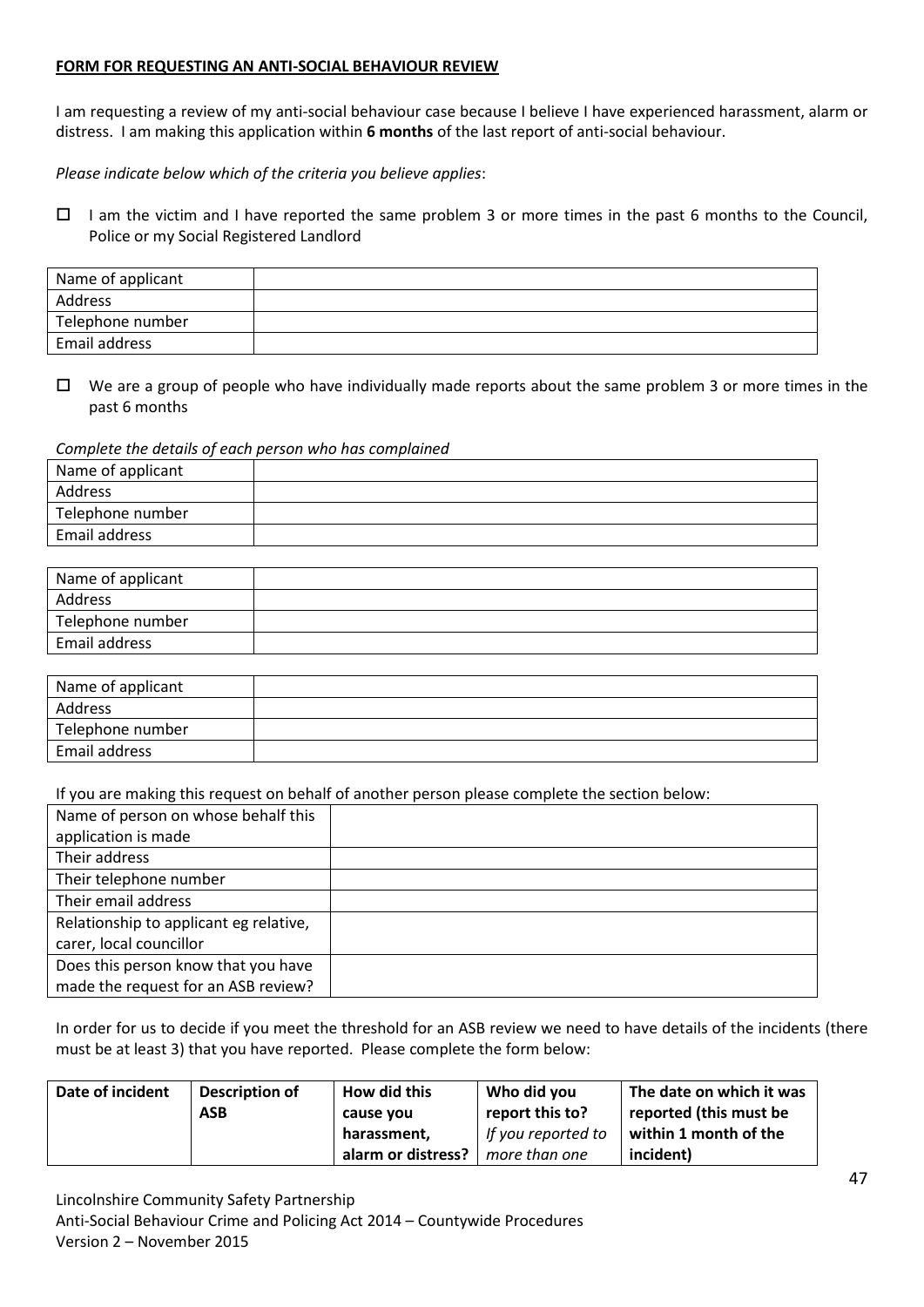#### **FORM FOR REQUESTING AN ANTI-SOCIAL BEHAVIOUR REVIEW**

I am requesting a review of my anti-social behaviour case because I believe I have experienced harassment, alarm or distress. I am making this application within **6 months** of the last report of anti-social behaviour.

*Please indicate below which of the criteria you believe applies*:

 $\Box$  I am the victim and I have reported the same problem 3 or more times in the past 6 months to the Council, Police or my Social Registered Landlord

| Name of applicant |  |
|-------------------|--|
| Address           |  |
| Telephone number  |  |
| Email address     |  |

 $\Box$  We are a group of people who have individually made reports about the same problem 3 or more times in the past 6 months

#### *Complete the details of each person who has complained*

| Name of applicant |  |
|-------------------|--|
| Address           |  |
| Telephone number  |  |
| Email address     |  |

| Name of applicant |  |
|-------------------|--|
| Address           |  |
| Telephone number  |  |
| Email address     |  |

| Name of applicant |  |
|-------------------|--|
| Address           |  |
| Telephone number  |  |
| Email address     |  |

If you are making this request on behalf of another person please complete the section below:

| Name of person on whose behalf this    |  |
|----------------------------------------|--|
| application is made                    |  |
| Their address                          |  |
| Their telephone number                 |  |
| Their email address                    |  |
| Relationship to applicant eg relative, |  |
| carer, local councillor                |  |
| Does this person know that you have    |  |
| made the request for an ASB review?    |  |

In order for us to decide if you meet the threshold for an ASB review we need to have details of the incidents (there must be at least 3) that you have reported. Please complete the form below:

| Date of incident | Description of<br><b>ASB</b> | How did this<br>cause you | Who did you<br>report this to? | The date on which it was<br>reported (this must be |
|------------------|------------------------------|---------------------------|--------------------------------|----------------------------------------------------|
|                  |                              | harassment,               | If you reported to             | within 1 month of the                              |
|                  |                              | alarm or distress?        | more than one                  | incident)                                          |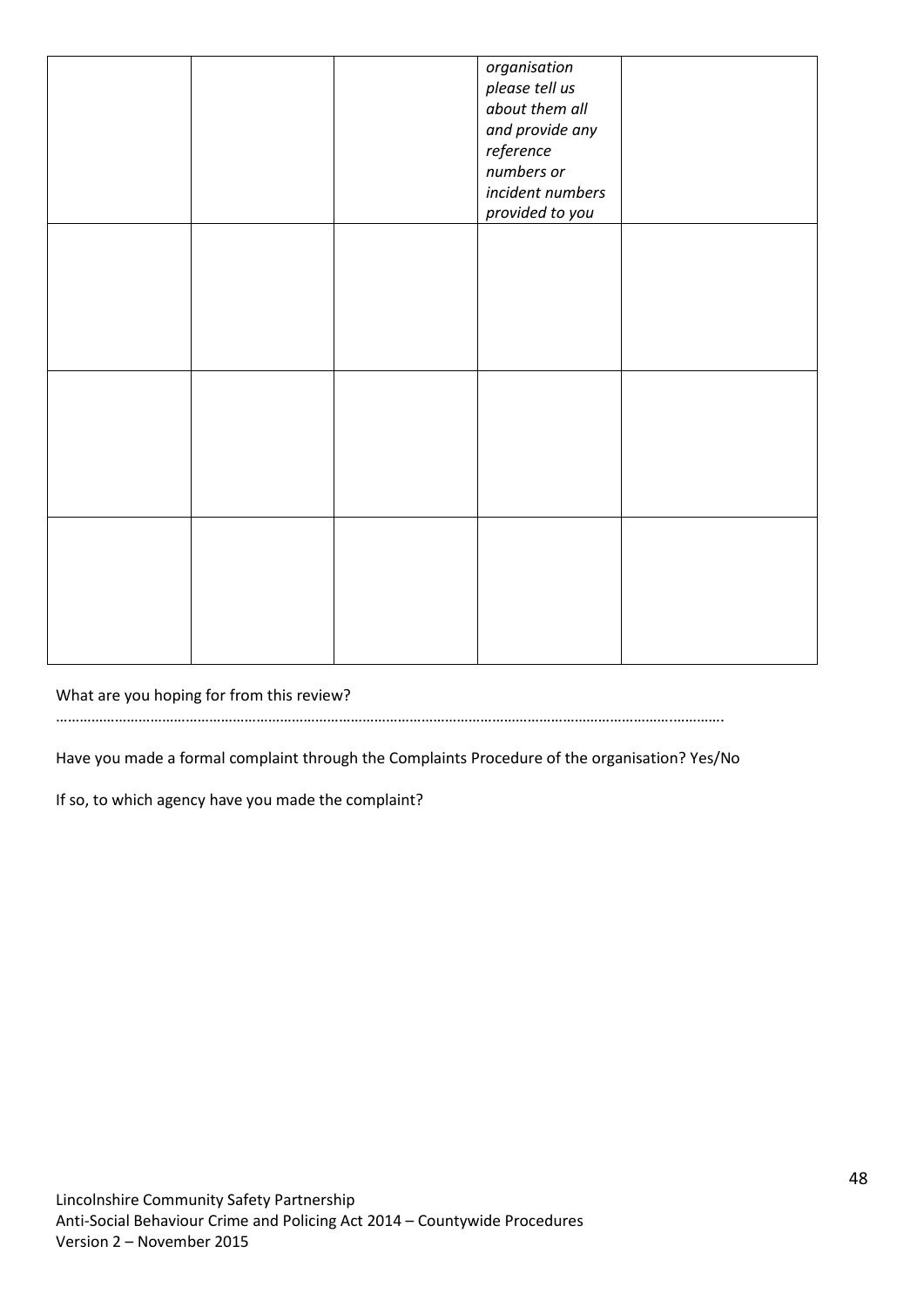|  | organisation<br>please tell us<br>about them all<br>and provide any<br>reference<br>numbers or<br>incident numbers<br>provided to you |  |
|--|---------------------------------------------------------------------------------------------------------------------------------------|--|
|  |                                                                                                                                       |  |
|  |                                                                                                                                       |  |
|  |                                                                                                                                       |  |

What are you hoping for from this review?

………………………………………………………………………………………………………………………………………….………….

Have you made a formal complaint through the Complaints Procedure of the organisation? Yes/No

If so, to which agency have you made the complaint?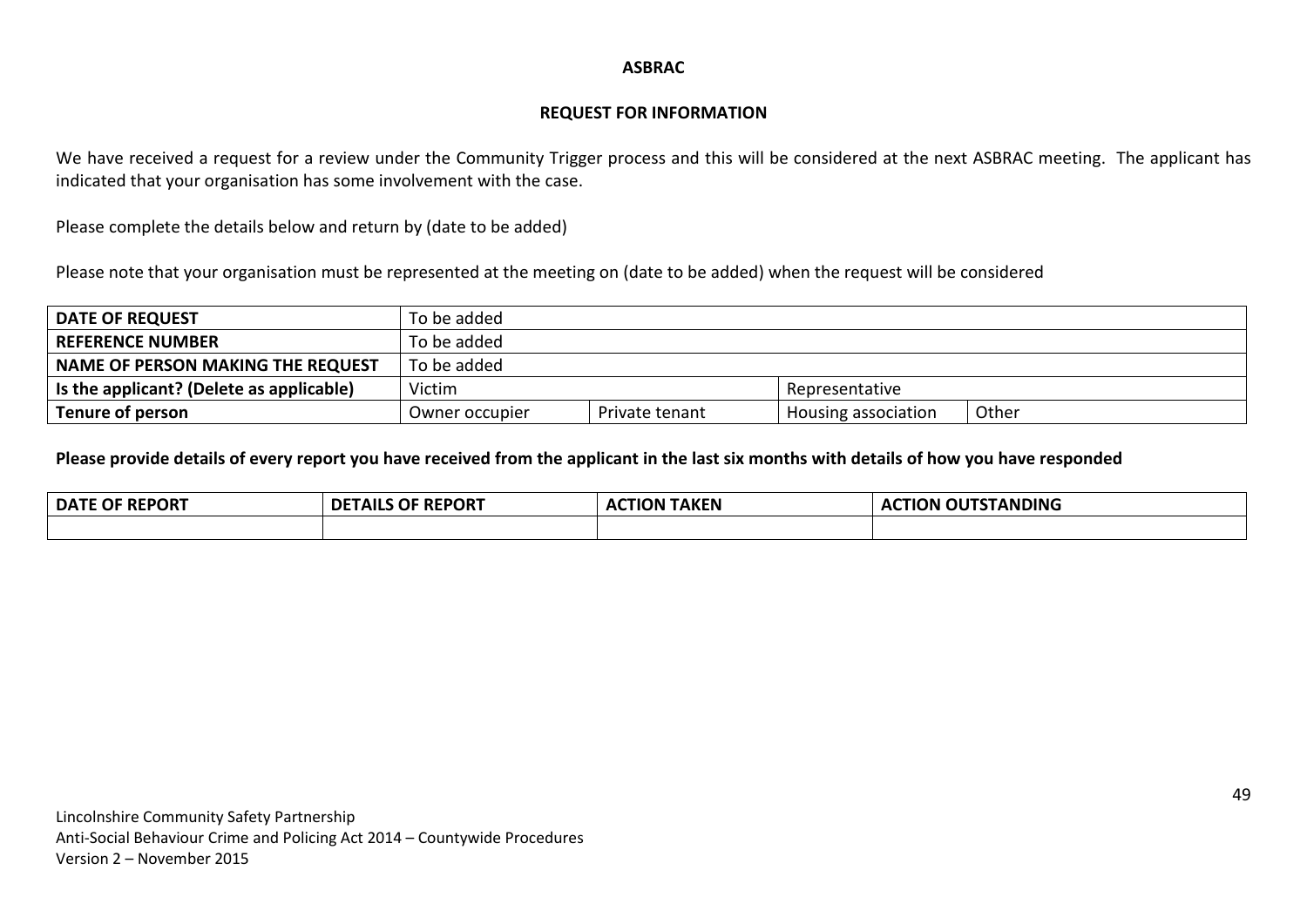#### **ASBRAC**

#### **REQUEST FOR INFORMATION**

We have received a request for a review under the Community Trigger process and this will be considered at the next ASBRAC meeting. The applicant has indicated that your organisation has some involvement with the case.

Please complete the details below and return by (date to be added)

Please note that your organisation must be represented at the meeting on (date to be added) when the request will be considered

| <b>DATE OF REQUEST</b>                   | To be added    |                |                     |       |
|------------------------------------------|----------------|----------------|---------------------|-------|
| <b>REFERENCE NUMBER</b>                  | To be added    |                |                     |       |
| <b>NAME OF PERSON MAKING THE REQUEST</b> | To be added    |                |                     |       |
| Is the applicant? (Delete as applicable) | Victim         |                | Representative      |       |
| Tenure of person                         | Owner occupier | Private tenant | Housing association | Other |

**Please provide details of every report you have received from the applicant in the last six months with details of how you have responded** 

| <b>REPORT</b> | <b>REPORT</b>  | <b>AKEN</b>  | STANDING |
|---------------|----------------|--------------|----------|
| <b>DATL</b>   | <b>DETAILS</b> | $\mathbf{v}$ | п        |
| OF            | .OF            | TION.        | ION.     |
|               |                |              | "        |
|               |                |              |          |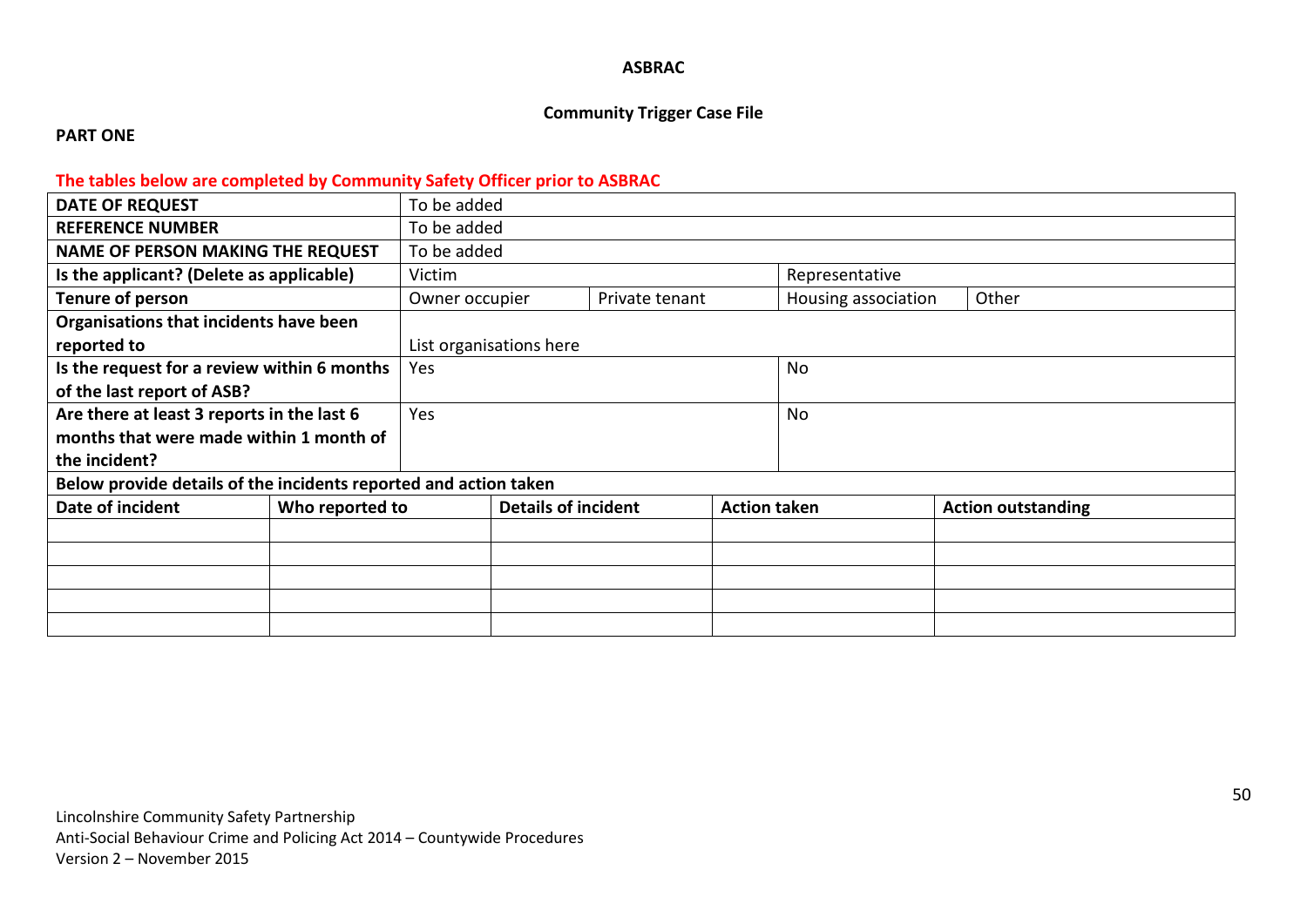#### **ASBRAC**

# **Community Trigger Case File**

#### **PART ONE**

# **The tables below are completed by Community Safety Officer prior to ASBRAC**

| <b>DATE OF REQUEST</b>                                           |                 | To be added    |                            |                |                     |                     |                           |
|------------------------------------------------------------------|-----------------|----------------|----------------------------|----------------|---------------------|---------------------|---------------------------|
| <b>REFERENCE NUMBER</b>                                          |                 | To be added    |                            |                |                     |                     |                           |
| <b>NAME OF PERSON MAKING THE REQUEST</b>                         | To be added     |                |                            |                |                     |                     |                           |
| Is the applicant? (Delete as applicable)                         |                 | Victim         |                            | Representative |                     |                     |                           |
| Tenure of person                                                 |                 | Owner occupier |                            | Private tenant |                     | Housing association | Other                     |
| Organisations that incidents have been                           |                 |                |                            |                |                     |                     |                           |
| reported to                                                      |                 |                | List organisations here    |                |                     |                     |                           |
| Is the request for a review within 6 months                      |                 | Yes            |                            |                |                     | No                  |                           |
| of the last report of ASB?                                       |                 |                |                            |                |                     |                     |                           |
| Are there at least 3 reports in the last 6                       |                 | Yes            |                            | No             |                     |                     |                           |
| months that were made within 1 month of                          |                 |                |                            |                |                     |                     |                           |
| the incident?                                                    |                 |                |                            |                |                     |                     |                           |
| Below provide details of the incidents reported and action taken |                 |                |                            |                |                     |                     |                           |
| Date of incident                                                 | Who reported to |                | <b>Details of incident</b> |                | <b>Action taken</b> |                     | <b>Action outstanding</b> |
|                                                                  |                 |                |                            |                |                     |                     |                           |
|                                                                  |                 |                |                            |                |                     |                     |                           |
|                                                                  |                 |                |                            |                |                     |                     |                           |
|                                                                  |                 |                |                            |                |                     |                     |                           |
|                                                                  |                 |                |                            |                |                     |                     |                           |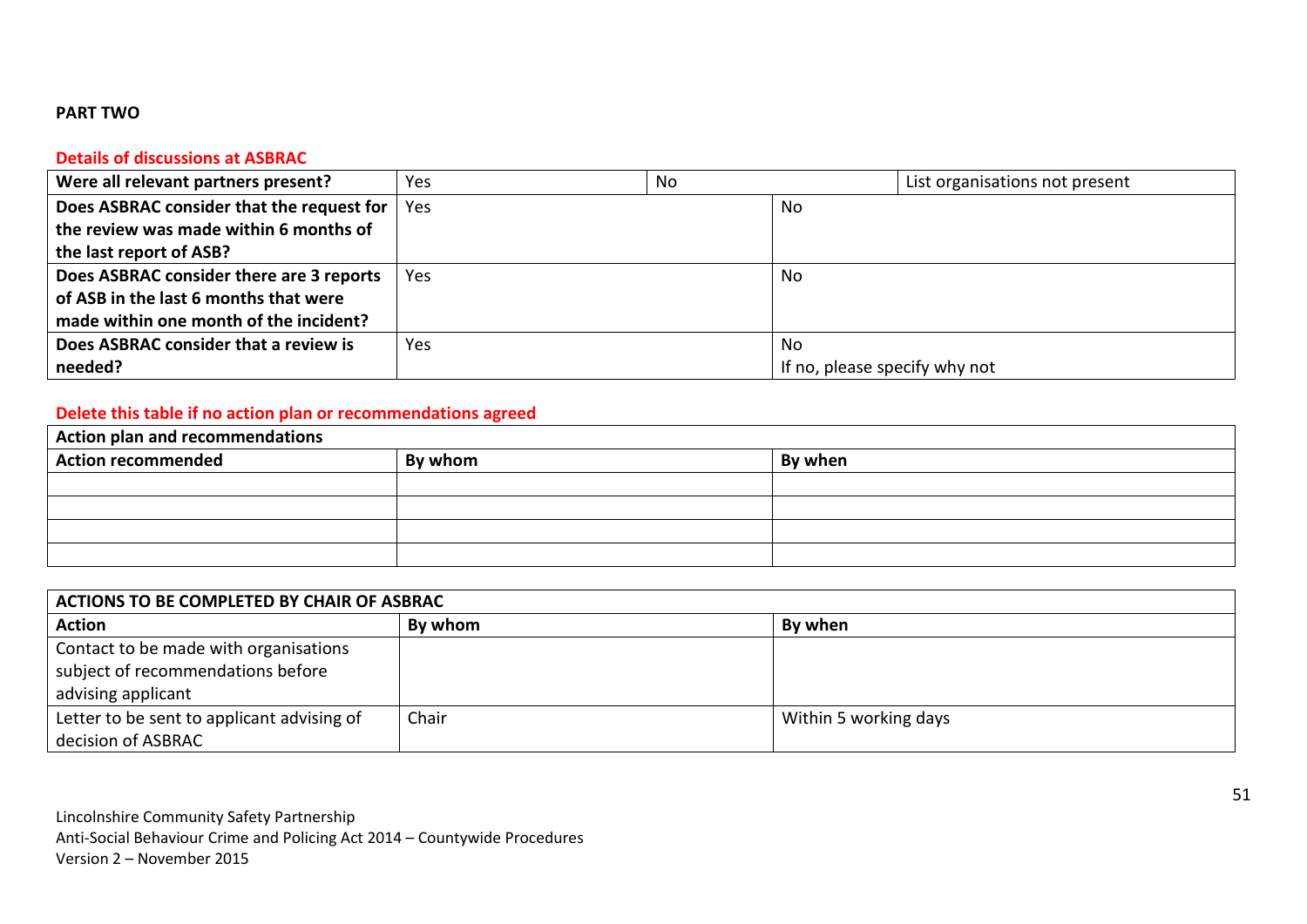#### **PART TWO**

#### **Details of discussions at ASBRAC**

| Were all relevant partners present?       | Yes  | No |                               | List organisations not present |
|-------------------------------------------|------|----|-------------------------------|--------------------------------|
| Does ASBRAC consider that the request for | Yes  |    | No                            |                                |
| the review was made within 6 months of    |      |    |                               |                                |
| the last report of ASB?                   |      |    |                               |                                |
| Does ASBRAC consider there are 3 reports  | Yes. |    | No                            |                                |
| of ASB in the last 6 months that were     |      |    |                               |                                |
| made within one month of the incident?    |      |    |                               |                                |
| Does ASBRAC consider that a review is     | Yes  |    | No.                           |                                |
| needed?                                   |      |    | If no, please specify why not |                                |

# **Delete this table if no action plan or recommendations agreed**

| Action plan and recommendations |         |         |  |  |
|---------------------------------|---------|---------|--|--|
| Action recommended              | By whom | By when |  |  |
|                                 |         |         |  |  |
|                                 |         |         |  |  |
|                                 |         |         |  |  |
|                                 |         |         |  |  |

| ACTIONS TO BE COMPLETED BY CHAIR OF ASBRAC |         |                       |  |  |
|--------------------------------------------|---------|-----------------------|--|--|
| <b>Action</b>                              | By whom | By when               |  |  |
| Contact to be made with organisations      |         |                       |  |  |
| subject of recommendations before          |         |                       |  |  |
| advising applicant                         |         |                       |  |  |
| Letter to be sent to applicant advising of | Chair   | Within 5 working days |  |  |
| decision of ASBRAC                         |         |                       |  |  |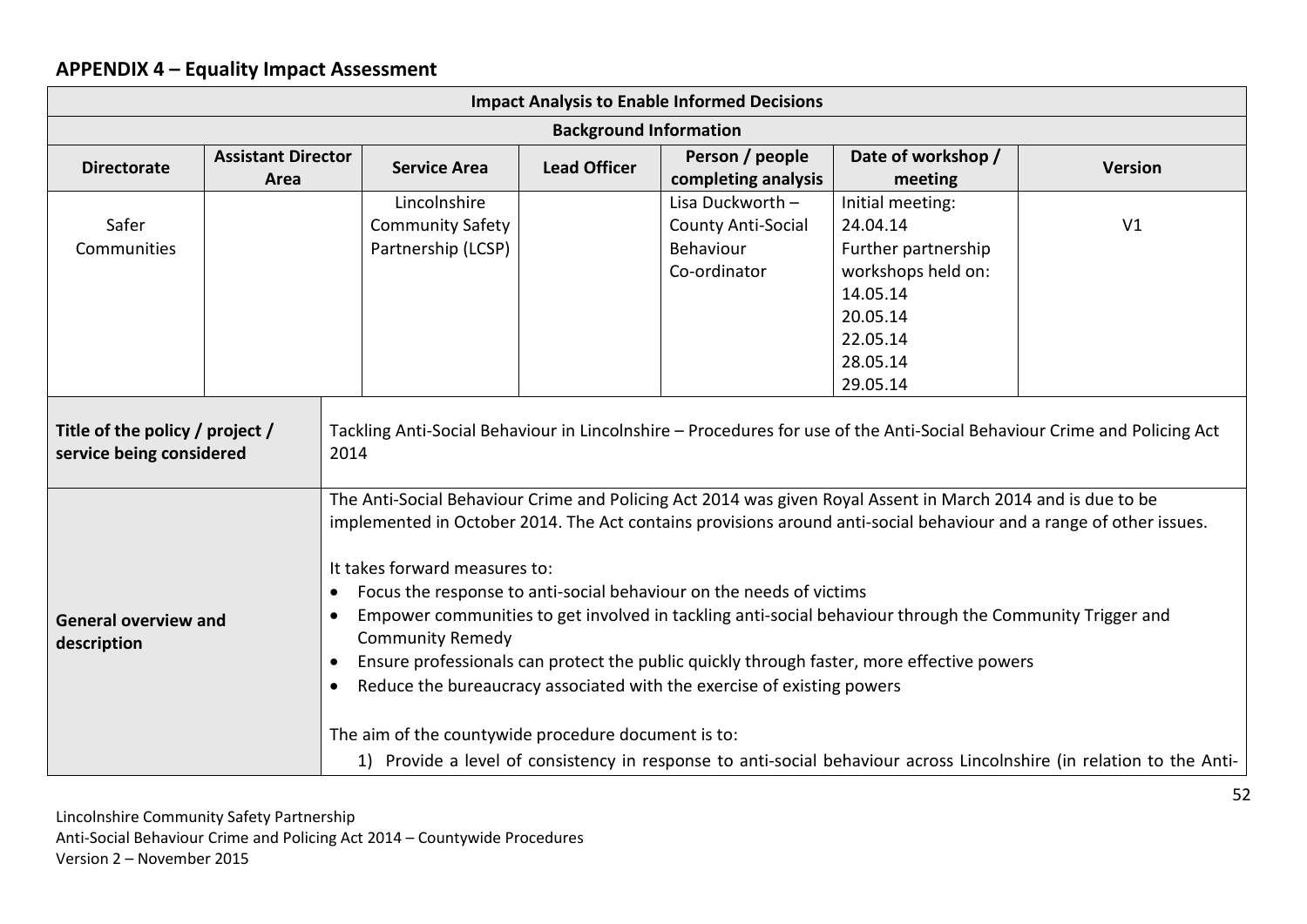# **APPENDIX 4 – Equality Impact Assessment**

| <b>Impact Analysis to Enable Informed Decisions</b>                                                                                                                                                                                                                                                                                                                                                                                                                                                                                                                                                                                                                                                                                                                                                                                                                                                                                     |                                   |                                                               |                               |                                                                            |                                                                                                                                       |                |
|-----------------------------------------------------------------------------------------------------------------------------------------------------------------------------------------------------------------------------------------------------------------------------------------------------------------------------------------------------------------------------------------------------------------------------------------------------------------------------------------------------------------------------------------------------------------------------------------------------------------------------------------------------------------------------------------------------------------------------------------------------------------------------------------------------------------------------------------------------------------------------------------------------------------------------------------|-----------------------------------|---------------------------------------------------------------|-------------------------------|----------------------------------------------------------------------------|---------------------------------------------------------------------------------------------------------------------------------------|----------------|
|                                                                                                                                                                                                                                                                                                                                                                                                                                                                                                                                                                                                                                                                                                                                                                                                                                                                                                                                         |                                   |                                                               | <b>Background Information</b> |                                                                            |                                                                                                                                       |                |
| <b>Directorate</b>                                                                                                                                                                                                                                                                                                                                                                                                                                                                                                                                                                                                                                                                                                                                                                                                                                                                                                                      | <b>Assistant Director</b><br>Area | <b>Service Area</b>                                           | <b>Lead Officer</b>           | Person / people<br>completing analysis                                     | Date of workshop /<br>meeting                                                                                                         | <b>Version</b> |
| Safer<br>Communities<br>Title of the policy / project /                                                                                                                                                                                                                                                                                                                                                                                                                                                                                                                                                                                                                                                                                                                                                                                                                                                                                 |                                   | Lincolnshire<br><b>Community Safety</b><br>Partnership (LCSP) |                               | Lisa Duckworth -<br><b>County Anti-Social</b><br>Behaviour<br>Co-ordinator | Initial meeting:<br>24.04.14<br>Further partnership<br>workshops held on:<br>14.05.14<br>20.05.14<br>22.05.14<br>28.05.14<br>29.05.14 | V1             |
| Tackling Anti-Social Behaviour in Lincolnshire – Procedures for use of the Anti-Social Behaviour Crime and Policing Act<br>service being considered<br>2014                                                                                                                                                                                                                                                                                                                                                                                                                                                                                                                                                                                                                                                                                                                                                                             |                                   |                                                               |                               |                                                                            |                                                                                                                                       |                |
| The Anti-Social Behaviour Crime and Policing Act 2014 was given Royal Assent in March 2014 and is due to be<br>implemented in October 2014. The Act contains provisions around anti-social behaviour and a range of other issues.<br>It takes forward measures to:<br>Focus the response to anti-social behaviour on the needs of victims<br>$\bullet$<br>Empower communities to get involved in tackling anti-social behaviour through the Community Trigger and<br>$\bullet$<br><b>General overview and</b><br><b>Community Remedy</b><br>description<br>Ensure professionals can protect the public quickly through faster, more effective powers<br>$\bullet$<br>Reduce the bureaucracy associated with the exercise of existing powers<br>$\bullet$<br>The aim of the countywide procedure document is to:<br>1) Provide a level of consistency in response to anti-social behaviour across Lincolnshire (in relation to the Anti- |                                   |                                                               |                               |                                                                            |                                                                                                                                       |                |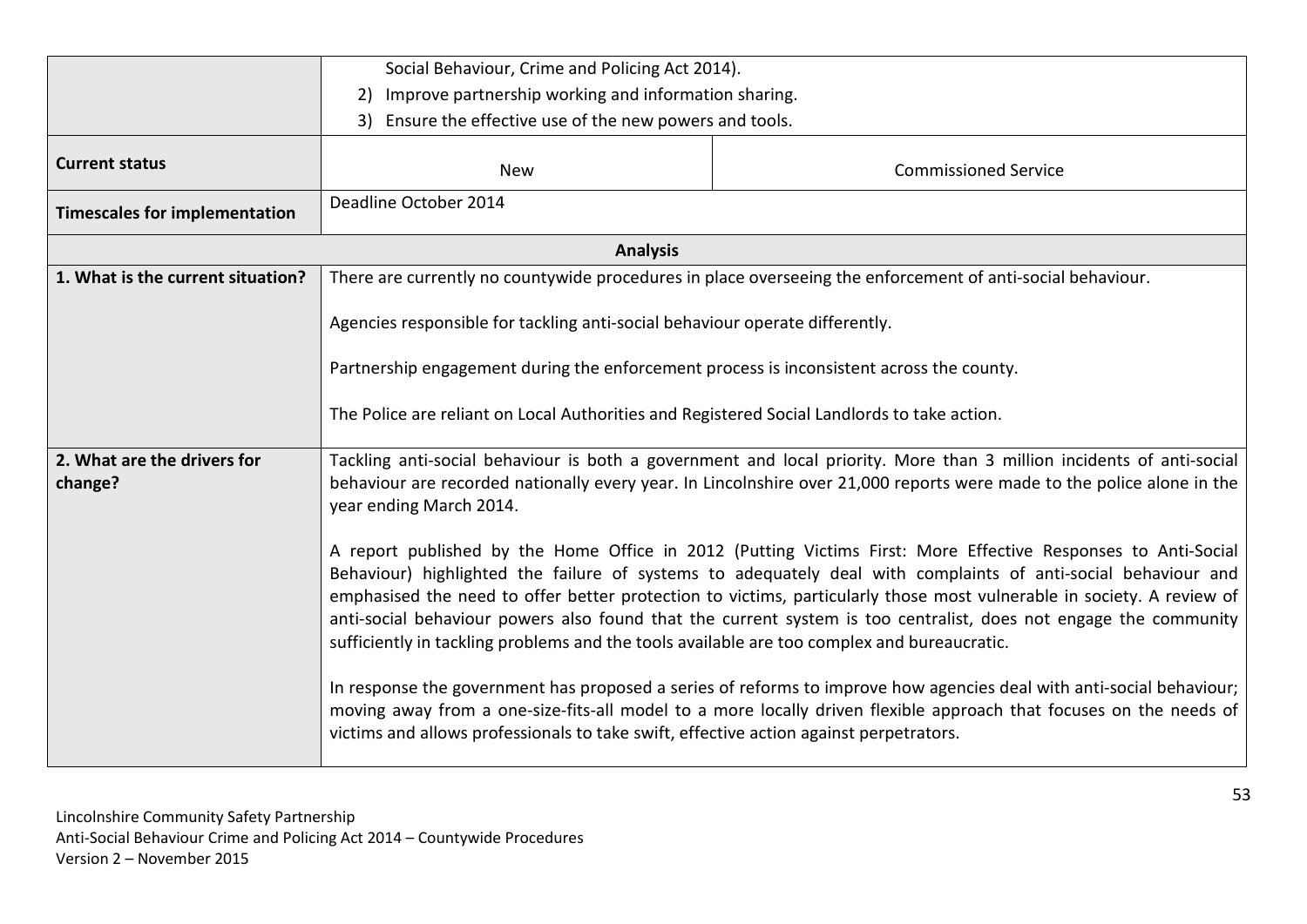|                                        | Social Behaviour, Crime and Policing Act 2014).                                                                                                                                                                                                                                                                                                                                                                                                                                                                                                                            |                                                                                                                                                                                                                                            |  |  |  |
|----------------------------------------|----------------------------------------------------------------------------------------------------------------------------------------------------------------------------------------------------------------------------------------------------------------------------------------------------------------------------------------------------------------------------------------------------------------------------------------------------------------------------------------------------------------------------------------------------------------------------|--------------------------------------------------------------------------------------------------------------------------------------------------------------------------------------------------------------------------------------------|--|--|--|
|                                        | 2) Improve partnership working and information sharing.                                                                                                                                                                                                                                                                                                                                                                                                                                                                                                                    |                                                                                                                                                                                                                                            |  |  |  |
|                                        | 3) Ensure the effective use of the new powers and tools.                                                                                                                                                                                                                                                                                                                                                                                                                                                                                                                   |                                                                                                                                                                                                                                            |  |  |  |
|                                        |                                                                                                                                                                                                                                                                                                                                                                                                                                                                                                                                                                            |                                                                                                                                                                                                                                            |  |  |  |
| <b>Current status</b>                  | <b>New</b>                                                                                                                                                                                                                                                                                                                                                                                                                                                                                                                                                                 | <b>Commissioned Service</b>                                                                                                                                                                                                                |  |  |  |
| <b>Timescales for implementation</b>   | Deadline October 2014                                                                                                                                                                                                                                                                                                                                                                                                                                                                                                                                                      |                                                                                                                                                                                                                                            |  |  |  |
|                                        | <b>Analysis</b>                                                                                                                                                                                                                                                                                                                                                                                                                                                                                                                                                            |                                                                                                                                                                                                                                            |  |  |  |
| 1. What is the current situation?      |                                                                                                                                                                                                                                                                                                                                                                                                                                                                                                                                                                            | There are currently no countywide procedures in place overseeing the enforcement of anti-social behaviour.                                                                                                                                 |  |  |  |
|                                        | Agencies responsible for tackling anti-social behaviour operate differently.                                                                                                                                                                                                                                                                                                                                                                                                                                                                                               |                                                                                                                                                                                                                                            |  |  |  |
|                                        | Partnership engagement during the enforcement process is inconsistent across the county.                                                                                                                                                                                                                                                                                                                                                                                                                                                                                   |                                                                                                                                                                                                                                            |  |  |  |
|                                        | The Police are reliant on Local Authorities and Registered Social Landlords to take action.                                                                                                                                                                                                                                                                                                                                                                                                                                                                                |                                                                                                                                                                                                                                            |  |  |  |
| 2. What are the drivers for<br>change? | Tackling anti-social behaviour is both a government and local priority. More than 3 million incidents of anti-social<br>behaviour are recorded nationally every year. In Lincolnshire over 21,000 reports were made to the police alone in the<br>year ending March 2014.                                                                                                                                                                                                                                                                                                  |                                                                                                                                                                                                                                            |  |  |  |
|                                        | A report published by the Home Office in 2012 (Putting Victims First: More Effective Responses to Anti-Social<br>Behaviour) highlighted the failure of systems to adequately deal with complaints of anti-social behaviour and<br>emphasised the need to offer better protection to victims, particularly those most vulnerable in society. A review of<br>anti-social behaviour powers also found that the current system is too centralist, does not engage the community<br>sufficiently in tackling problems and the tools available are too complex and bureaucratic. |                                                                                                                                                                                                                                            |  |  |  |
|                                        | victims and allows professionals to take swift, effective action against perpetrators.                                                                                                                                                                                                                                                                                                                                                                                                                                                                                     | In response the government has proposed a series of reforms to improve how agencies deal with anti-social behaviour;<br>moving away from a one-size-fits-all model to a more locally driven flexible approach that focuses on the needs of |  |  |  |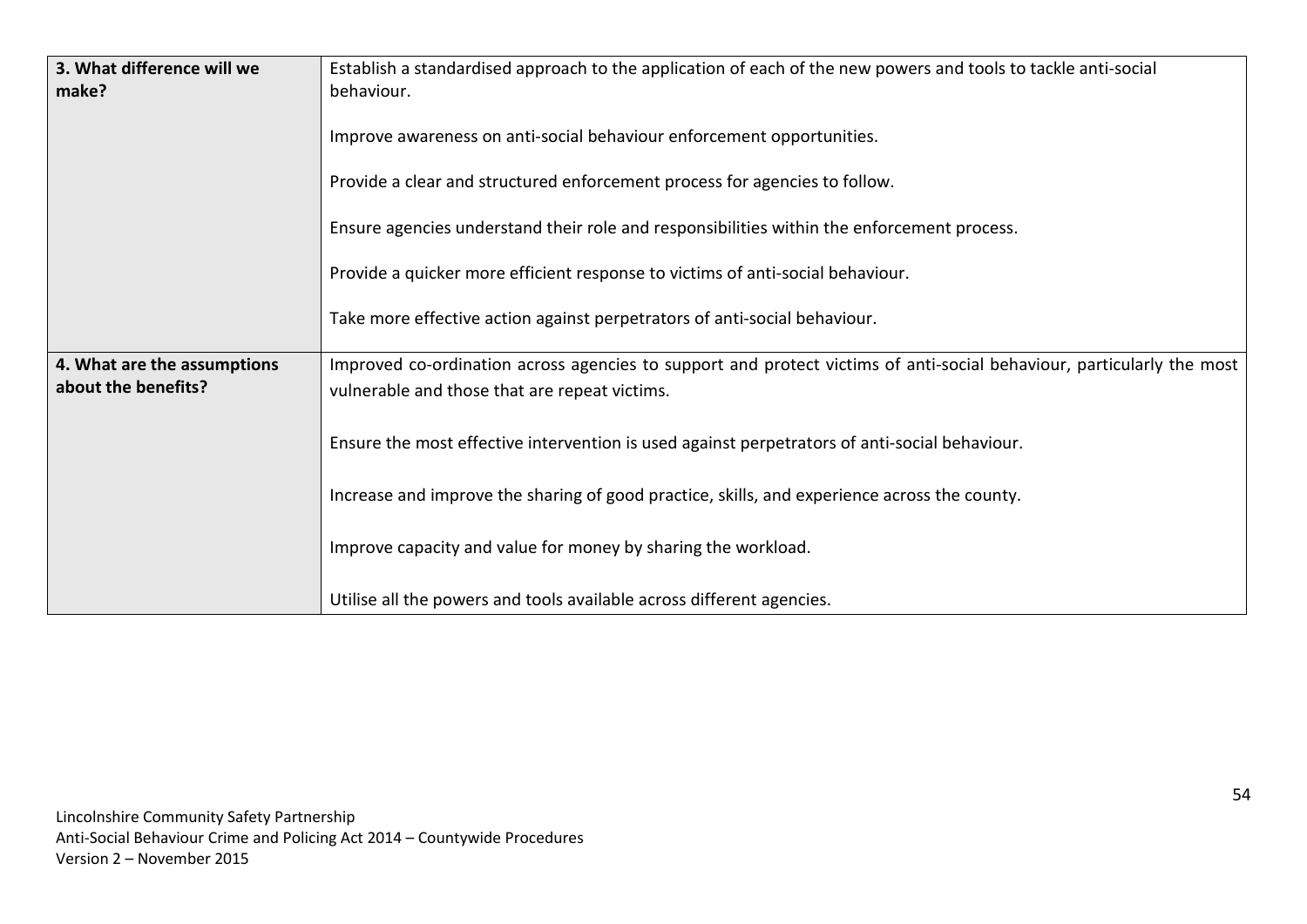| 3. What difference will we  | Establish a standardised approach to the application of each of the new powers and tools to tackle anti-social        |
|-----------------------------|-----------------------------------------------------------------------------------------------------------------------|
| make?                       | behaviour.                                                                                                            |
|                             | Improve awareness on anti-social behaviour enforcement opportunities.                                                 |
|                             | Provide a clear and structured enforcement process for agencies to follow.                                            |
|                             | Ensure agencies understand their role and responsibilities within the enforcement process.                            |
|                             | Provide a quicker more efficient response to victims of anti-social behaviour.                                        |
|                             | Take more effective action against perpetrators of anti-social behaviour.                                             |
| 4. What are the assumptions | Improved co-ordination across agencies to support and protect victims of anti-social behaviour, particularly the most |
| about the benefits?         | vulnerable and those that are repeat victims.                                                                         |
|                             | Ensure the most effective intervention is used against perpetrators of anti-social behaviour.                         |
|                             | Increase and improve the sharing of good practice, skills, and experience across the county.                          |
|                             | Improve capacity and value for money by sharing the workload.                                                         |
|                             | Utilise all the powers and tools available across different agencies.                                                 |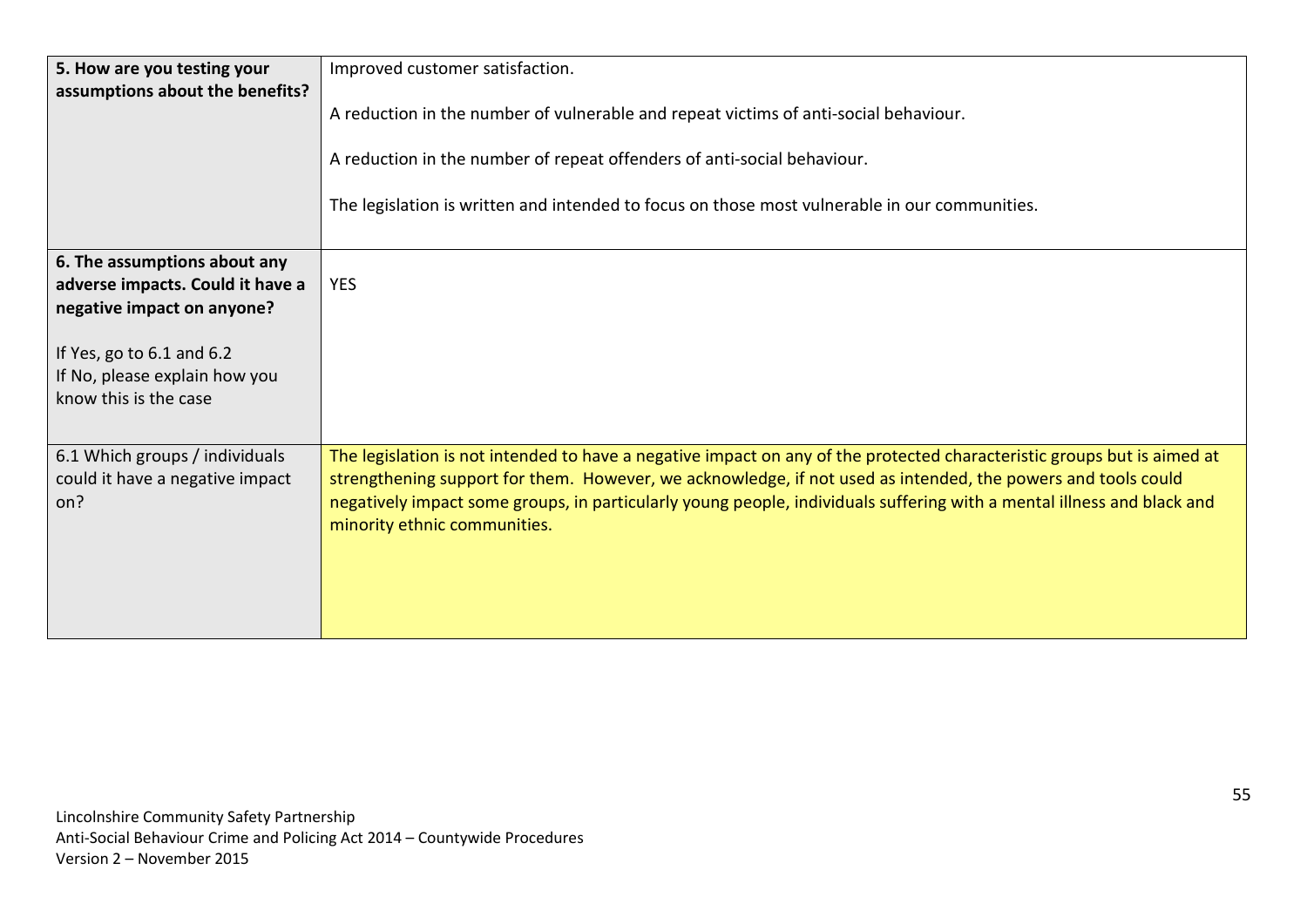| 5. How are you testing your<br>assumptions about the benefits?                                                                                                                        | Improved customer satisfaction.<br>A reduction in the number of vulnerable and repeat victims of anti-social behaviour.<br>A reduction in the number of repeat offenders of anti-social behaviour.<br>The legislation is written and intended to focus on those most vulnerable in our communities.                                                                                               |
|---------------------------------------------------------------------------------------------------------------------------------------------------------------------------------------|---------------------------------------------------------------------------------------------------------------------------------------------------------------------------------------------------------------------------------------------------------------------------------------------------------------------------------------------------------------------------------------------------|
| 6. The assumptions about any<br>adverse impacts. Could it have a<br>negative impact on anyone?<br>If Yes, go to 6.1 and 6.2<br>If No, please explain how you<br>know this is the case | <b>YES</b>                                                                                                                                                                                                                                                                                                                                                                                        |
| 6.1 Which groups / individuals<br>could it have a negative impact<br>on?                                                                                                              | The legislation is not intended to have a negative impact on any of the protected characteristic groups but is aimed at<br>strengthening support for them. However, we acknowledge, if not used as intended, the powers and tools could<br>negatively impact some groups, in particularly young people, individuals suffering with a mental illness and black and<br>minority ethnic communities. |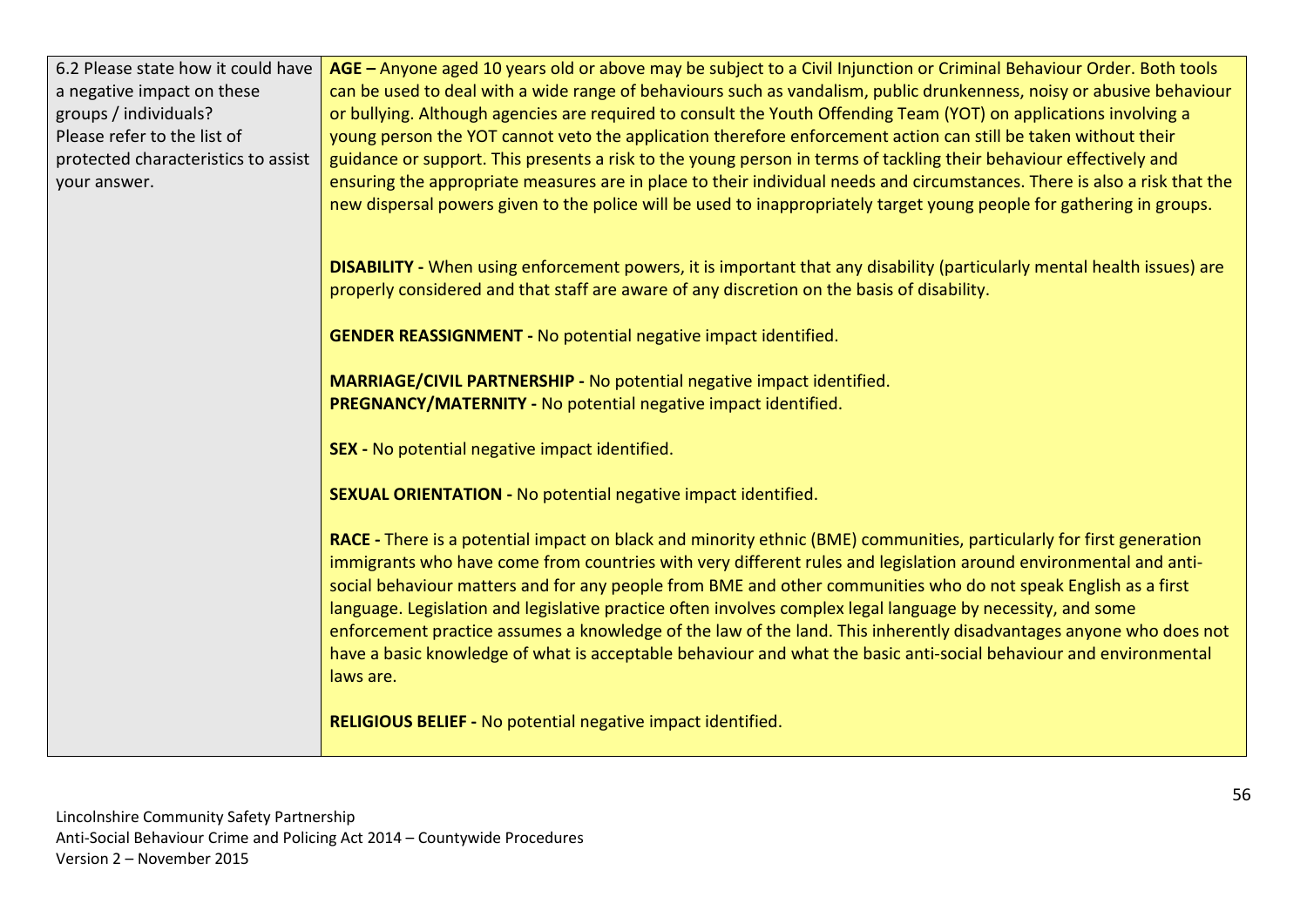| 6.2 Please state how it could have<br>a negative impact on these<br>groups / individuals?<br>Please refer to the list of<br>protected characteristics to assist<br>your answer. | AGE - Anyone aged 10 years old or above may be subject to a Civil Injunction or Criminal Behaviour Order. Both tools<br>can be used to deal with a wide range of behaviours such as vandalism, public drunkenness, noisy or abusive behaviour<br>or bullying. Although agencies are required to consult the Youth Offending Team (YOT) on applications involving a<br>young person the YOT cannot veto the application therefore enforcement action can still be taken without their<br>guidance or support. This presents a risk to the young person in terms of tackling their behaviour effectively and<br>ensuring the appropriate measures are in place to their individual needs and circumstances. There is also a risk that the<br>new dispersal powers given to the police will be used to inappropriately target young people for gathering in groups. |
|---------------------------------------------------------------------------------------------------------------------------------------------------------------------------------|------------------------------------------------------------------------------------------------------------------------------------------------------------------------------------------------------------------------------------------------------------------------------------------------------------------------------------------------------------------------------------------------------------------------------------------------------------------------------------------------------------------------------------------------------------------------------------------------------------------------------------------------------------------------------------------------------------------------------------------------------------------------------------------------------------------------------------------------------------------|
|                                                                                                                                                                                 | DISABILITY - When using enforcement powers, it is important that any disability (particularly mental health issues) are<br>properly considered and that staff are aware of any discretion on the basis of disability.                                                                                                                                                                                                                                                                                                                                                                                                                                                                                                                                                                                                                                            |
|                                                                                                                                                                                 | <b>GENDER REASSIGNMENT - No potential negative impact identified.</b>                                                                                                                                                                                                                                                                                                                                                                                                                                                                                                                                                                                                                                                                                                                                                                                            |
|                                                                                                                                                                                 | MARRIAGE/CIVIL PARTNERSHIP - No potential negative impact identified.<br>PREGNANCY/MATERNITY - No potential negative impact identified.                                                                                                                                                                                                                                                                                                                                                                                                                                                                                                                                                                                                                                                                                                                          |
|                                                                                                                                                                                 | SEX - No potential negative impact identified.                                                                                                                                                                                                                                                                                                                                                                                                                                                                                                                                                                                                                                                                                                                                                                                                                   |
|                                                                                                                                                                                 | <b>SEXUAL ORIENTATION - No potential negative impact identified.</b>                                                                                                                                                                                                                                                                                                                                                                                                                                                                                                                                                                                                                                                                                                                                                                                             |
|                                                                                                                                                                                 | RACE - There is a potential impact on black and minority ethnic (BME) communities, particularly for first generation<br>immigrants who have come from countries with very different rules and legislation around environmental and anti-<br>social behaviour matters and for any people from BME and other communities who do not speak English as a first<br>language. Legislation and legislative practice often involves complex legal language by necessity, and some<br>enforcement practice assumes a knowledge of the law of the land. This inherently disadvantages anyone who does not<br>have a basic knowledge of what is acceptable behaviour and what the basic anti-social behaviour and environmental<br>laws are.                                                                                                                                |
|                                                                                                                                                                                 | RELIGIOUS BELIEF - No potential negative impact identified.                                                                                                                                                                                                                                                                                                                                                                                                                                                                                                                                                                                                                                                                                                                                                                                                      |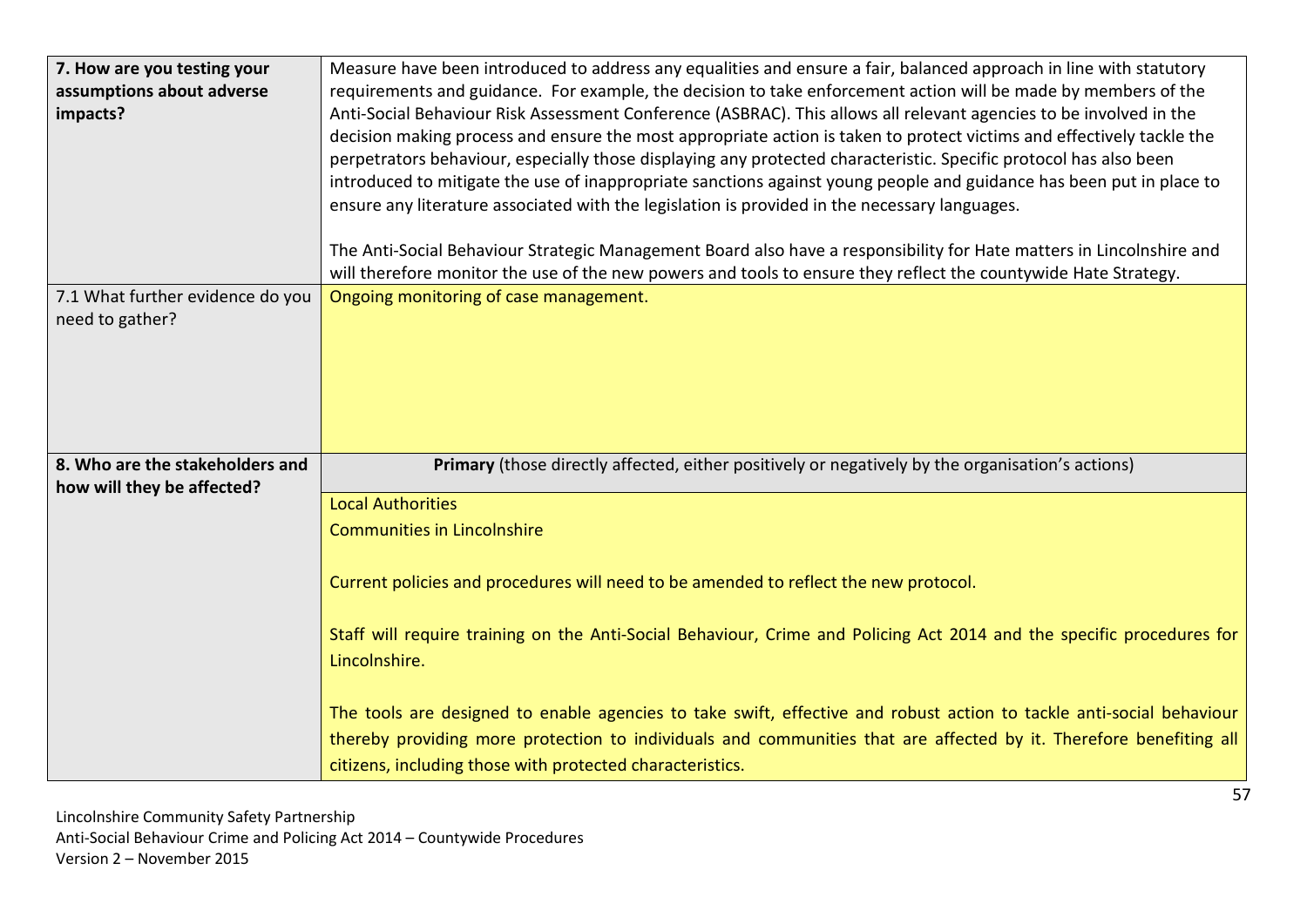| 7. How are you testing your<br>assumptions about adverse<br>impacts? | Measure have been introduced to address any equalities and ensure a fair, balanced approach in line with statutory<br>requirements and guidance. For example, the decision to take enforcement action will be made by members of the<br>Anti-Social Behaviour Risk Assessment Conference (ASBRAC). This allows all relevant agencies to be involved in the<br>decision making process and ensure the most appropriate action is taken to protect victims and effectively tackle the<br>perpetrators behaviour, especially those displaying any protected characteristic. Specific protocol has also been<br>introduced to mitigate the use of inappropriate sanctions against young people and guidance has been put in place to<br>ensure any literature associated with the legislation is provided in the necessary languages.<br>The Anti-Social Behaviour Strategic Management Board also have a responsibility for Hate matters in Lincolnshire and<br>will therefore monitor the use of the new powers and tools to ensure they reflect the countywide Hate Strategy. |
|----------------------------------------------------------------------|------------------------------------------------------------------------------------------------------------------------------------------------------------------------------------------------------------------------------------------------------------------------------------------------------------------------------------------------------------------------------------------------------------------------------------------------------------------------------------------------------------------------------------------------------------------------------------------------------------------------------------------------------------------------------------------------------------------------------------------------------------------------------------------------------------------------------------------------------------------------------------------------------------------------------------------------------------------------------------------------------------------------------------------------------------------------------|
| 7.1 What further evidence do you                                     | Ongoing monitoring of case management.                                                                                                                                                                                                                                                                                                                                                                                                                                                                                                                                                                                                                                                                                                                                                                                                                                                                                                                                                                                                                                       |
| need to gather?                                                      |                                                                                                                                                                                                                                                                                                                                                                                                                                                                                                                                                                                                                                                                                                                                                                                                                                                                                                                                                                                                                                                                              |
|                                                                      |                                                                                                                                                                                                                                                                                                                                                                                                                                                                                                                                                                                                                                                                                                                                                                                                                                                                                                                                                                                                                                                                              |
| 8. Who are the stakeholders and                                      | Primary (those directly affected, either positively or negatively by the organisation's actions)                                                                                                                                                                                                                                                                                                                                                                                                                                                                                                                                                                                                                                                                                                                                                                                                                                                                                                                                                                             |
| how will they be affected?                                           | <b>Local Authorities</b>                                                                                                                                                                                                                                                                                                                                                                                                                                                                                                                                                                                                                                                                                                                                                                                                                                                                                                                                                                                                                                                     |
|                                                                      | <b>Communities in Lincolnshire</b>                                                                                                                                                                                                                                                                                                                                                                                                                                                                                                                                                                                                                                                                                                                                                                                                                                                                                                                                                                                                                                           |
|                                                                      | Current policies and procedures will need to be amended to reflect the new protocol.                                                                                                                                                                                                                                                                                                                                                                                                                                                                                                                                                                                                                                                                                                                                                                                                                                                                                                                                                                                         |
|                                                                      | Staff will require training on the Anti-Social Behaviour, Crime and Policing Act 2014 and the specific procedures for                                                                                                                                                                                                                                                                                                                                                                                                                                                                                                                                                                                                                                                                                                                                                                                                                                                                                                                                                        |
|                                                                      | Lincolnshire.                                                                                                                                                                                                                                                                                                                                                                                                                                                                                                                                                                                                                                                                                                                                                                                                                                                                                                                                                                                                                                                                |
|                                                                      | The tools are designed to enable agencies to take swift, effective and robust action to tackle anti-social behaviour                                                                                                                                                                                                                                                                                                                                                                                                                                                                                                                                                                                                                                                                                                                                                                                                                                                                                                                                                         |
|                                                                      | thereby providing more protection to individuals and communities that are affected by it. Therefore benefiting all<br>citizens, including those with protected characteristics.                                                                                                                                                                                                                                                                                                                                                                                                                                                                                                                                                                                                                                                                                                                                                                                                                                                                                              |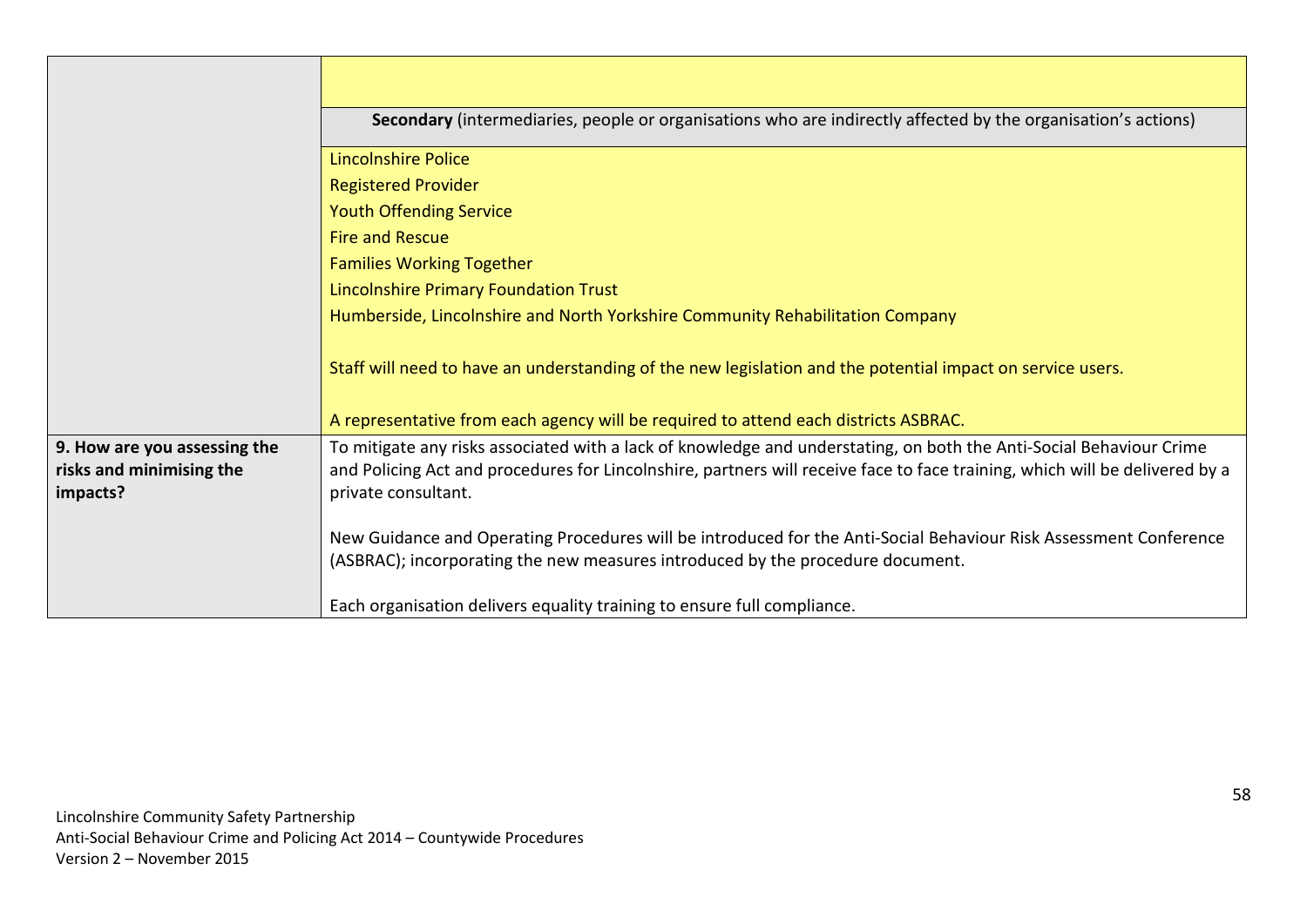|                                                                      | Secondary (intermediaries, people or organisations who are indirectly affected by the organisation's actions)                                                                                                                                                             |  |  |  |  |
|----------------------------------------------------------------------|---------------------------------------------------------------------------------------------------------------------------------------------------------------------------------------------------------------------------------------------------------------------------|--|--|--|--|
|                                                                      | <b>Lincolnshire Police</b>                                                                                                                                                                                                                                                |  |  |  |  |
|                                                                      | <b>Registered Provider</b>                                                                                                                                                                                                                                                |  |  |  |  |
|                                                                      | <b>Youth Offending Service</b>                                                                                                                                                                                                                                            |  |  |  |  |
|                                                                      | <b>Fire and Rescue</b>                                                                                                                                                                                                                                                    |  |  |  |  |
|                                                                      | <b>Families Working Together</b>                                                                                                                                                                                                                                          |  |  |  |  |
|                                                                      | <b>Lincolnshire Primary Foundation Trust</b>                                                                                                                                                                                                                              |  |  |  |  |
|                                                                      | Humberside, Lincolnshire and North Yorkshire Community Rehabilitation Company                                                                                                                                                                                             |  |  |  |  |
|                                                                      | Staff will need to have an understanding of the new legislation and the potential impact on service users.                                                                                                                                                                |  |  |  |  |
|                                                                      | A representative from each agency will be required to attend each districts ASBRAC.                                                                                                                                                                                       |  |  |  |  |
| 9. How are you assessing the<br>risks and minimising the<br>impacts? | To mitigate any risks associated with a lack of knowledge and understating, on both the Anti-Social Behaviour Crime<br>and Policing Act and procedures for Lincolnshire, partners will receive face to face training, which will be delivered by a<br>private consultant. |  |  |  |  |
|                                                                      | New Guidance and Operating Procedures will be introduced for the Anti-Social Behaviour Risk Assessment Conference<br>(ASBRAC); incorporating the new measures introduced by the procedure document.                                                                       |  |  |  |  |
|                                                                      | Each organisation delivers equality training to ensure full compliance.                                                                                                                                                                                                   |  |  |  |  |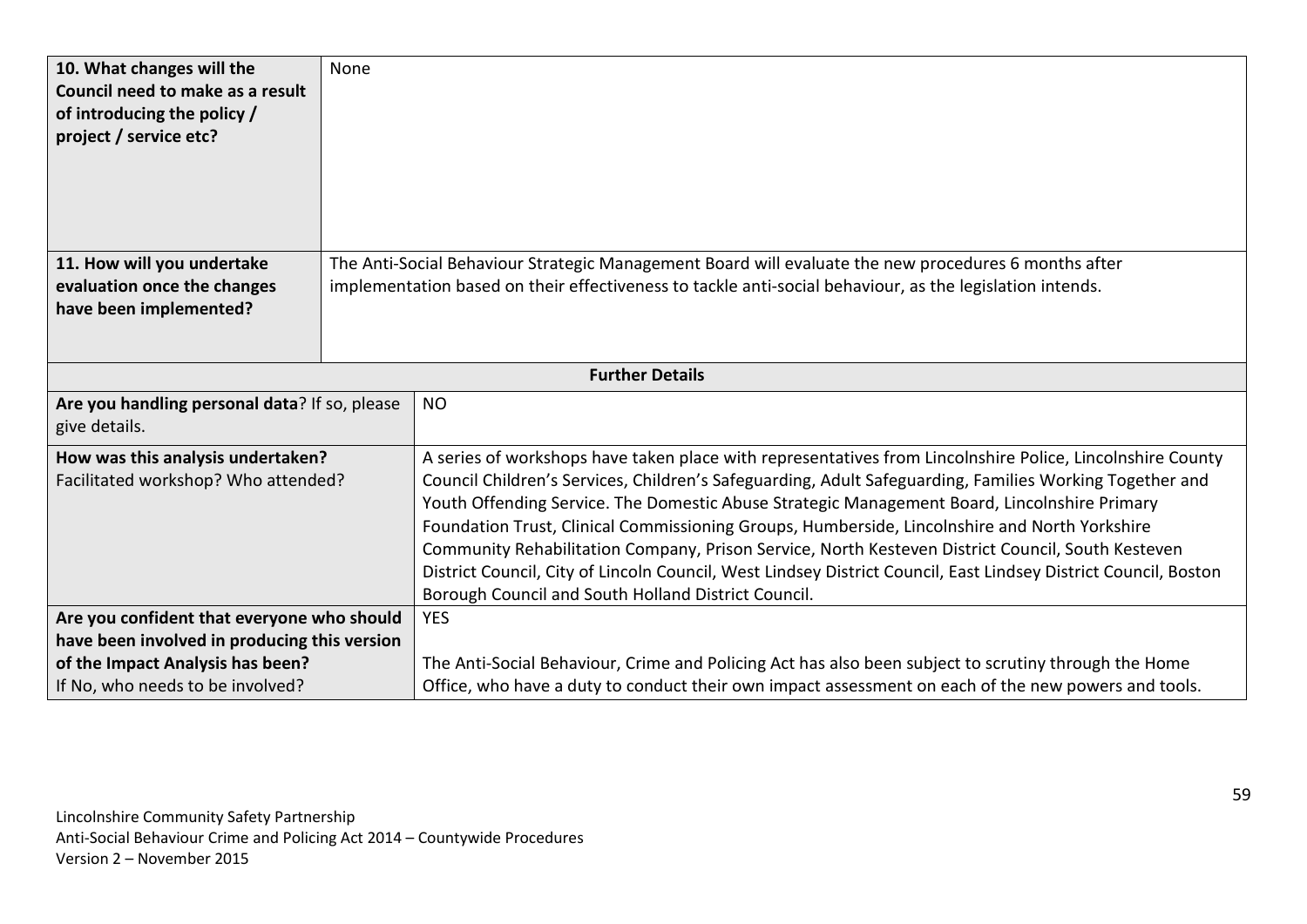| 10. What changes will the<br>Council need to make as a result<br>of introducing the policy /<br>project / service etc? | None                                                                                                     |                                                                                                                 |  |  |  |  |
|------------------------------------------------------------------------------------------------------------------------|----------------------------------------------------------------------------------------------------------|-----------------------------------------------------------------------------------------------------------------|--|--|--|--|
|                                                                                                                        |                                                                                                          |                                                                                                                 |  |  |  |  |
|                                                                                                                        |                                                                                                          |                                                                                                                 |  |  |  |  |
| 11. How will you undertake                                                                                             | The Anti-Social Behaviour Strategic Management Board will evaluate the new procedures 6 months after     |                                                                                                                 |  |  |  |  |
| evaluation once the changes<br>have been implemented?                                                                  | implementation based on their effectiveness to tackle anti-social behaviour, as the legislation intends. |                                                                                                                 |  |  |  |  |
|                                                                                                                        |                                                                                                          |                                                                                                                 |  |  |  |  |
|                                                                                                                        |                                                                                                          |                                                                                                                 |  |  |  |  |
| <b>Further Details</b>                                                                                                 |                                                                                                          |                                                                                                                 |  |  |  |  |
| Are you handling personal data? If so, please                                                                          |                                                                                                          | <b>NO</b>                                                                                                       |  |  |  |  |
| give details.                                                                                                          |                                                                                                          |                                                                                                                 |  |  |  |  |
| How was this analysis undertaken?                                                                                      |                                                                                                          | A series of workshops have taken place with representatives from Lincolnshire Police, Lincolnshire County       |  |  |  |  |
| Facilitated workshop? Who attended?                                                                                    |                                                                                                          | Council Children's Services, Children's Safeguarding, Adult Safeguarding, Families Working Together and         |  |  |  |  |
|                                                                                                                        |                                                                                                          | Youth Offending Service. The Domestic Abuse Strategic Management Board, Lincolnshire Primary                    |  |  |  |  |
|                                                                                                                        |                                                                                                          | Foundation Trust, Clinical Commissioning Groups, Humberside, Lincolnshire and North Yorkshire                   |  |  |  |  |
|                                                                                                                        |                                                                                                          | Community Rehabilitation Company, Prison Service, North Kesteven District Council, South Kesteven               |  |  |  |  |
|                                                                                                                        |                                                                                                          | District Council, City of Lincoln Council, West Lindsey District Council, East Lindsey District Council, Boston |  |  |  |  |
|                                                                                                                        |                                                                                                          | Borough Council and South Holland District Council.                                                             |  |  |  |  |
| Are you confident that everyone who should                                                                             |                                                                                                          | <b>YES</b>                                                                                                      |  |  |  |  |
| have been involved in producing this version                                                                           |                                                                                                          |                                                                                                                 |  |  |  |  |
| of the Impact Analysis has been?                                                                                       |                                                                                                          | The Anti-Social Behaviour, Crime and Policing Act has also been subject to scrutiny through the Home            |  |  |  |  |
| If No, who needs to be involved?                                                                                       |                                                                                                          | Office, who have a duty to conduct their own impact assessment on each of the new powers and tools.             |  |  |  |  |